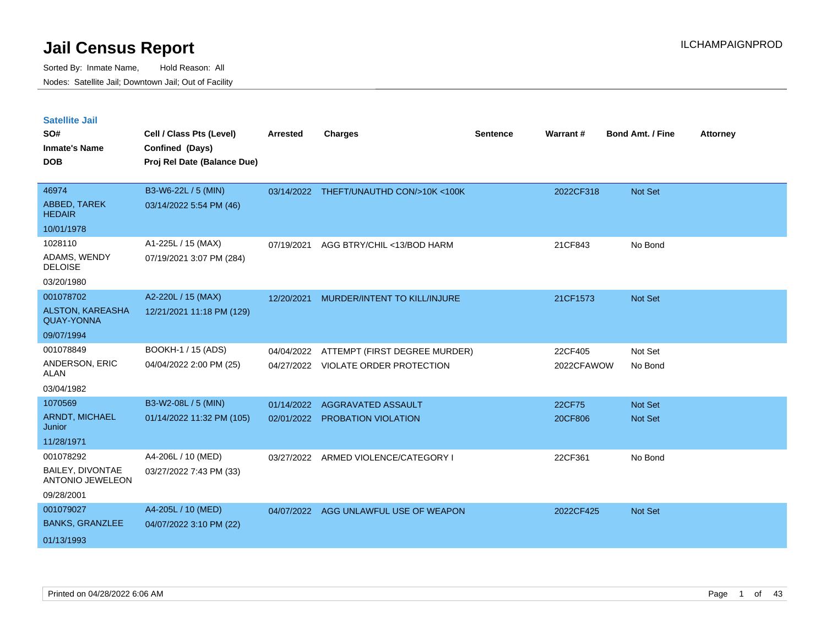| <b>Satellite Jail</b><br>SO#<br><b>Inmate's Name</b><br><b>DOB</b> | Cell / Class Pts (Level)<br>Confined (Days)<br>Proj Rel Date (Balance Due) | <b>Arrested</b>          | <b>Charges</b>                                            | <b>Sentence</b> | Warrant#              | <b>Bond Amt. / Fine</b> | <b>Attorney</b> |
|--------------------------------------------------------------------|----------------------------------------------------------------------------|--------------------------|-----------------------------------------------------------|-----------------|-----------------------|-------------------------|-----------------|
| 46974<br>ABBED, TAREK<br><b>HEDAIR</b>                             | B3-W6-22L / 5 (MIN)<br>03/14/2022 5:54 PM (46)                             |                          | 03/14/2022 THEFT/UNAUTHD CON/>10K <100K                   |                 | 2022CF318             | Not Set                 |                 |
| 10/01/1978                                                         |                                                                            |                          |                                                           |                 |                       |                         |                 |
| 1028110<br>ADAMS, WENDY<br><b>DELOISE</b><br>03/20/1980            | A1-225L / 15 (MAX)<br>07/19/2021 3:07 PM (284)                             | 07/19/2021               | AGG BTRY/CHIL <13/BOD HARM                                |                 | 21CF843               | No Bond                 |                 |
| 001078702                                                          | A2-220L / 15 (MAX)                                                         | 12/20/2021               | MURDER/INTENT TO KILL/INJURE                              |                 | 21CF1573              | Not Set                 |                 |
| ALSTON, KAREASHA<br><b>QUAY-YONNA</b>                              | 12/21/2021 11:18 PM (129)                                                  |                          |                                                           |                 |                       |                         |                 |
| 09/07/1994                                                         |                                                                            |                          |                                                           |                 |                       |                         |                 |
| 001078849<br>ANDERSON, ERIC<br><b>ALAN</b><br>03/04/1982           | BOOKH-1 / 15 (ADS)<br>04/04/2022 2:00 PM (25)                              | 04/04/2022<br>04/27/2022 | ATTEMPT (FIRST DEGREE MURDER)<br>VIOLATE ORDER PROTECTION |                 | 22CF405<br>2022CFAWOW | Not Set<br>No Bond      |                 |
| 1070569                                                            | B3-W2-08L / 5 (MIN)                                                        | 01/14/2022               | AGGRAVATED ASSAULT                                        |                 | 22CF75                | Not Set                 |                 |
| <b>ARNDT, MICHAEL</b><br>Junior                                    | 01/14/2022 11:32 PM (105)                                                  |                          | 02/01/2022 PROBATION VIOLATION                            |                 | 20CF806               | <b>Not Set</b>          |                 |
| 11/28/1971                                                         |                                                                            |                          |                                                           |                 |                       |                         |                 |
| 001078292<br><b>BAILEY, DIVONTAE</b><br>ANTONIO JEWELEON           | A4-206L / 10 (MED)<br>03/27/2022 7:43 PM (33)                              | 03/27/2022               | ARMED VIOLENCE/CATEGORY I                                 |                 | 22CF361               | No Bond                 |                 |
| 09/28/2001                                                         |                                                                            |                          |                                                           |                 |                       |                         |                 |
| 001079027<br><b>BANKS, GRANZLEE</b><br>01/13/1993                  | A4-205L / 10 (MED)<br>04/07/2022 3:10 PM (22)                              | 04/07/2022               | AGG UNLAWFUL USE OF WEAPON                                |                 | 2022CF425             | <b>Not Set</b>          |                 |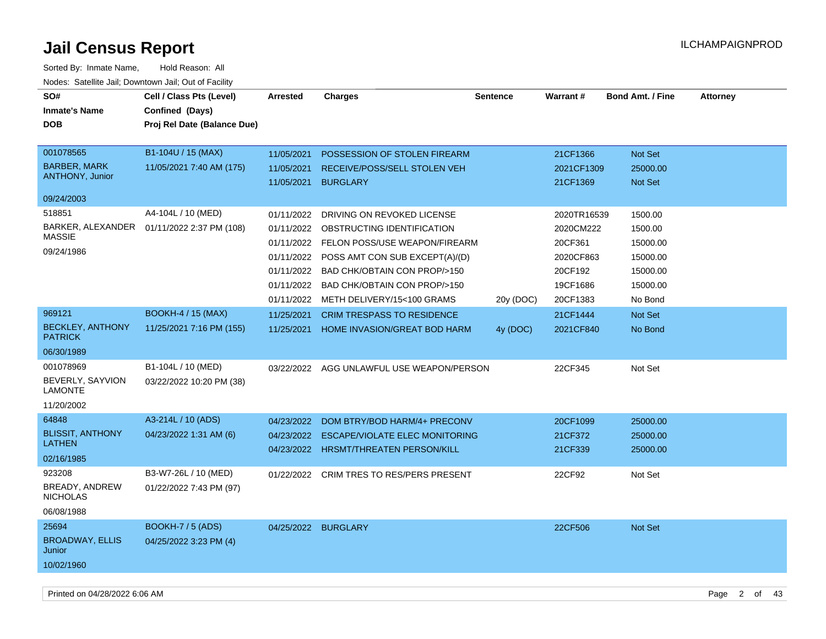| SO#<br><b>Charges</b><br>Warrant#<br><b>Bond Amt. / Fine</b><br>Cell / Class Pts (Level)<br><b>Arrested</b><br><b>Sentence</b>                          | <b>Attorney</b> |
|---------------------------------------------------------------------------------------------------------------------------------------------------------|-----------------|
| <b>Inmate's Name</b><br>Confined (Days)                                                                                                                 |                 |
| <b>DOB</b><br>Proj Rel Date (Balance Due)                                                                                                               |                 |
|                                                                                                                                                         |                 |
| 001078565<br>B1-104U / 15 (MAX)<br>11/05/2021<br>POSSESSION OF STOLEN FIREARM<br>21CF1366<br>Not Set                                                    |                 |
| <b>BARBER, MARK</b><br>11/05/2021 7:40 AM (175)<br>11/05/2021<br>RECEIVE/POSS/SELL STOLEN VEH<br>2021CF1309<br>25000.00                                 |                 |
| <b>ANTHONY, Junior</b><br><b>BURGLARY</b><br>Not Set<br>11/05/2021<br>21CF1369                                                                          |                 |
| 09/24/2003                                                                                                                                              |                 |
| 518851<br>A4-104L / 10 (MED)<br>01/11/2022<br>DRIVING ON REVOKED LICENSE<br>2020TR16539<br>1500.00                                                      |                 |
| BARKER, ALEXANDER<br>01/11/2022 2:37 PM (108)<br>OBSTRUCTING IDENTIFICATION<br>2020CM222<br>01/11/2022<br>1500.00                                       |                 |
| <b>MASSIE</b><br>01/11/2022 FELON POSS/USE WEAPON/FIREARM<br>20CF361<br>15000.00                                                                        |                 |
| 09/24/1986<br>POSS AMT CON SUB EXCEPT(A)/(D)<br>2020CF863<br>01/11/2022<br>15000.00                                                                     |                 |
| BAD CHK/OBTAIN CON PROP/>150<br>20CF192<br>01/11/2022<br>15000.00                                                                                       |                 |
| 01/11/2022<br>BAD CHK/OBTAIN CON PROP/>150<br>19CF1686<br>15000.00                                                                                      |                 |
| 01/11/2022<br>METH DELIVERY/15<100 GRAMS<br>20CF1383<br>No Bond<br>20y (DOC)                                                                            |                 |
| 969121<br><b>BOOKH-4 / 15 (MAX)</b><br>11/25/2021<br><b>CRIM TRESPASS TO RESIDENCE</b><br>21CF1444<br>Not Set                                           |                 |
| <b>BECKLEY, ANTHONY</b><br>11/25/2021 7:16 PM (155)<br>11/25/2021<br>HOME INVASION/GREAT BOD HARM<br>2021CF840<br>No Bond<br>4y (DOC)<br><b>PATRICK</b> |                 |
| 06/30/1989                                                                                                                                              |                 |
| 001078969<br>B1-104L / 10 (MED)<br>03/22/2022 AGG UNLAWFUL USE WEAPON/PERSON<br>22CF345<br>Not Set                                                      |                 |
| BEVERLY, SAYVION<br>03/22/2022 10:20 PM (38)<br><b>LAMONTE</b>                                                                                          |                 |
| 11/20/2002                                                                                                                                              |                 |
| A3-214L / 10 (ADS)<br>64848<br>20CF1099<br>04/23/2022<br>DOM BTRY/BOD HARM/4+ PRECONV<br>25000.00                                                       |                 |
| <b>BLISSIT, ANTHONY</b><br>04/23/2022 1:31 AM (6)<br>04/23/2022<br><b>ESCAPE/VIOLATE ELEC MONITORING</b><br>21CF372<br>25000.00                         |                 |
| <b>LATHEN</b><br>04/23/2022 HRSMT/THREATEN PERSON/KILL<br>21CF339<br>25000.00                                                                           |                 |
| 02/16/1985                                                                                                                                              |                 |
| 923208<br>B3-W7-26L / 10 (MED)<br>22CF92<br>Not Set<br>01/22/2022<br><b>CRIM TRES TO RES/PERS PRESENT</b>                                               |                 |
| BREADY, ANDREW<br>01/22/2022 7:43 PM (97)<br><b>NICHOLAS</b>                                                                                            |                 |
| 06/08/1988                                                                                                                                              |                 |
| 25694<br><b>BOOKH-7 / 5 (ADS)</b>                                                                                                                       |                 |
| 04/25/2022 BURGLARY<br>22CF506<br>Not Set<br><b>BROADWAY, ELLIS</b><br>04/25/2022 3:23 PM (4)                                                           |                 |
| Junior                                                                                                                                                  |                 |
| 10/02/1960                                                                                                                                              |                 |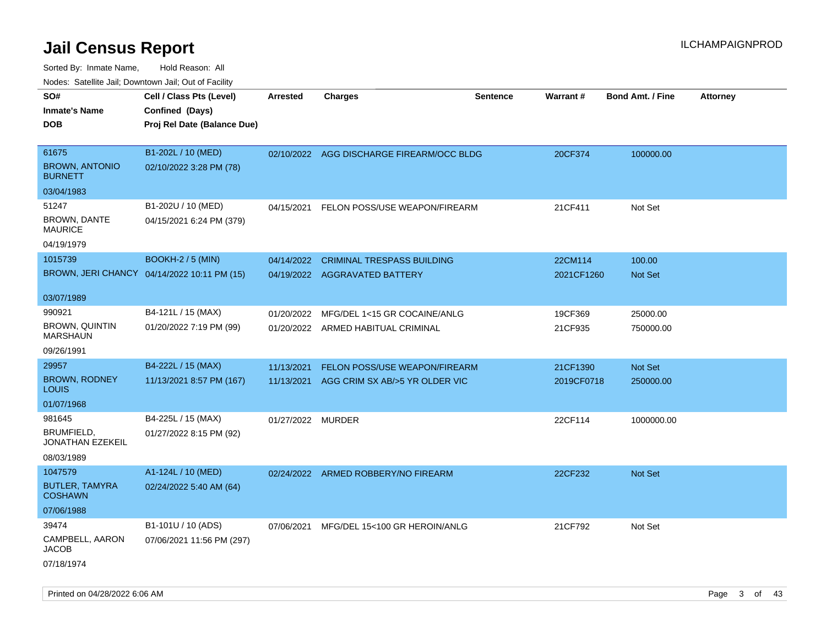| rouco. Calcinic Jan, Downtown Jan, Out of Facility |                                             |                   |                                           |                 |                 |                         |                 |
|----------------------------------------------------|---------------------------------------------|-------------------|-------------------------------------------|-----------------|-----------------|-------------------------|-----------------|
| SO#                                                | Cell / Class Pts (Level)                    | <b>Arrested</b>   | <b>Charges</b>                            | <b>Sentence</b> | <b>Warrant#</b> | <b>Bond Amt. / Fine</b> | <b>Attorney</b> |
| Inmate's Name                                      | Confined (Days)                             |                   |                                           |                 |                 |                         |                 |
| DOB                                                | Proj Rel Date (Balance Due)                 |                   |                                           |                 |                 |                         |                 |
|                                                    |                                             |                   |                                           |                 |                 |                         |                 |
| 61675                                              | B1-202L / 10 (MED)                          |                   | 02/10/2022 AGG DISCHARGE FIREARM/OCC BLDG |                 | 20CF374         | 100000.00               |                 |
| <b>BROWN, ANTONIO</b><br><b>BURNETT</b>            | 02/10/2022 3:28 PM (78)                     |                   |                                           |                 |                 |                         |                 |
| 03/04/1983                                         |                                             |                   |                                           |                 |                 |                         |                 |
| 51247                                              | B1-202U / 10 (MED)                          | 04/15/2021        | FELON POSS/USE WEAPON/FIREARM             |                 | 21CF411         | Not Set                 |                 |
| <b>BROWN, DANTE</b><br>MAURICE                     | 04/15/2021 6:24 PM (379)                    |                   |                                           |                 |                 |                         |                 |
| 04/19/1979                                         |                                             |                   |                                           |                 |                 |                         |                 |
| 1015739                                            | <b>BOOKH-2 / 5 (MIN)</b>                    | 04/14/2022        | <b>CRIMINAL TRESPASS BUILDING</b>         |                 | 22CM114         | 100.00                  |                 |
|                                                    | BROWN, JERI CHANCY 04/14/2022 10:11 PM (15) |                   | 04/19/2022 AGGRAVATED BATTERY             |                 | 2021CF1260      | <b>Not Set</b>          |                 |
|                                                    |                                             |                   |                                           |                 |                 |                         |                 |
| 03/07/1989                                         |                                             |                   |                                           |                 |                 |                         |                 |
| 990921                                             | B4-121L / 15 (MAX)                          | 01/20/2022        | MFG/DEL 1<15 GR COCAINE/ANLG              |                 | 19CF369         | 25000.00                |                 |
| <b>BROWN, QUINTIN</b><br>MARSHAUN                  | 01/20/2022 7:19 PM (99)                     |                   | 01/20/2022 ARMED HABITUAL CRIMINAL        |                 | 21CF935         | 750000.00               |                 |
| 09/26/1991                                         |                                             |                   |                                           |                 |                 |                         |                 |
| 29957                                              | B4-222L / 15 (MAX)                          | 11/13/2021        | FELON POSS/USE WEAPON/FIREARM             |                 | 21CF1390        | Not Set                 |                 |
| <b>BROWN, RODNEY</b><br>Louis                      | 11/13/2021 8:57 PM (167)                    | 11/13/2021        | AGG CRIM SX AB/>5 YR OLDER VIC            |                 | 2019CF0718      | 250000.00               |                 |
| 01/07/1968                                         |                                             |                   |                                           |                 |                 |                         |                 |
| 981645                                             | B4-225L / 15 (MAX)                          | 01/27/2022 MURDER |                                           |                 | 22CF114         | 1000000.00              |                 |
| BRUMFIELD,<br>JONATHAN EZEKEIL                     | 01/27/2022 8:15 PM (92)                     |                   |                                           |                 |                 |                         |                 |
| 08/03/1989                                         |                                             |                   |                                           |                 |                 |                         |                 |
| 1047579                                            | A1-124L / 10 (MED)                          |                   | 02/24/2022 ARMED ROBBERY/NO FIREARM       |                 | 22CF232         | <b>Not Set</b>          |                 |
| <b>BUTLER, TAMYRA</b><br>COSHAWN                   | 02/24/2022 5:40 AM (64)                     |                   |                                           |                 |                 |                         |                 |
| 07/06/1988                                         |                                             |                   |                                           |                 |                 |                         |                 |
| 39474                                              | B1-101U / 10 (ADS)                          | 07/06/2021        | MFG/DEL 15<100 GR HEROIN/ANLG             |                 | 21CF792         | Not Set                 |                 |
| CAMPBELL, AARON<br>JACOB                           | 07/06/2021 11:56 PM (297)                   |                   |                                           |                 |                 |                         |                 |
| 07/18/1974                                         |                                             |                   |                                           |                 |                 |                         |                 |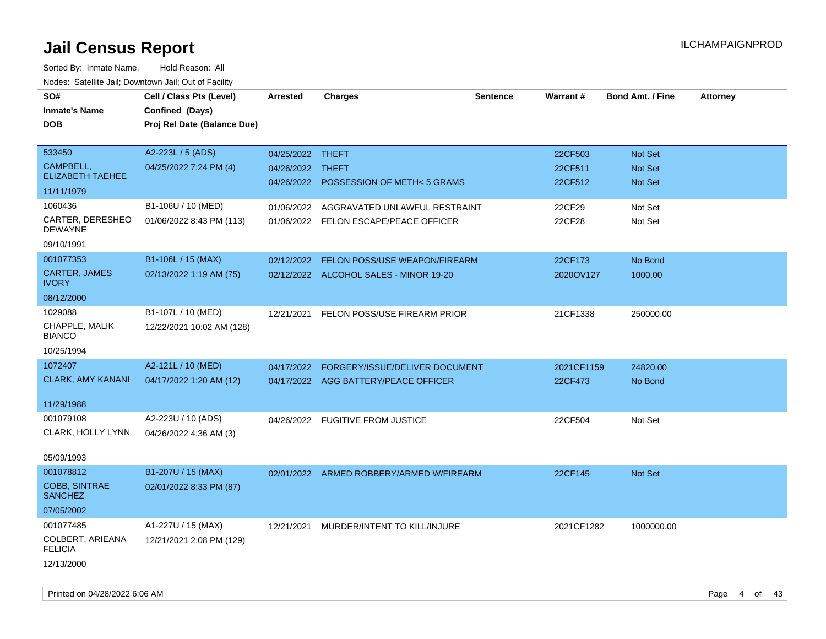| SO#                                | Cell / Class Pts (Level)    | Arrested         | <b>Charges</b>                           | <b>Sentence</b> | Warrant#   | <b>Bond Amt. / Fine</b> | <b>Attorney</b> |
|------------------------------------|-----------------------------|------------------|------------------------------------------|-----------------|------------|-------------------------|-----------------|
| <b>Inmate's Name</b>               | Confined (Days)             |                  |                                          |                 |            |                         |                 |
| <b>DOB</b>                         | Proj Rel Date (Balance Due) |                  |                                          |                 |            |                         |                 |
|                                    |                             |                  |                                          |                 |            |                         |                 |
| 533450                             | A2-223L / 5 (ADS)           | 04/25/2022 THEFT |                                          |                 | 22CF503    | <b>Not Set</b>          |                 |
| CAMPBELL,                          | 04/25/2022 7:24 PM (4)      | 04/26/2022 THEFT |                                          |                 | 22CF511    | Not Set                 |                 |
| <b>ELIZABETH TAEHEE</b>            |                             |                  | 04/26/2022 POSSESSION OF METH<5 GRAMS    |                 | 22CF512    | Not Set                 |                 |
| 11/11/1979                         |                             |                  |                                          |                 |            |                         |                 |
| 1060436                            | B1-106U / 10 (MED)          | 01/06/2022       | AGGRAVATED UNLAWFUL RESTRAINT            |                 | 22CF29     | Not Set                 |                 |
| CARTER, DERESHEO<br><b>DEWAYNE</b> | 01/06/2022 8:43 PM (113)    |                  | 01/06/2022 FELON ESCAPE/PEACE OFFICER    |                 | 22CF28     | Not Set                 |                 |
| 09/10/1991                         |                             |                  |                                          |                 |            |                         |                 |
| 001077353                          | B1-106L / 15 (MAX)          | 02/12/2022       | FELON POSS/USE WEAPON/FIREARM            |                 | 22CF173    | No Bond                 |                 |
| CARTER, JAMES                      | 02/13/2022 1:19 AM (75)     |                  | 02/12/2022 ALCOHOL SALES - MINOR 19-20   |                 | 2020OV127  | 1000.00                 |                 |
| <b>IVORY</b>                       |                             |                  |                                          |                 |            |                         |                 |
| 08/12/2000                         |                             |                  |                                          |                 |            |                         |                 |
| 1029088                            | B1-107L / 10 (MED)          | 12/21/2021       | FELON POSS/USE FIREARM PRIOR             |                 | 21CF1338   | 250000.00               |                 |
| CHAPPLE, MALIK<br><b>BIANCO</b>    | 12/22/2021 10:02 AM (128)   |                  |                                          |                 |            |                         |                 |
| 10/25/1994                         |                             |                  |                                          |                 |            |                         |                 |
| 1072407                            | A2-121L / 10 (MED)          | 04/17/2022       | FORGERY/ISSUE/DELIVER DOCUMENT           |                 | 2021CF1159 | 24820.00                |                 |
| <b>CLARK, AMY KANANI</b>           | 04/17/2022 1:20 AM (12)     |                  | 04/17/2022 AGG BATTERY/PEACE OFFICER     |                 | 22CF473    | No Bond                 |                 |
|                                    |                             |                  |                                          |                 |            |                         |                 |
| 11/29/1988                         |                             |                  |                                          |                 |            |                         |                 |
| 001079108                          | A2-223U / 10 (ADS)          |                  | 04/26/2022 FUGITIVE FROM JUSTICE         |                 | 22CF504    | Not Set                 |                 |
| CLARK, HOLLY LYNN                  | 04/26/2022 4:36 AM (3)      |                  |                                          |                 |            |                         |                 |
|                                    |                             |                  |                                          |                 |            |                         |                 |
| 05/09/1993                         |                             |                  |                                          |                 |            |                         |                 |
| 001078812                          | B1-207U / 15 (MAX)          |                  | 02/01/2022 ARMED ROBBERY/ARMED W/FIREARM |                 | 22CF145    | <b>Not Set</b>          |                 |
| COBB, SINTRAE<br><b>SANCHEZ</b>    | 02/01/2022 8:33 PM (87)     |                  |                                          |                 |            |                         |                 |
| 07/05/2002                         |                             |                  |                                          |                 |            |                         |                 |
| 001077485                          | A1-227U / 15 (MAX)          | 12/21/2021       | MURDER/INTENT TO KILL/INJURE             |                 | 2021CF1282 | 1000000.00              |                 |
| COLBERT, ARIEANA<br><b>FELICIA</b> | 12/21/2021 2:08 PM (129)    |                  |                                          |                 |            |                         |                 |
| 12/13/2000                         |                             |                  |                                          |                 |            |                         |                 |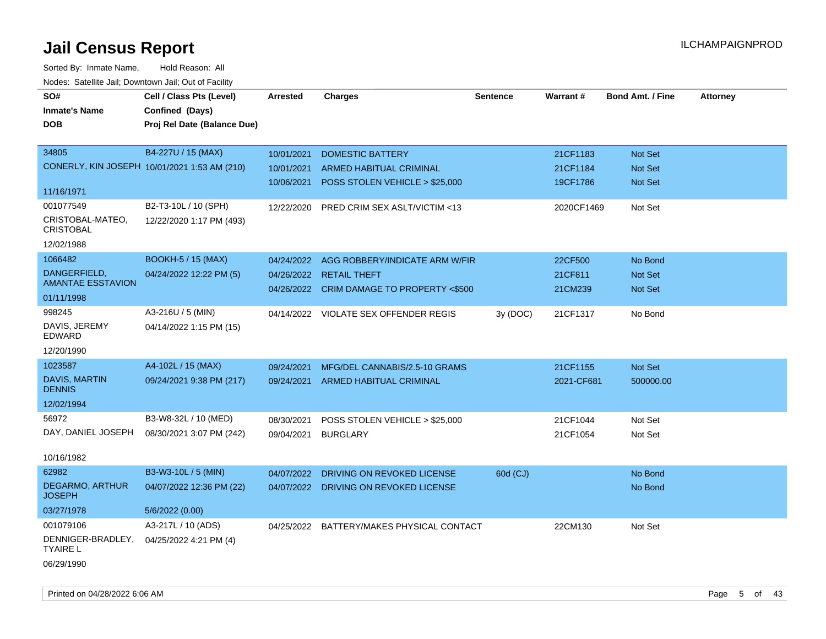| roaco. Oatomto dan, Downtown dan, Oat or Fability |                                              |            |                                           |                 |                 |                         |                 |
|---------------------------------------------------|----------------------------------------------|------------|-------------------------------------------|-----------------|-----------------|-------------------------|-----------------|
| SO#                                               | Cell / Class Pts (Level)                     | Arrested   | <b>Charges</b>                            | <b>Sentence</b> | <b>Warrant#</b> | <b>Bond Amt. / Fine</b> | <b>Attorney</b> |
| <b>Inmate's Name</b>                              | Confined (Days)                              |            |                                           |                 |                 |                         |                 |
| <b>DOB</b>                                        | Proj Rel Date (Balance Due)                  |            |                                           |                 |                 |                         |                 |
|                                                   |                                              |            |                                           |                 |                 |                         |                 |
| 34805                                             | B4-227U / 15 (MAX)                           | 10/01/2021 | <b>DOMESTIC BATTERY</b>                   |                 | 21CF1183        | Not Set                 |                 |
|                                                   | CONERLY, KIN JOSEPH 10/01/2021 1:53 AM (210) | 10/01/2021 | ARMED HABITUAL CRIMINAL                   |                 | 21CF1184        | <b>Not Set</b>          |                 |
|                                                   |                                              | 10/06/2021 | POSS STOLEN VEHICLE > \$25,000            |                 | 19CF1786        | <b>Not Set</b>          |                 |
| 11/16/1971                                        |                                              |            |                                           |                 |                 |                         |                 |
| 001077549                                         | B2-T3-10L / 10 (SPH)                         | 12/22/2020 | PRED CRIM SEX ASLT/VICTIM <13             |                 | 2020CF1469      | Not Set                 |                 |
| CRISTOBAL-MATEO,<br><b>CRISTOBAL</b>              | 12/22/2020 1:17 PM (493)                     |            |                                           |                 |                 |                         |                 |
| 12/02/1988                                        |                                              |            |                                           |                 |                 |                         |                 |
| 1066482                                           | <b>BOOKH-5 / 15 (MAX)</b>                    | 04/24/2022 | AGG ROBBERY/INDICATE ARM W/FIR            |                 | 22CF500         | No Bond                 |                 |
| DANGERFIELD,                                      | 04/24/2022 12:22 PM (5)                      | 04/26/2022 | <b>RETAIL THEFT</b>                       |                 | 21CF811         | Not Set                 |                 |
| <b>AMANTAE ESSTAVION</b>                          |                                              |            | 04/26/2022 CRIM DAMAGE TO PROPERTY <\$500 |                 | 21CM239         | Not Set                 |                 |
| 01/11/1998                                        |                                              |            |                                           |                 |                 |                         |                 |
| 998245                                            | A3-216U / 5 (MIN)                            |            | 04/14/2022 VIOLATE SEX OFFENDER REGIS     | 3y (DOC)        | 21CF1317        | No Bond                 |                 |
| DAVIS, JEREMY<br><b>EDWARD</b>                    | 04/14/2022 1:15 PM (15)                      |            |                                           |                 |                 |                         |                 |
| 12/20/1990                                        |                                              |            |                                           |                 |                 |                         |                 |
| 1023587                                           | A4-102L / 15 (MAX)                           | 09/24/2021 | MFG/DEL CANNABIS/2.5-10 GRAMS             |                 | 21CF1155        | Not Set                 |                 |
| <b>DAVIS, MARTIN</b><br><b>DENNIS</b>             | 09/24/2021 9:38 PM (217)                     | 09/24/2021 | ARMED HABITUAL CRIMINAL                   |                 | 2021-CF681      | 500000.00               |                 |
| 12/02/1994                                        |                                              |            |                                           |                 |                 |                         |                 |
| 56972                                             | B3-W8-32L / 10 (MED)                         | 08/30/2021 | POSS STOLEN VEHICLE > \$25,000            |                 | 21CF1044        | Not Set                 |                 |
| DAY, DANIEL JOSEPH                                | 08/30/2021 3:07 PM (242)                     | 09/04/2021 | <b>BURGLARY</b>                           |                 | 21CF1054        | Not Set                 |                 |
|                                                   |                                              |            |                                           |                 |                 |                         |                 |
| 10/16/1982                                        |                                              |            |                                           |                 |                 |                         |                 |
| 62982                                             | B3-W3-10L / 5 (MIN)                          | 04/07/2022 | DRIVING ON REVOKED LICENSE                | 60d (CJ)        |                 | No Bond                 |                 |
| DEGARMO, ARTHUR<br><b>JOSEPH</b>                  | 04/07/2022 12:36 PM (22)                     |            | 04/07/2022 DRIVING ON REVOKED LICENSE     |                 |                 | No Bond                 |                 |
| 03/27/1978                                        | 5/6/2022 (0.00)                              |            |                                           |                 |                 |                         |                 |
| 001079106                                         | A3-217L / 10 (ADS)                           |            | 04/25/2022 BATTERY/MAKES PHYSICAL CONTACT |                 | 22CM130         | Not Set                 |                 |
| DENNIGER-BRADLEY,<br><b>TYAIRE L</b>              | 04/25/2022 4:21 PM (4)                       |            |                                           |                 |                 |                         |                 |
| 06/29/1990                                        |                                              |            |                                           |                 |                 |                         |                 |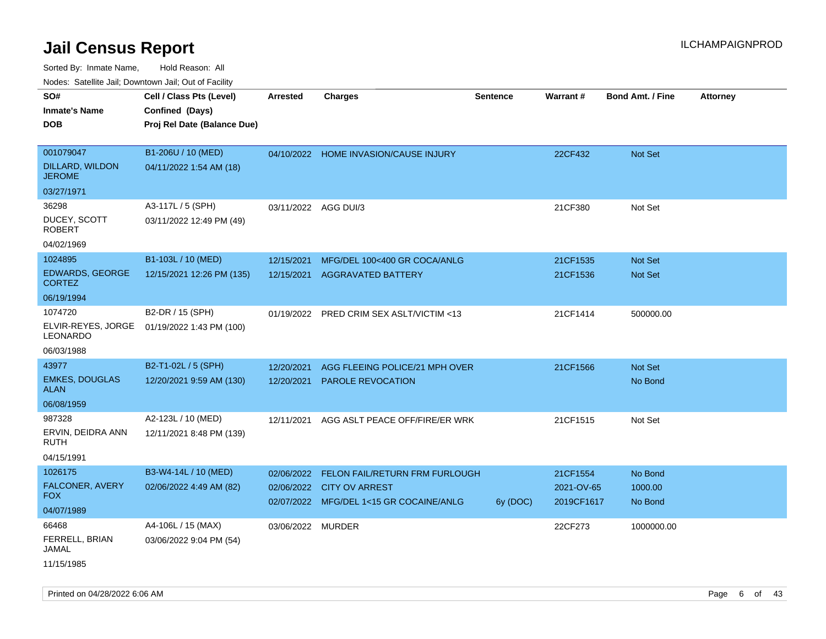| ivous. Saleling Jali, Downlown Jali, Out of Facility |                             |                      |                                         |                 |            |                         |                 |
|------------------------------------------------------|-----------------------------|----------------------|-----------------------------------------|-----------------|------------|-------------------------|-----------------|
| SO#                                                  | Cell / Class Pts (Level)    | <b>Arrested</b>      | <b>Charges</b>                          | <b>Sentence</b> | Warrant#   | <b>Bond Amt. / Fine</b> | <b>Attorney</b> |
| <b>Inmate's Name</b>                                 | Confined (Days)             |                      |                                         |                 |            |                         |                 |
| <b>DOB</b>                                           | Proj Rel Date (Balance Due) |                      |                                         |                 |            |                         |                 |
|                                                      |                             |                      |                                         |                 |            |                         |                 |
| 001079047                                            | B1-206U / 10 (MED)          |                      | 04/10/2022 HOME INVASION/CAUSE INJURY   |                 | 22CF432    | Not Set                 |                 |
| DILLARD, WILDON<br><b>JEROME</b>                     | 04/11/2022 1:54 AM (18)     |                      |                                         |                 |            |                         |                 |
| 03/27/1971                                           |                             |                      |                                         |                 |            |                         |                 |
| 36298                                                | A3-117L / 5 (SPH)           | 03/11/2022 AGG DUI/3 |                                         |                 | 21CF380    | Not Set                 |                 |
| DUCEY, SCOTT<br><b>ROBERT</b>                        | 03/11/2022 12:49 PM (49)    |                      |                                         |                 |            |                         |                 |
| 04/02/1969                                           |                             |                      |                                         |                 |            |                         |                 |
| 1024895                                              | B1-103L / 10 (MED)          | 12/15/2021           | MFG/DEL 100<400 GR COCA/ANLG            |                 | 21CF1535   | Not Set                 |                 |
| <b>EDWARDS, GEORGE</b><br><b>CORTEZ</b>              | 12/15/2021 12:26 PM (135)   | 12/15/2021           | <b>AGGRAVATED BATTERY</b>               |                 | 21CF1536   | <b>Not Set</b>          |                 |
| 06/19/1994                                           |                             |                      |                                         |                 |            |                         |                 |
| 1074720                                              | B2-DR / 15 (SPH)            | 01/19/2022           | PRED CRIM SEX ASLT/VICTIM <13           |                 | 21CF1414   | 500000.00               |                 |
| ELVIR-REYES, JORGE<br>LEONARDO                       | 01/19/2022 1:43 PM (100)    |                      |                                         |                 |            |                         |                 |
| 06/03/1988                                           |                             |                      |                                         |                 |            |                         |                 |
| 43977                                                | B2-T1-02L / 5 (SPH)         | 12/20/2021           | AGG FLEEING POLICE/21 MPH OVER          |                 | 21CF1566   | Not Set                 |                 |
| <b>EMKES, DOUGLAS</b><br><b>ALAN</b>                 | 12/20/2021 9:59 AM (130)    | 12/20/2021           | <b>PAROLE REVOCATION</b>                |                 |            | No Bond                 |                 |
| 06/08/1959                                           |                             |                      |                                         |                 |            |                         |                 |
| 987328                                               | A2-123L / 10 (MED)          | 12/11/2021           | AGG ASLT PEACE OFF/FIRE/ER WRK          |                 | 21CF1515   | Not Set                 |                 |
| ERVIN, DEIDRA ANN<br><b>RUTH</b>                     | 12/11/2021 8:48 PM (139)    |                      |                                         |                 |            |                         |                 |
| 04/15/1991                                           |                             |                      |                                         |                 |            |                         |                 |
| 1026175                                              | B3-W4-14L / 10 (MED)        | 02/06/2022           | <b>FELON FAIL/RETURN FRM FURLOUGH</b>   |                 | 21CF1554   | No Bond                 |                 |
| FALCONER, AVERY<br>FOX.                              | 02/06/2022 4:49 AM (82)     | 02/06/2022           | <b>CITY OV ARREST</b>                   |                 | 2021-OV-65 | 1000.00                 |                 |
| 04/07/1989                                           |                             |                      | 02/07/2022 MFG/DEL 1<15 GR COCAINE/ANLG | 6y (DOC)        | 2019CF1617 | No Bond                 |                 |
| 66468                                                | A4-106L / 15 (MAX)          | 03/06/2022 MURDER    |                                         |                 | 22CF273    | 1000000.00              |                 |
| FERRELL, BRIAN<br>JAMAL                              | 03/06/2022 9:04 PM (54)     |                      |                                         |                 |            |                         |                 |
| 11/15/1985                                           |                             |                      |                                         |                 |            |                         |                 |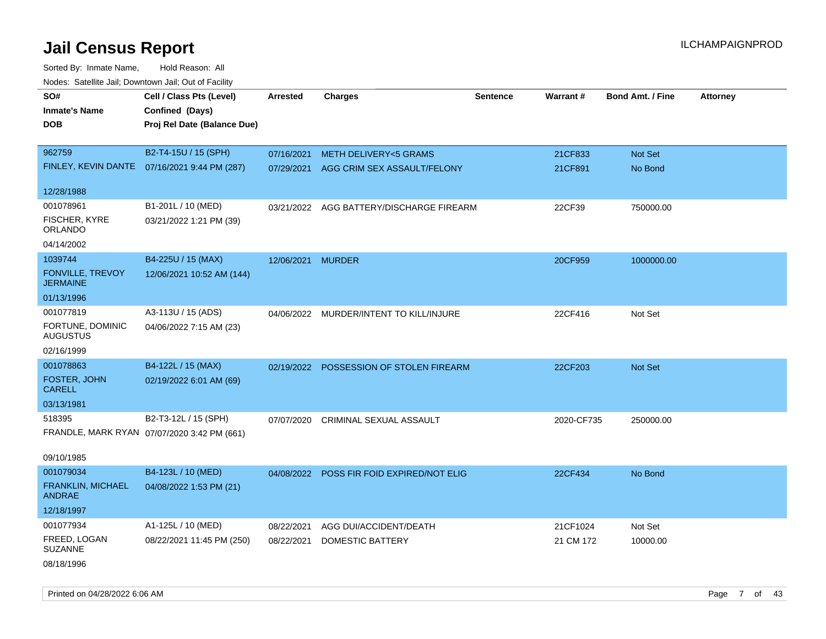| SO#                                        | Cell / Class Pts (Level)                     | <b>Arrested</b> | <b>Charges</b>                            | <b>Sentence</b> | Warrant#   | <b>Bond Amt. / Fine</b> | <b>Attorney</b> |
|--------------------------------------------|----------------------------------------------|-----------------|-------------------------------------------|-----------------|------------|-------------------------|-----------------|
| <b>Inmate's Name</b>                       | Confined (Days)                              |                 |                                           |                 |            |                         |                 |
| DOB                                        | Proj Rel Date (Balance Due)                  |                 |                                           |                 |            |                         |                 |
|                                            |                                              |                 |                                           |                 |            |                         |                 |
| 962759                                     | B2-T4-15U / 15 (SPH)                         | 07/16/2021      | <b>METH DELIVERY&lt;5 GRAMS</b>           |                 | 21CF833    | Not Set                 |                 |
|                                            | FINLEY, KEVIN DANTE 07/16/2021 9:44 PM (287) | 07/29/2021      | AGG CRIM SEX ASSAULT/FELONY               |                 | 21CF891    | No Bond                 |                 |
| 12/28/1988                                 |                                              |                 |                                           |                 |            |                         |                 |
| 001078961                                  | B1-201L / 10 (MED)                           | 03/21/2022      | AGG BATTERY/DISCHARGE FIREARM             |                 | 22CF39     | 750000.00               |                 |
| <b>FISCHER, KYRE</b><br>ORLANDO            | 03/21/2022 1:21 PM (39)                      |                 |                                           |                 |            |                         |                 |
| 04/14/2002                                 |                                              |                 |                                           |                 |            |                         |                 |
| 1039744                                    | B4-225U / 15 (MAX)                           | 12/06/2021      | <b>MURDER</b>                             |                 | 20CF959    | 1000000.00              |                 |
| <b>FONVILLE, TREVOY</b><br><b>JERMAINE</b> | 12/06/2021 10:52 AM (144)                    |                 |                                           |                 |            |                         |                 |
| 01/13/1996                                 |                                              |                 |                                           |                 |            |                         |                 |
| 001077819                                  | A3-113U / 15 (ADS)                           | 04/06/2022      | MURDER/INTENT TO KILL/INJURE              |                 | 22CF416    | Not Set                 |                 |
| FORTUNE, DOMINIC<br><b>AUGUSTUS</b>        | 04/06/2022 7:15 AM (23)                      |                 |                                           |                 |            |                         |                 |
| 02/16/1999                                 |                                              |                 |                                           |                 |            |                         |                 |
| 001078863                                  | B4-122L / 15 (MAX)                           |                 | 02/19/2022 POSSESSION OF STOLEN FIREARM   |                 | 22CF203    | Not Set                 |                 |
| FOSTER, JOHN<br><b>CARELL</b>              | 02/19/2022 6:01 AM (69)                      |                 |                                           |                 |            |                         |                 |
| 03/13/1981                                 |                                              |                 |                                           |                 |            |                         |                 |
| 518395                                     | B2-T3-12L / 15 (SPH)                         | 07/07/2020      | <b>CRIMINAL SEXUAL ASSAULT</b>            |                 | 2020-CF735 | 250000.00               |                 |
|                                            | FRANDLE, MARK RYAN 07/07/2020 3:42 PM (661)  |                 |                                           |                 |            |                         |                 |
| 09/10/1985                                 |                                              |                 |                                           |                 |            |                         |                 |
| 001079034                                  | B4-123L / 10 (MED)                           |                 | 04/08/2022 POSS FIR FOID EXPIRED/NOT ELIG |                 | 22CF434    | No Bond                 |                 |
| FRANKLIN, MICHAEL<br><b>ANDRAE</b>         | 04/08/2022 1:53 PM (21)                      |                 |                                           |                 |            |                         |                 |
| 12/18/1997                                 |                                              |                 |                                           |                 |            |                         |                 |
| 001077934                                  | A1-125L / 10 (MED)                           | 08/22/2021      | AGG DUI/ACCIDENT/DEATH                    |                 | 21CF1024   | Not Set                 |                 |
| FREED, LOGAN<br><b>SUZANNE</b>             | 08/22/2021 11:45 PM (250)                    | 08/22/2021      | DOMESTIC BATTERY                          |                 | 21 CM 172  | 10000.00                |                 |
| 08/18/1996                                 |                                              |                 |                                           |                 |            |                         |                 |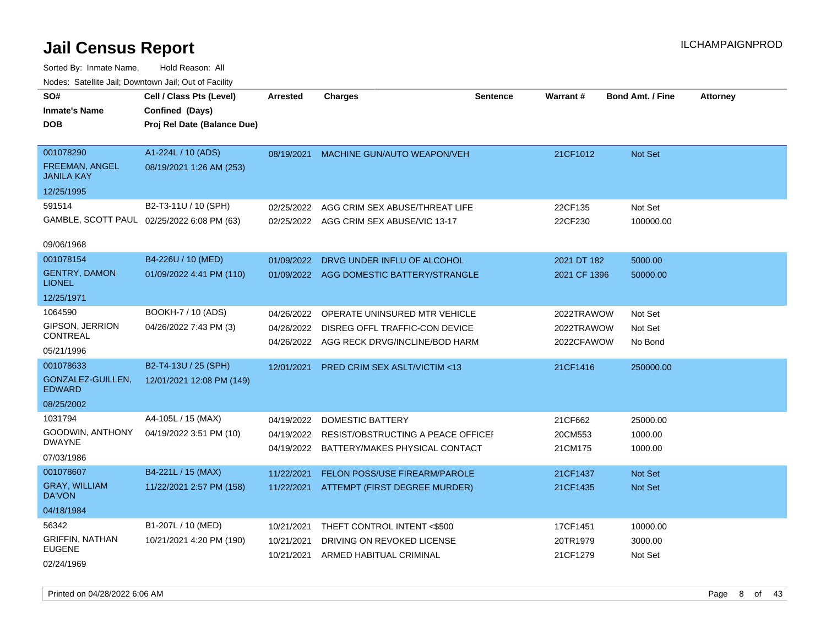| SO#<br><b>Inmate's Name</b>                      | Cell / Class Pts (Level)<br>Confined (Days)    | Arrested                 | <b>Charges</b>                                                              | <b>Sentence</b> | Warrant#                 | <b>Bond Amt. / Fine</b> | <b>Attorney</b> |
|--------------------------------------------------|------------------------------------------------|--------------------------|-----------------------------------------------------------------------------|-----------------|--------------------------|-------------------------|-----------------|
| <b>DOB</b>                                       | Proj Rel Date (Balance Due)                    |                          |                                                                             |                 |                          |                         |                 |
| 001078290<br>FREEMAN, ANGEL<br><b>JANILA KAY</b> | A1-224L / 10 (ADS)<br>08/19/2021 1:26 AM (253) | 08/19/2021               | MACHINE GUN/AUTO WEAPON/VEH                                                 |                 | 21CF1012                 | Not Set                 |                 |
| 12/25/1995                                       |                                                |                          |                                                                             |                 |                          |                         |                 |
| 591514                                           | B2-T3-11U / 10 (SPH)                           | 02/25/2022               | AGG CRIM SEX ABUSE/THREAT LIFE                                              |                 | 22CF135                  | Not Set                 |                 |
|                                                  | GAMBLE, SCOTT PAUL 02/25/2022 6:08 PM (63)     |                          | 02/25/2022 AGG CRIM SEX ABUSE/VIC 13-17                                     |                 | 22CF230                  | 100000.00               |                 |
| 09/06/1968                                       |                                                |                          |                                                                             |                 |                          |                         |                 |
| 001078154                                        | B4-226U / 10 (MED)                             | 01/09/2022               | DRVG UNDER INFLU OF ALCOHOL                                                 |                 | 2021 DT 182              | 5000.00                 |                 |
| <b>GENTRY, DAMON</b><br><b>LIONEL</b>            | 01/09/2022 4:41 PM (110)                       |                          | 01/09/2022 AGG DOMESTIC BATTERY/STRANGLE                                    |                 | 2021 CF 1396             | 50000.00                |                 |
| 12/25/1971                                       |                                                |                          |                                                                             |                 |                          |                         |                 |
| 1064590                                          | BOOKH-7 / 10 (ADS)                             | 04/26/2022               | OPERATE UNINSURED MTR VEHICLE                                               |                 | 2022TRAWOW               | Not Set                 |                 |
| GIPSON, JERRION<br>CONTREAL                      | 04/26/2022 7:43 PM (3)                         | 04/26/2022               | DISREG OFFL TRAFFIC-CON DEVICE<br>04/26/2022 AGG RECK DRVG/INCLINE/BOD HARM |                 | 2022TRAWOW<br>2022CFAWOW | Not Set<br>No Bond      |                 |
| 05/21/1996                                       |                                                |                          |                                                                             |                 |                          |                         |                 |
| 001078633                                        | B2-T4-13U / 25 (SPH)                           | 12/01/2021               | PRED CRIM SEX ASLT/VICTIM <13                                               |                 | 21CF1416                 | 250000.00               |                 |
| GONZALEZ-GUILLEN,<br><b>EDWARD</b>               | 12/01/2021 12:08 PM (149)                      |                          |                                                                             |                 |                          |                         |                 |
| 08/25/2002                                       |                                                |                          |                                                                             |                 |                          |                         |                 |
| 1031794                                          | A4-105L / 15 (MAX)                             | 04/19/2022               | DOMESTIC BATTERY                                                            |                 | 21CF662                  | 25000.00                |                 |
| GOODWIN, ANTHONY<br><b>DWAYNE</b>                | 04/19/2022 3:51 PM (10)                        |                          | 04/19/2022 RESIST/OBSTRUCTING A PEACE OFFICE                                |                 | 20CM553                  | 1000.00                 |                 |
| 07/03/1986                                       |                                                |                          | 04/19/2022 BATTERY/MAKES PHYSICAL CONTACT                                   |                 | 21CM175                  | 1000.00                 |                 |
| 001078607                                        | B4-221L / 15 (MAX)                             | 11/22/2021               | FELON POSS/USE FIREARM/PAROLE                                               |                 | 21CF1437                 | <b>Not Set</b>          |                 |
| <b>GRAY, WILLIAM</b><br>DA'VON                   | 11/22/2021 2:57 PM (158)                       | 11/22/2021               | ATTEMPT (FIRST DEGREE MURDER)                                               |                 | 21CF1435                 | Not Set                 |                 |
| 04/18/1984                                       |                                                |                          |                                                                             |                 |                          |                         |                 |
| 56342                                            | B1-207L / 10 (MED)                             | 10/21/2021               | THEFT CONTROL INTENT <\$500                                                 |                 | 17CF1451                 | 10000.00                |                 |
| <b>GRIFFIN, NATHAN</b><br>EUGENE                 | 10/21/2021 4:20 PM (190)                       | 10/21/2021<br>10/21/2021 | DRIVING ON REVOKED LICENSE<br>ARMED HABITUAL CRIMINAL                       |                 | 20TR1979<br>21CF1279     | 3000.00<br>Not Set      |                 |
| 02/24/1969                                       |                                                |                          |                                                                             |                 |                          |                         |                 |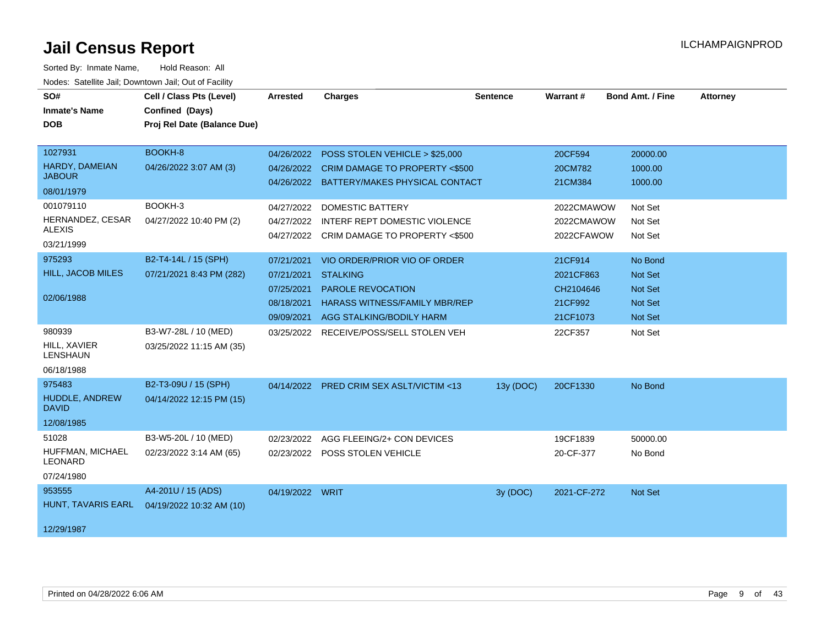| SO#<br><b>Inmate's Name</b><br><b>DOB</b>                                                                  | Cell / Class Pts (Level)<br>Confined (Days)<br>Proj Rel Date (Balance Due) | Arrested                                                           | <b>Charges</b>                                                                                                                                                                                                         | <b>Sentence</b> | Warrant#                                                                | <b>Bond Amt. / Fine</b>                                         | <b>Attorney</b> |
|------------------------------------------------------------------------------------------------------------|----------------------------------------------------------------------------|--------------------------------------------------------------------|------------------------------------------------------------------------------------------------------------------------------------------------------------------------------------------------------------------------|-----------------|-------------------------------------------------------------------------|-----------------------------------------------------------------|-----------------|
| 1027931<br>HARDY, DAMEIAN<br><b>JABOUR</b><br>08/01/1979<br>001079110<br>HERNANDEZ, CESAR<br><b>ALEXIS</b> | BOOKH-8<br>04/26/2022 3:07 AM (3)<br>BOOKH-3<br>04/27/2022 10:40 PM (2)    | 04/26/2022<br>04/26/2022<br>04/27/2022<br>04/27/2022               | POSS STOLEN VEHICLE > \$25,000<br>04/26/2022 CRIM DAMAGE TO PROPERTY <\$500<br>BATTERY/MAKES PHYSICAL CONTACT<br><b>DOMESTIC BATTERY</b><br>INTERF REPT DOMESTIC VIOLENCE<br>04/27/2022 CRIM DAMAGE TO PROPERTY <\$500 |                 | 20CF594<br>20CM782<br>21CM384<br>2022CMAWOW<br>2022CMAWOW<br>2022CFAWOW | 20000.00<br>1000.00<br>1000.00<br>Not Set<br>Not Set<br>Not Set |                 |
| 03/21/1999<br>975293<br>HILL, JACOB MILES<br>02/06/1988                                                    | B2-T4-14L / 15 (SPH)<br>07/21/2021 8:43 PM (282)                           | 07/21/2021<br>07/21/2021<br>07/25/2021<br>08/18/2021<br>09/09/2021 | VIO ORDER/PRIOR VIO OF ORDER<br><b>STALKING</b><br>PAROLE REVOCATION<br><b>HARASS WITNESS/FAMILY MBR/REP</b><br>AGG STALKING/BODILY HARM                                                                               |                 | 21CF914<br>2021CF863<br>CH2104646<br>21CF992<br>21CF1073                | No Bond<br>Not Set<br>Not Set<br>Not Set<br>Not Set             |                 |
| 980939<br>HILL, XAVIER<br><b>LENSHAUN</b><br>06/18/1988                                                    | B3-W7-28L / 10 (MED)<br>03/25/2022 11:15 AM (35)                           |                                                                    | 03/25/2022 RECEIVE/POSS/SELL STOLEN VEH                                                                                                                                                                                |                 | 22CF357                                                                 | Not Set                                                         |                 |
| 975483<br>HUDDLE, ANDREW<br><b>DAVID</b><br>12/08/1985                                                     | B2-T3-09U / 15 (SPH)<br>04/14/2022 12:15 PM (15)                           | 04/14/2022                                                         | <b>PRED CRIM SEX ASLT/VICTIM &lt;13</b>                                                                                                                                                                                | 13y (DOC)       | 20CF1330                                                                | No Bond                                                         |                 |
| 51028<br>HUFFMAN, MICHAEL<br><b>LEONARD</b><br>07/24/1980                                                  | B3-W5-20L / 10 (MED)<br>02/23/2022 3:14 AM (65)                            | 02/23/2022                                                         | AGG FLEEING/2+ CON DEVICES<br>02/23/2022 POSS STOLEN VEHICLE                                                                                                                                                           |                 | 19CF1839<br>20-CF-377                                                   | 50000.00<br>No Bond                                             |                 |
| 953555<br>HUNT, TAVARIS EARL<br>12/29/1987                                                                 | A4-201U / 15 (ADS)<br>04/19/2022 10:32 AM (10)                             | 04/19/2022 WRIT                                                    |                                                                                                                                                                                                                        | 3y (DOC)        | 2021-CF-272                                                             | Not Set                                                         |                 |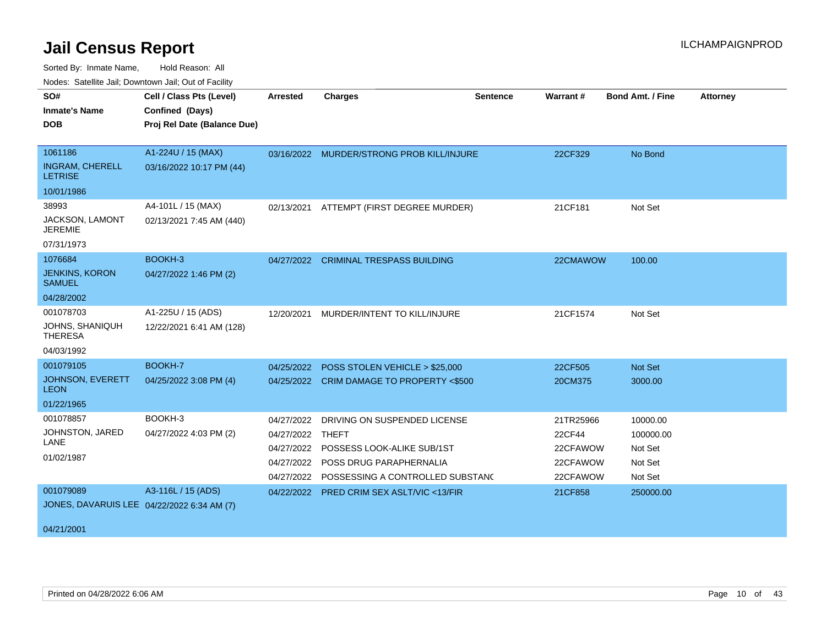| SO#                                        | Cell / Class Pts (Level)    | <b>Arrested</b> | <b>Charges</b>                            | <b>Sentence</b> | <b>Warrant#</b> | <b>Bond Amt. / Fine</b> | <b>Attorney</b> |
|--------------------------------------------|-----------------------------|-----------------|-------------------------------------------|-----------------|-----------------|-------------------------|-----------------|
| <b>Inmate's Name</b>                       | Confined (Days)             |                 |                                           |                 |                 |                         |                 |
| <b>DOB</b>                                 | Proj Rel Date (Balance Due) |                 |                                           |                 |                 |                         |                 |
|                                            |                             |                 |                                           |                 |                 |                         |                 |
| 1061186                                    | A1-224U / 15 (MAX)          | 03/16/2022      | MURDER/STRONG PROB KILL/INJURE            |                 | 22CF329         | No Bond                 |                 |
| <b>INGRAM, CHERELL</b><br><b>LETRISE</b>   | 03/16/2022 10:17 PM (44)    |                 |                                           |                 |                 |                         |                 |
| 10/01/1986                                 |                             |                 |                                           |                 |                 |                         |                 |
| 38993                                      | A4-101L / 15 (MAX)          | 02/13/2021      | ATTEMPT (FIRST DEGREE MURDER)             |                 | 21CF181         | Not Set                 |                 |
| JACKSON, LAMONT<br><b>JEREMIE</b>          | 02/13/2021 7:45 AM (440)    |                 |                                           |                 |                 |                         |                 |
| 07/31/1973                                 |                             |                 |                                           |                 |                 |                         |                 |
| 1076684                                    | BOOKH-3                     |                 | 04/27/2022 CRIMINAL TRESPASS BUILDING     |                 | 22CMAWOW        | 100.00                  |                 |
| <b>JENKINS, KORON</b><br><b>SAMUEL</b>     | 04/27/2022 1:46 PM (2)      |                 |                                           |                 |                 |                         |                 |
| 04/28/2002                                 |                             |                 |                                           |                 |                 |                         |                 |
| 001078703                                  | A1-225U / 15 (ADS)          | 12/20/2021      | MURDER/INTENT TO KILL/INJURE              |                 | 21CF1574        | Not Set                 |                 |
| <b>JOHNS, SHANIQUH</b><br><b>THERESA</b>   | 12/22/2021 6:41 AM (128)    |                 |                                           |                 |                 |                         |                 |
| 04/03/1992                                 |                             |                 |                                           |                 |                 |                         |                 |
| 001079105                                  | BOOKH-7                     | 04/25/2022      | POSS STOLEN VEHICLE > \$25,000            |                 | 22CF505         | Not Set                 |                 |
| JOHNSON, EVERETT<br><b>LEON</b>            | 04/25/2022 3:08 PM (4)      |                 | 04/25/2022 CRIM DAMAGE TO PROPERTY <\$500 |                 | 20CM375         | 3000.00                 |                 |
| 01/22/1965                                 |                             |                 |                                           |                 |                 |                         |                 |
| 001078857                                  | BOOKH-3                     | 04/27/2022      | DRIVING ON SUSPENDED LICENSE              |                 | 21TR25966       | 10000.00                |                 |
| JOHNSTON, JARED                            | 04/27/2022 4:03 PM (2)      | 04/27/2022      | THEFT                                     |                 | 22CF44          | 100000.00               |                 |
| LANE                                       |                             | 04/27/2022      | POSSESS LOOK-ALIKE SUB/1ST                |                 | 22CFAWOW        | Not Set                 |                 |
| 01/02/1987                                 |                             | 04/27/2022      | POSS DRUG PARAPHERNALIA                   |                 | 22CFAWOW        | Not Set                 |                 |
|                                            |                             | 04/27/2022      | POSSESSING A CONTROLLED SUBSTANC          |                 | 22CFAWOW        | Not Set                 |                 |
| 001079089                                  | A3-116L / 15 (ADS)          | 04/22/2022      | <b>PRED CRIM SEX ASLT/VIC &lt;13/FIR</b>  |                 | 21CF858         | 250000.00               |                 |
| JONES, DAVARUIS LEE 04/22/2022 6:34 AM (7) |                             |                 |                                           |                 |                 |                         |                 |
|                                            |                             |                 |                                           |                 |                 |                         |                 |
| 04/21/2001                                 |                             |                 |                                           |                 |                 |                         |                 |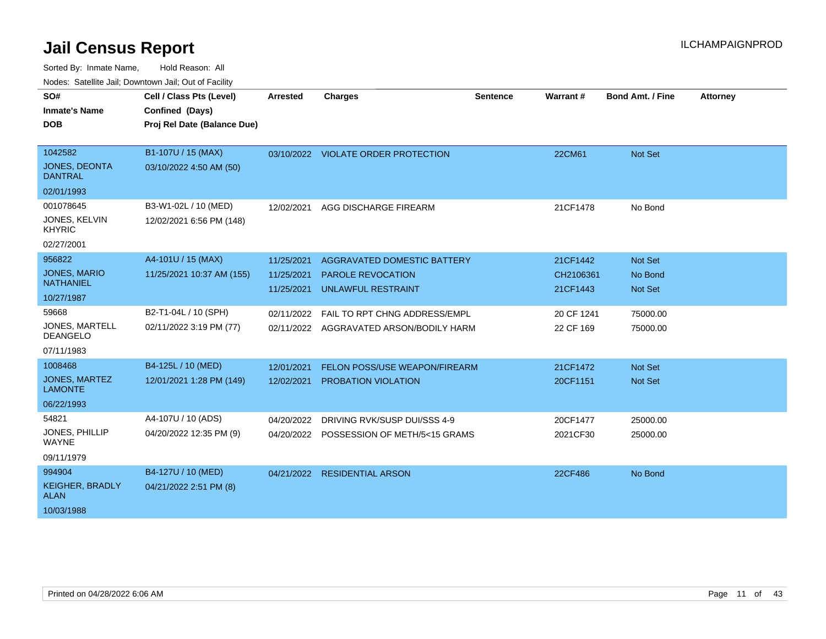| SO#                                    | Cell / Class Pts (Level)    | <b>Arrested</b> | <b>Charges</b>                           | <b>Sentence</b> | Warrant#   | Bond Amt. / Fine | <b>Attorney</b> |
|----------------------------------------|-----------------------------|-----------------|------------------------------------------|-----------------|------------|------------------|-----------------|
| <b>Inmate's Name</b>                   | Confined (Days)             |                 |                                          |                 |            |                  |                 |
| <b>DOB</b>                             | Proj Rel Date (Balance Due) |                 |                                          |                 |            |                  |                 |
|                                        |                             |                 |                                          |                 |            |                  |                 |
| 1042582                                | B1-107U / 15 (MAX)          |                 | 03/10/2022 VIOLATE ORDER PROTECTION      |                 | 22CM61     | Not Set          |                 |
| <b>JONES, DEONTA</b><br><b>DANTRAL</b> | 03/10/2022 4:50 AM (50)     |                 |                                          |                 |            |                  |                 |
| 02/01/1993                             |                             |                 |                                          |                 |            |                  |                 |
| 001078645                              | B3-W1-02L / 10 (MED)        | 12/02/2021      | AGG DISCHARGE FIREARM                    |                 | 21CF1478   | No Bond          |                 |
| <b>JONES, KELVIN</b><br><b>KHYRIC</b>  | 12/02/2021 6:56 PM (148)    |                 |                                          |                 |            |                  |                 |
| 02/27/2001                             |                             |                 |                                          |                 |            |                  |                 |
| 956822                                 | A4-101U / 15 (MAX)          | 11/25/2021      | AGGRAVATED DOMESTIC BATTERY              |                 | 21CF1442   | Not Set          |                 |
| <b>JONES, MARIO</b>                    | 11/25/2021 10:37 AM (155)   | 11/25/2021      | <b>PAROLE REVOCATION</b>                 |                 | CH2106361  | No Bond          |                 |
| <b>NATHANIEL</b>                       |                             | 11/25/2021      | <b>UNLAWFUL RESTRAINT</b>                |                 | 21CF1443   | Not Set          |                 |
| 10/27/1987                             |                             |                 |                                          |                 |            |                  |                 |
| 59668                                  | B2-T1-04L / 10 (SPH)        | 02/11/2022      | FAIL TO RPT CHNG ADDRESS/EMPL            |                 | 20 CF 1241 | 75000.00         |                 |
| JONES, MARTELL<br><b>DEANGELO</b>      | 02/11/2022 3:19 PM (77)     |                 | 02/11/2022 AGGRAVATED ARSON/BODILY HARM  |                 | 22 CF 169  | 75000.00         |                 |
| 07/11/1983                             |                             |                 |                                          |                 |            |                  |                 |
| 1008468                                | B4-125L / 10 (MED)          | 12/01/2021      | FELON POSS/USE WEAPON/FIREARM            |                 | 21CF1472   | Not Set          |                 |
| <b>JONES, MARTEZ</b><br><b>LAMONTE</b> | 12/01/2021 1:28 PM (149)    | 12/02/2021      | PROBATION VIOLATION                      |                 | 20CF1151   | Not Set          |                 |
| 06/22/1993                             |                             |                 |                                          |                 |            |                  |                 |
| 54821                                  | A4-107U / 10 (ADS)          | 04/20/2022      | DRIVING RVK/SUSP DUI/SSS 4-9             |                 | 20CF1477   | 25000.00         |                 |
| <b>JONES, PHILLIP</b><br><b>WAYNE</b>  | 04/20/2022 12:35 PM (9)     |                 | 04/20/2022 POSSESSION OF METH/5<15 GRAMS |                 | 2021CF30   | 25000.00         |                 |
| 09/11/1979                             |                             |                 |                                          |                 |            |                  |                 |
| 994904                                 | B4-127U / 10 (MED)          | 04/21/2022      | <b>RESIDENTIAL ARSON</b>                 |                 | 22CF486    | No Bond          |                 |
| <b>KEIGHER, BRADLY</b><br><b>ALAN</b>  | 04/21/2022 2:51 PM (8)      |                 |                                          |                 |            |                  |                 |
| 10/03/1988                             |                             |                 |                                          |                 |            |                  |                 |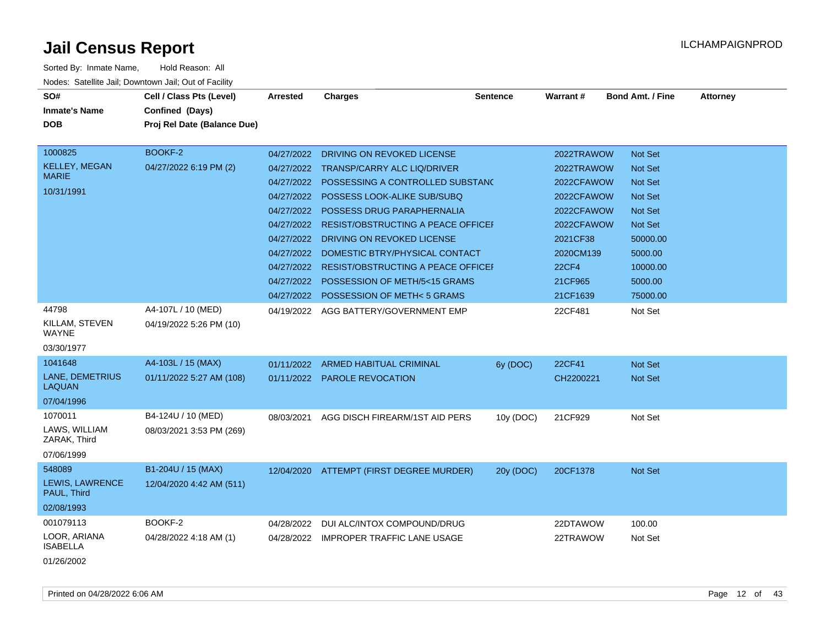| Sorted By: Inmate Name,               | Hold Reason: All                                      |                 |                                           |                 |              |                         |                 |
|---------------------------------------|-------------------------------------------------------|-----------------|-------------------------------------------|-----------------|--------------|-------------------------|-----------------|
|                                       | Nodes: Satellite Jail; Downtown Jail; Out of Facility |                 |                                           |                 |              |                         |                 |
| SO#                                   | Cell / Class Pts (Level)                              | <b>Arrested</b> | <b>Charges</b>                            | <b>Sentence</b> | Warrant#     | <b>Bond Amt. / Fine</b> | <b>Attorney</b> |
| <b>Inmate's Name</b>                  | Confined (Days)                                       |                 |                                           |                 |              |                         |                 |
| <b>DOB</b>                            | Proj Rel Date (Balance Due)                           |                 |                                           |                 |              |                         |                 |
|                                       |                                                       |                 |                                           |                 |              |                         |                 |
| 1000825                               | BOOKF-2                                               | 04/27/2022      | DRIVING ON REVOKED LICENSE                |                 | 2022TRAWOW   | <b>Not Set</b>          |                 |
| <b>KELLEY, MEGAN</b>                  | 04/27/2022 6:19 PM (2)                                | 04/27/2022      | <b>TRANSP/CARRY ALC LIQ/DRIVER</b>        |                 | 2022TRAWOW   | <b>Not Set</b>          |                 |
| <b>MARIE</b>                          |                                                       | 04/27/2022      | POSSESSING A CONTROLLED SUBSTANC          |                 | 2022CFAWOW   | <b>Not Set</b>          |                 |
| 10/31/1991                            |                                                       | 04/27/2022      | POSSESS LOOK-ALIKE SUB/SUBQ               |                 | 2022CFAWOW   | <b>Not Set</b>          |                 |
|                                       |                                                       | 04/27/2022      | POSSESS DRUG PARAPHERNALIA                |                 | 2022CFAWOW   | <b>Not Set</b>          |                 |
|                                       |                                                       | 04/27/2022      | <b>RESIST/OBSTRUCTING A PEACE OFFICEF</b> |                 | 2022CFAWOW   | <b>Not Set</b>          |                 |
|                                       |                                                       | 04/27/2022      | DRIVING ON REVOKED LICENSE                |                 | 2021CF38     | 50000.00                |                 |
|                                       |                                                       | 04/27/2022      | DOMESTIC BTRY/PHYSICAL CONTACT            |                 | 2020CM139    | 5000.00                 |                 |
|                                       |                                                       | 04/27/2022      | <b>RESIST/OBSTRUCTING A PEACE OFFICEF</b> |                 | <b>22CF4</b> | 10000.00                |                 |
|                                       |                                                       | 04/27/2022      | POSSESSION OF METH/5<15 GRAMS             |                 | 21CF965      | 5000.00                 |                 |
|                                       |                                                       | 04/27/2022      | POSSESSION OF METH<5 GRAMS                |                 | 21CF1639     | 75000.00                |                 |
| 44798                                 | A4-107L / 10 (MED)                                    | 04/19/2022      | AGG BATTERY/GOVERNMENT EMP                |                 | 22CF481      | Not Set                 |                 |
| KILLAM, STEVEN<br>WAYNE               | 04/19/2022 5:26 PM (10)                               |                 |                                           |                 |              |                         |                 |
| 03/30/1977                            |                                                       |                 |                                           |                 |              |                         |                 |
| 1041648                               | A4-103L / 15 (MAX)                                    | 01/11/2022      | <b>ARMED HABITUAL CRIMINAL</b>            | $6y$ (DOC)      | 22CF41       | <b>Not Set</b>          |                 |
| LANE, DEMETRIUS<br><b>LAQUAN</b>      | 01/11/2022 5:27 AM (108)                              |                 | 01/11/2022 PAROLE REVOCATION              |                 | CH2200221    | Not Set                 |                 |
| 07/04/1996                            |                                                       |                 |                                           |                 |              |                         |                 |
| 1070011                               | B4-124U / 10 (MED)                                    | 08/03/2021      | AGG DISCH FIREARM/1ST AID PERS            | 10y (DOC)       | 21CF929      | Not Set                 |                 |
| LAWS, WILLIAM<br>ZARAK, Third         | 08/03/2021 3:53 PM (269)                              |                 |                                           |                 |              |                         |                 |
| 07/06/1999                            |                                                       |                 |                                           |                 |              |                         |                 |
| 548089                                | B1-204U / 15 (MAX)                                    |                 | 12/04/2020 ATTEMPT (FIRST DEGREE MURDER)  | 20y (DOC)       | 20CF1378     | Not Set                 |                 |
| <b>LEWIS, LAWRENCE</b><br>PAUL, Third | 12/04/2020 4:42 AM (511)                              |                 |                                           |                 |              |                         |                 |
| 02/08/1993                            |                                                       |                 |                                           |                 |              |                         |                 |
| 001079113                             | BOOKF-2                                               | 04/28/2022      | DUI ALC/INTOX COMPOUND/DRUG               |                 | 22DTAWOW     | 100.00                  |                 |
| LOOR, ARIANA<br><b>ISABELLA</b>       | 04/28/2022 4:18 AM (1)                                | 04/28/2022      | <b>IMPROPER TRAFFIC LANE USAGE</b>        |                 | 22TRAWOW     | Not Set                 |                 |
| 01/26/2002                            |                                                       |                 |                                           |                 |              |                         |                 |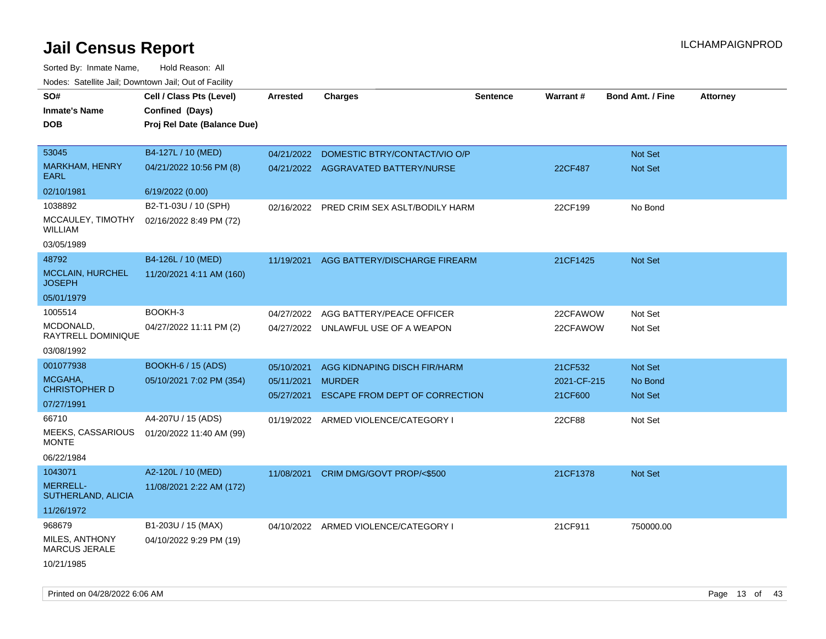| SO#<br><b>Inmate's Name</b><br><b>DOB</b>                                                                       | Cell / Class Pts (Level)<br>Confined (Days)<br>Proj Rel Date (Balance Due)                              | Arrested                               | <b>Charges</b>                                                                                                          | Sentence | <b>Warrant#</b>                             | <b>Bond Amt. / Fine</b>                                | <b>Attorney</b> |
|-----------------------------------------------------------------------------------------------------------------|---------------------------------------------------------------------------------------------------------|----------------------------------------|-------------------------------------------------------------------------------------------------------------------------|----------|---------------------------------------------|--------------------------------------------------------|-----------------|
| 53045<br><b>MARKHAM, HENRY</b><br>EARL                                                                          | B4-127L / 10 (MED)<br>04/21/2022 10:56 PM (8)                                                           | 04/21/2022                             | DOMESTIC BTRY/CONTACT/VIO O/P<br>04/21/2022 AGGRAVATED BATTERY/NURSE                                                    |          | 22CF487                                     | Not Set<br>Not Set                                     |                 |
| 02/10/1981<br>1038892<br>MCCAULEY, TIMOTHY<br>WILLIAM<br>03/05/1989                                             | 6/19/2022 (0.00)<br>B2-T1-03U / 10 (SPH)<br>02/16/2022 8:49 PM (72)                                     | 02/16/2022                             | PRED CRIM SEX ASLT/BODILY HARM                                                                                          |          | 22CF199                                     | No Bond                                                |                 |
| 48792<br>MCCLAIN, HURCHEL<br><b>JOSEPH</b><br>05/01/1979                                                        | B4-126L / 10 (MED)<br>11/20/2021 4:11 AM (160)                                                          | 11/19/2021                             | AGG BATTERY/DISCHARGE FIREARM                                                                                           |          | 21CF1425                                    | Not Set                                                |                 |
| 1005514<br>MCDONALD,<br>RAYTRELL DOMINIQUE<br>03/08/1992                                                        | BOOKH-3<br>04/27/2022 11:11 PM (2)                                                                      | 04/27/2022                             | AGG BATTERY/PEACE OFFICER<br>04/27/2022 UNLAWFUL USE OF A WEAPON                                                        |          | 22CFAWOW<br>22CFAWOW                        | Not Set<br>Not Set                                     |                 |
| 001077938<br>MCGAHA,<br><b>CHRISTOPHER D</b><br>07/27/1991<br>66710<br><b>MEEKS, CASSARIOUS</b><br><b>MONTE</b> | <b>BOOKH-6 / 15 (ADS)</b><br>05/10/2021 7:02 PM (354)<br>A4-207U / 15 (ADS)<br>01/20/2022 11:40 AM (99) | 05/10/2021<br>05/11/2021<br>05/27/2021 | AGG KIDNAPING DISCH FIR/HARM<br><b>MURDER</b><br>ESCAPE FROM DEPT OF CORRECTION<br>01/19/2022 ARMED VIOLENCE/CATEGORY I |          | 21CF532<br>2021-CF-215<br>21CF600<br>22CF88 | <b>Not Set</b><br>No Bond<br><b>Not Set</b><br>Not Set |                 |
| 06/22/1984<br>1043071<br><b>MERRELL-</b><br>SUTHERLAND, ALICIA<br>11/26/1972                                    | A2-120L / 10 (MED)<br>11/08/2021 2:22 AM (172)                                                          | 11/08/2021                             | CRIM DMG/GOVT PROP/<\$500                                                                                               |          | 21CF1378                                    | <b>Not Set</b>                                         |                 |
| 968679<br>MILES, ANTHONY<br><b>MARCUS JERALE</b><br>10/21/1985                                                  | B1-203U / 15 (MAX)<br>04/10/2022 9:29 PM (19)                                                           |                                        | 04/10/2022 ARMED VIOLENCE/CATEGORY I                                                                                    |          | 21CF911                                     | 750000.00                                              |                 |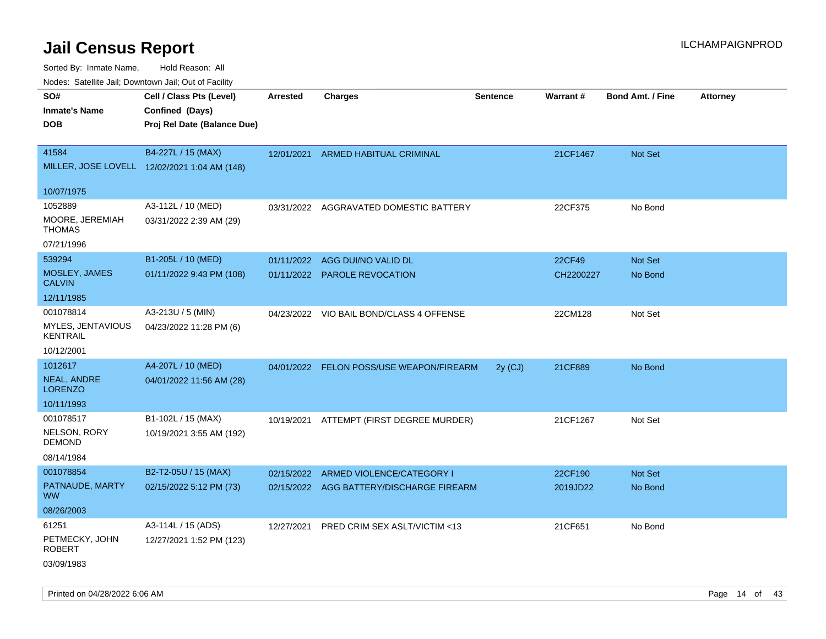| Nodes: Satellite Jali, Downtown Jali, Out of Facility |                                              |                 |                                          |                 |           |                  |                 |
|-------------------------------------------------------|----------------------------------------------|-----------------|------------------------------------------|-----------------|-----------|------------------|-----------------|
| SO#                                                   | Cell / Class Pts (Level)                     | <b>Arrested</b> | <b>Charges</b>                           | <b>Sentence</b> | Warrant#  | Bond Amt. / Fine | <b>Attorney</b> |
| <b>Inmate's Name</b>                                  | Confined (Days)                              |                 |                                          |                 |           |                  |                 |
| <b>DOB</b>                                            | Proj Rel Date (Balance Due)                  |                 |                                          |                 |           |                  |                 |
|                                                       |                                              |                 |                                          |                 |           |                  |                 |
| 41584                                                 | B4-227L / 15 (MAX)                           | 12/01/2021      | <b>ARMED HABITUAL CRIMINAL</b>           |                 | 21CF1467  | Not Set          |                 |
|                                                       | MILLER, JOSE LOVELL 12/02/2021 1:04 AM (148) |                 |                                          |                 |           |                  |                 |
|                                                       |                                              |                 |                                          |                 |           |                  |                 |
| 10/07/1975                                            |                                              |                 |                                          |                 |           |                  |                 |
| 1052889                                               | A3-112L / 10 (MED)                           | 03/31/2022      | AGGRAVATED DOMESTIC BATTERY              |                 | 22CF375   | No Bond          |                 |
| MOORE, JEREMIAH                                       | 03/31/2022 2:39 AM (29)                      |                 |                                          |                 |           |                  |                 |
| <b>THOMAS</b>                                         |                                              |                 |                                          |                 |           |                  |                 |
| 07/21/1996                                            |                                              |                 |                                          |                 |           |                  |                 |
| 539294                                                | B1-205L / 10 (MED)                           | 01/11/2022      | AGG DUI/NO VALID DL                      |                 | 22CF49    | Not Set          |                 |
| MOSLEY, JAMES<br><b>CALVIN</b>                        | 01/11/2022 9:43 PM (108)                     | 01/11/2022      | <b>PAROLE REVOCATION</b>                 |                 | CH2200227 | No Bond          |                 |
| 12/11/1985                                            |                                              |                 |                                          |                 |           |                  |                 |
| 001078814                                             | A3-213U / 5 (MIN)                            |                 |                                          |                 |           |                  |                 |
| MYLES, JENTAVIOUS                                     |                                              |                 | 04/23/2022 VIO BAIL BOND/CLASS 4 OFFENSE |                 | 22CM128   | Not Set          |                 |
| <b>KENTRAIL</b>                                       | 04/23/2022 11:28 PM (6)                      |                 |                                          |                 |           |                  |                 |
| 10/12/2001                                            |                                              |                 |                                          |                 |           |                  |                 |
| 1012617                                               | A4-207L / 10 (MED)                           |                 | 04/01/2022 FELON POSS/USE WEAPON/FIREARM | 2y (CJ)         | 21CF889   | No Bond          |                 |
| NEAL, ANDRE                                           | 04/01/2022 11:56 AM (28)                     |                 |                                          |                 |           |                  |                 |
| <b>LORENZO</b>                                        |                                              |                 |                                          |                 |           |                  |                 |
| 10/11/1993                                            |                                              |                 |                                          |                 |           |                  |                 |
| 001078517                                             | B1-102L / 15 (MAX)                           | 10/19/2021      | ATTEMPT (FIRST DEGREE MURDER)            |                 | 21CF1267  | Not Set          |                 |
| NELSON, RORY                                          | 10/19/2021 3:55 AM (192)                     |                 |                                          |                 |           |                  |                 |
| <b>DEMOND</b>                                         |                                              |                 |                                          |                 |           |                  |                 |
| 08/14/1984                                            |                                              |                 |                                          |                 |           |                  |                 |
| 001078854                                             | B2-T2-05U / 15 (MAX)                         |                 | 02/15/2022 ARMED VIOLENCE/CATEGORY I     |                 | 22CF190   | <b>Not Set</b>   |                 |
| PATNAUDE, MARTY                                       | 02/15/2022 5:12 PM (73)                      |                 | 02/15/2022 AGG BATTERY/DISCHARGE FIREARM |                 | 2019JD22  | No Bond          |                 |
| <b>WW</b>                                             |                                              |                 |                                          |                 |           |                  |                 |
| 08/26/2003                                            |                                              |                 |                                          |                 |           |                  |                 |
| 61251                                                 | A3-114L / 15 (ADS)                           | 12/27/2021      | PRED CRIM SEX ASLT/VICTIM <13            |                 | 21CF651   | No Bond          |                 |
| PETMECKY, JOHN<br><b>ROBERT</b>                       | 12/27/2021 1:52 PM (123)                     |                 |                                          |                 |           |                  |                 |
| 03/09/1983                                            |                                              |                 |                                          |                 |           |                  |                 |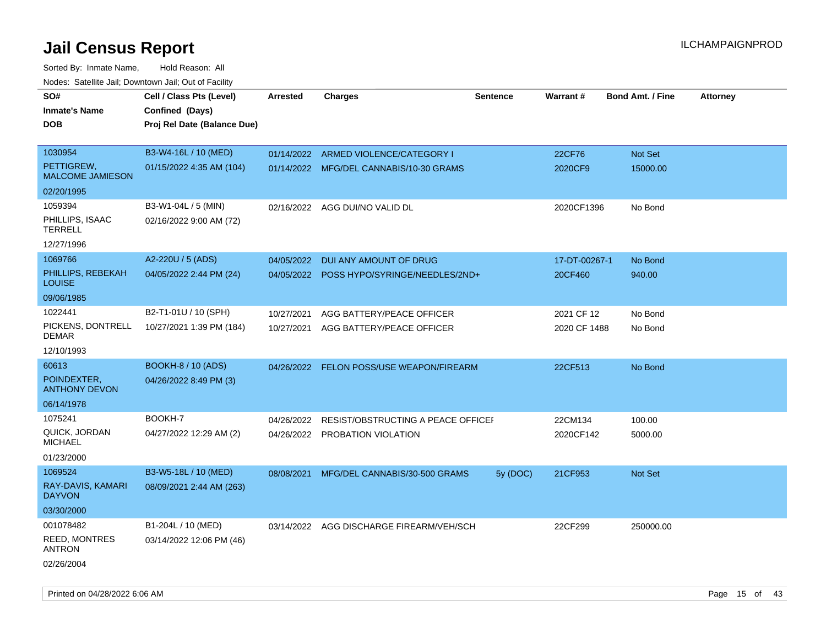| SO#<br>Inmate's Name<br><b>DOB</b>                                       | Cell / Class Pts (Level)<br>Confined (Days)<br>Proj Rel Date (Balance Due) | <b>Arrested</b>          | <b>Charges</b>                                                       | <b>Sentence</b> | Warrant#                   | <b>Bond Amt. / Fine</b> | <b>Attorney</b> |
|--------------------------------------------------------------------------|----------------------------------------------------------------------------|--------------------------|----------------------------------------------------------------------|-----------------|----------------------------|-------------------------|-----------------|
| 1030954<br>PETTIGREW,<br><b>MALCOME JAMIESON</b>                         | B3-W4-16L / 10 (MED)<br>01/15/2022 4:35 AM (104)                           | 01/14/2022               | ARMED VIOLENCE/CATEGORY I<br>01/14/2022 MFG/DEL CANNABIS/10-30 GRAMS |                 | 22CF76<br>2020CF9          | Not Set<br>15000.00     |                 |
| 02/20/1995<br>1059394<br>PHILLIPS, ISAAC<br><b>TERRELL</b><br>12/27/1996 | B3-W1-04L / 5 (MIN)<br>02/16/2022 9:00 AM (72)                             |                          | 02/16/2022 AGG DUI/NO VALID DL                                       |                 | 2020CF1396                 | No Bond                 |                 |
| 1069766<br>PHILLIPS, REBEKAH<br><b>LOUISE</b>                            | A2-220U / 5 (ADS)<br>04/05/2022 2:44 PM (24)                               | 04/05/2022               | DUI ANY AMOUNT OF DRUG<br>04/05/2022 POSS HYPO/SYRINGE/NEEDLES/2ND+  |                 | 17-DT-00267-1<br>20CF460   | No Bond<br>940.00       |                 |
| 09/06/1985<br>1022441<br>PICKENS, DONTRELL<br>DEMAR<br>12/10/1993        | B2-T1-01U / 10 (SPH)<br>10/27/2021 1:39 PM (184)                           | 10/27/2021<br>10/27/2021 | AGG BATTERY/PEACE OFFICER<br>AGG BATTERY/PEACE OFFICER               |                 | 2021 CF 12<br>2020 CF 1488 | No Bond<br>No Bond      |                 |
| 60613<br>POINDEXTER,<br><b>ANTHONY DEVON</b><br>06/14/1978               | <b>BOOKH-8 / 10 (ADS)</b><br>04/26/2022 8:49 PM (3)                        |                          | 04/26/2022 FELON POSS/USE WEAPON/FIREARM                             |                 | 22CF513                    | No Bond                 |                 |
| 1075241<br>QUICK, JORDAN<br><b>MICHAEL</b><br>01/23/2000                 | BOOKH-7<br>04/27/2022 12:29 AM (2)                                         | 04/26/2022               | RESIST/OBSTRUCTING A PEACE OFFICEI<br>04/26/2022 PROBATION VIOLATION |                 | 22CM134<br>2020CF142       | 100.00<br>5000.00       |                 |
| 1069524<br>RAY-DAVIS, KAMARI<br><b>DAYVON</b><br>03/30/2000              | B3-W5-18L / 10 (MED)<br>08/09/2021 2:44 AM (263)                           | 08/08/2021               | MFG/DEL CANNABIS/30-500 GRAMS                                        | 5y (DOC)        | 21CF953                    | Not Set                 |                 |
| 001078482<br><b>REED, MONTRES</b><br><b>ANTRON</b><br>02/26/2004         | B1-204L / 10 (MED)<br>03/14/2022 12:06 PM (46)                             |                          | 03/14/2022 AGG DISCHARGE FIREARM/VEH/SCH                             |                 | 22CF299                    | 250000.00               |                 |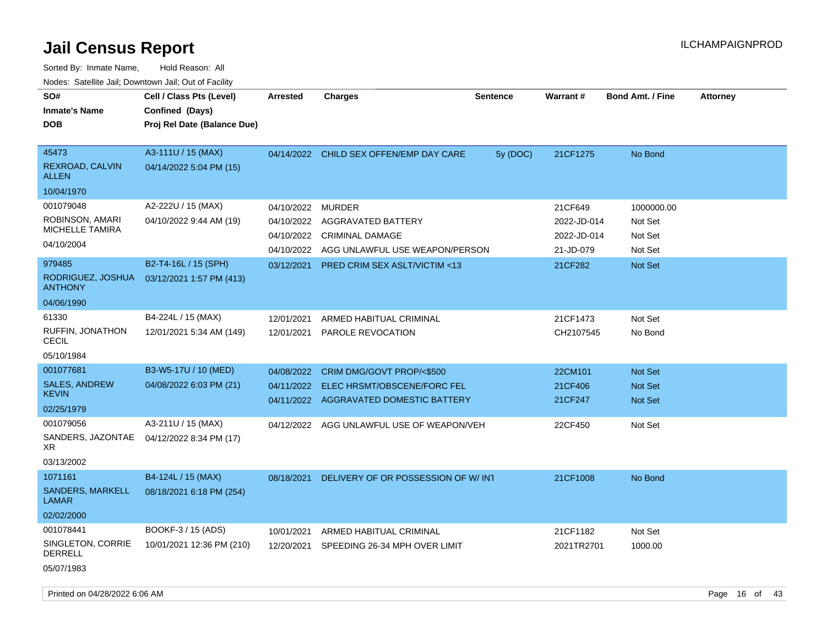| SO#<br><b>Inmate's Name</b><br><b>DOB</b>                                                                             | Cell / Class Pts (Level)<br>Confined (Days)<br>Proj Rel Date (Balance Due)                        | <b>Arrested</b>                                                    | <b>Charges</b>                                                                                                                             | <b>Sentence</b> | <b>Warrant#</b>                                               | <b>Bond Amt. / Fine</b>                                | <b>Attorney</b> |
|-----------------------------------------------------------------------------------------------------------------------|---------------------------------------------------------------------------------------------------|--------------------------------------------------------------------|--------------------------------------------------------------------------------------------------------------------------------------------|-----------------|---------------------------------------------------------------|--------------------------------------------------------|-----------------|
| 45473<br>REXROAD, CALVIN<br><b>ALLEN</b><br>10/04/1970                                                                | A3-111U / 15 (MAX)<br>04/14/2022 5:04 PM (15)                                                     | 04/14/2022                                                         | CHILD SEX OFFEN/EMP DAY CARE                                                                                                               | 5y (DOC)        | 21CF1275                                                      | No Bond                                                |                 |
| 001079048<br>ROBINSON, AMARI<br><b>MICHELLE TAMIRA</b><br>04/10/2004<br>979485<br>RODRIGUEZ, JOSHUA<br><b>ANTHONY</b> | A2-222U / 15 (MAX)<br>04/10/2022 9:44 AM (19)<br>B2-T4-16L / 15 (SPH)<br>03/12/2021 1:57 PM (413) | 04/10/2022<br>04/10/2022<br>04/10/2022<br>04/10/2022<br>03/12/2021 | <b>MURDER</b><br>AGGRAVATED BATTERY<br><b>CRIMINAL DAMAGE</b><br>AGG UNLAWFUL USE WEAPON/PERSON<br><b>PRED CRIM SEX ASLT/VICTIM &lt;13</b> |                 | 21CF649<br>2022-JD-014<br>2022-JD-014<br>21-JD-079<br>21CF282 | 1000000.00<br>Not Set<br>Not Set<br>Not Set<br>Not Set |                 |
| 04/06/1990<br>61330<br>RUFFIN, JONATHON<br>CECIL<br>05/10/1984                                                        | B4-224L / 15 (MAX)<br>12/01/2021 5:34 AM (149)                                                    | 12/01/2021<br>12/01/2021                                           | ARMED HABITUAL CRIMINAL<br><b>PAROLE REVOCATION</b>                                                                                        |                 | 21CF1473<br>CH2107545                                         | Not Set<br>No Bond                                     |                 |
| 001077681<br><b>SALES, ANDREW</b><br><b>KEVIN</b><br>02/25/1979                                                       | B3-W5-17U / 10 (MED)<br>04/08/2022 6:03 PM (21)                                                   | 04/08/2022<br>04/11/2022                                           | CRIM DMG/GOVT PROP/<\$500<br>ELEC HRSMT/OBSCENE/FORC FEL<br>04/11/2022 AGGRAVATED DOMESTIC BATTERY                                         |                 | 22CM101<br>21CF406<br>21CF247                                 | <b>Not Set</b><br>Not Set<br>Not Set                   |                 |
| 001079056<br>SANDERS, JAZONTAE<br>XR.<br>03/13/2002                                                                   | A3-211U / 15 (MAX)<br>04/12/2022 8:34 PM (17)                                                     | 04/12/2022                                                         | AGG UNLAWFUL USE OF WEAPON/VEH                                                                                                             |                 | 22CF450                                                       | Not Set                                                |                 |
| 1071161<br>SANDERS, MARKELL<br>LAMAR<br>02/02/2000                                                                    | B4-124L / 15 (MAX)<br>08/18/2021 6:18 PM (254)                                                    | 08/18/2021                                                         | DELIVERY OF OR POSSESSION OF W/INT                                                                                                         |                 | 21CF1008                                                      | No Bond                                                |                 |
| 001078441<br>SINGLETON, CORRIE<br>DERRELL<br>05/07/1983                                                               | BOOKF-3 / 15 (ADS)<br>10/01/2021 12:36 PM (210)                                                   | 10/01/2021<br>12/20/2021                                           | ARMED HABITUAL CRIMINAL<br>SPEEDING 26-34 MPH OVER LIMIT                                                                                   |                 | 21CF1182<br>2021TR2701                                        | Not Set<br>1000.00                                     |                 |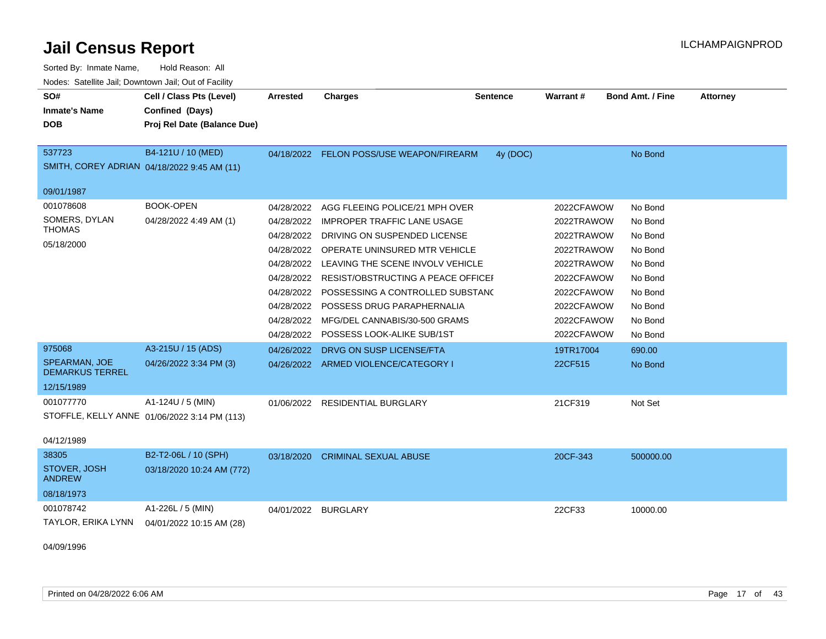| Sorted By: Inmate Name,                               | Hold Reason: All                             |                 |                                              |                 |            |                         |          |
|-------------------------------------------------------|----------------------------------------------|-----------------|----------------------------------------------|-----------------|------------|-------------------------|----------|
| Nodes: Satellite Jail; Downtown Jail; Out of Facility |                                              |                 |                                              |                 |            |                         |          |
| SO#                                                   | Cell / Class Pts (Level)                     | <b>Arrested</b> | <b>Charges</b>                               | <b>Sentence</b> | Warrant#   | <b>Bond Amt. / Fine</b> | Attorney |
| <b>Inmate's Name</b>                                  | Confined (Days)                              |                 |                                              |                 |            |                         |          |
| <b>DOB</b>                                            | Proj Rel Date (Balance Due)                  |                 |                                              |                 |            |                         |          |
|                                                       |                                              |                 |                                              |                 |            |                         |          |
| 537723                                                | B4-121U / 10 (MED)                           |                 | 04/18/2022 FELON POSS/USE WEAPON/FIREARM     | 4y (DOC)        |            | No Bond                 |          |
|                                                       | SMITH, COREY ADRIAN 04/18/2022 9:45 AM (11)  |                 |                                              |                 |            |                         |          |
|                                                       |                                              |                 |                                              |                 |            |                         |          |
| 09/01/1987                                            |                                              |                 |                                              |                 |            |                         |          |
| 001078608                                             | <b>BOOK-OPEN</b>                             | 04/28/2022      | AGG FLEEING POLICE/21 MPH OVER               |                 | 2022CFAWOW | No Bond                 |          |
| SOMERS, DYLAN<br><b>THOMAS</b>                        | 04/28/2022 4:49 AM (1)                       | 04/28/2022      | <b>IMPROPER TRAFFIC LANE USAGE</b>           |                 | 2022TRAWOW | No Bond                 |          |
| 05/18/2000                                            |                                              | 04/28/2022      | DRIVING ON SUSPENDED LICENSE                 |                 | 2022TRAWOW | No Bond                 |          |
|                                                       |                                              | 04/28/2022      | OPERATE UNINSURED MTR VEHICLE                |                 | 2022TRAWOW | No Bond                 |          |
|                                                       |                                              | 04/28/2022      | LEAVING THE SCENE INVOLV VEHICLE             |                 | 2022TRAWOW | No Bond                 |          |
|                                                       |                                              |                 | 04/28/2022 RESIST/OBSTRUCTING A PEACE OFFICE |                 | 2022CFAWOW | No Bond                 |          |
|                                                       |                                              | 04/28/2022      | POSSESSING A CONTROLLED SUBSTAND             |                 | 2022CFAWOW | No Bond                 |          |
|                                                       |                                              | 04/28/2022      | POSSESS DRUG PARAPHERNALIA                   |                 | 2022CFAWOW | No Bond                 |          |
|                                                       |                                              | 04/28/2022      | MFG/DEL CANNABIS/30-500 GRAMS                |                 | 2022CFAWOW | No Bond                 |          |
|                                                       |                                              | 04/28/2022      | POSSESS LOOK-ALIKE SUB/1ST                   |                 | 2022CFAWOW | No Bond                 |          |
| 975068                                                | A3-215U / 15 (ADS)                           | 04/26/2022      | DRVG ON SUSP LICENSE/FTA                     |                 | 19TR17004  | 690.00                  |          |
| <b>SPEARMAN, JOE</b>                                  | 04/26/2022 3:34 PM (3)                       |                 | 04/26/2022 ARMED VIOLENCE/CATEGORY I         |                 | 22CF515    | No Bond                 |          |
| <b>DEMARKUS TERREL</b>                                |                                              |                 |                                              |                 |            |                         |          |
| 12/15/1989                                            |                                              |                 |                                              |                 |            |                         |          |
| 001077770                                             | A1-124U / 5 (MIN)                            |                 | 01/06/2022 RESIDENTIAL BURGLARY              |                 | 21CF319    | Not Set                 |          |
|                                                       | STOFFLE, KELLY ANNE 01/06/2022 3:14 PM (113) |                 |                                              |                 |            |                         |          |
|                                                       |                                              |                 |                                              |                 |            |                         |          |
| 04/12/1989                                            |                                              |                 |                                              |                 |            |                         |          |
| 38305                                                 | B2-T2-06L / 10 (SPH)                         | 03/18/2020      | <b>CRIMINAL SEXUAL ABUSE</b>                 |                 | 20CF-343   | 500000.00               |          |
| STOVER, JOSH<br><b>ANDREW</b>                         | 03/18/2020 10:24 AM (772)                    |                 |                                              |                 |            |                         |          |
| 08/18/1973                                            |                                              |                 |                                              |                 |            |                         |          |
| 001078742                                             | A1-226L / 5 (MIN)                            | 04/01/2022      | <b>BURGLARY</b>                              |                 | 22CF33     | 10000.00                |          |
| TAYLOR, ERIKA LYNN                                    | 04/01/2022 10:15 AM (28)                     |                 |                                              |                 |            |                         |          |
|                                                       |                                              |                 |                                              |                 |            |                         |          |

04/09/1996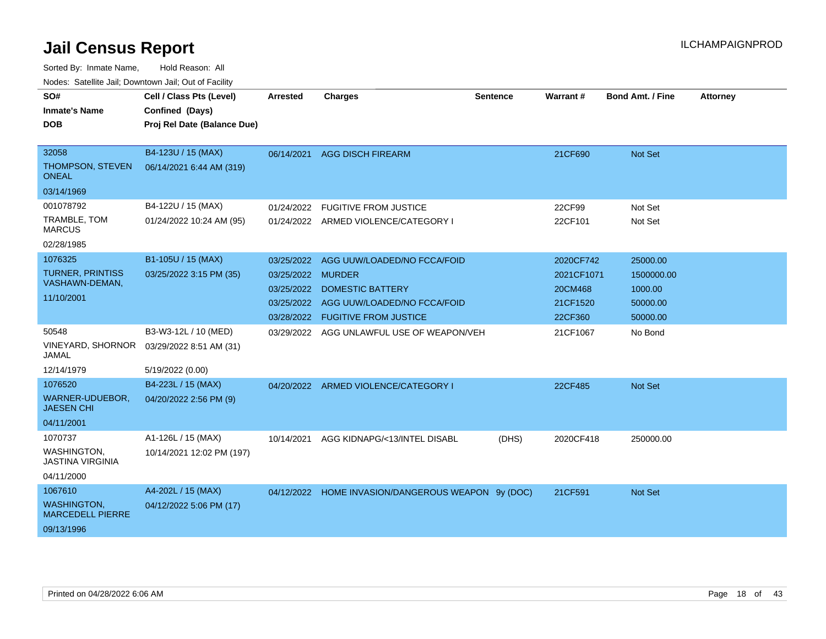| voucs. Oatchite sail, Downtown sail, Out of Facility |                             |                 |                                                    |                 |                 |                         |                 |
|------------------------------------------------------|-----------------------------|-----------------|----------------------------------------------------|-----------------|-----------------|-------------------------|-----------------|
| SO#                                                  | Cell / Class Pts (Level)    | <b>Arrested</b> | <b>Charges</b>                                     | <b>Sentence</b> | <b>Warrant#</b> | <b>Bond Amt. / Fine</b> | <b>Attorney</b> |
| <b>Inmate's Name</b>                                 | Confined (Days)             |                 |                                                    |                 |                 |                         |                 |
| <b>DOB</b>                                           | Proj Rel Date (Balance Due) |                 |                                                    |                 |                 |                         |                 |
|                                                      |                             |                 |                                                    |                 |                 |                         |                 |
| 32058                                                | B4-123U / 15 (MAX)          |                 | 06/14/2021 AGG DISCH FIREARM                       |                 | 21CF690         | <b>Not Set</b>          |                 |
| THOMPSON, STEVEN<br><b>ONEAL</b>                     | 06/14/2021 6:44 AM (319)    |                 |                                                    |                 |                 |                         |                 |
| 03/14/1969                                           |                             |                 |                                                    |                 |                 |                         |                 |
| 001078792                                            | B4-122U / 15 (MAX)          | 01/24/2022      | <b>FUGITIVE FROM JUSTICE</b>                       |                 | 22CF99          | Not Set                 |                 |
| TRAMBLE, TOM<br><b>MARCUS</b>                        | 01/24/2022 10:24 AM (95)    |                 | 01/24/2022 ARMED VIOLENCE/CATEGORY I               |                 | 22CF101         | Not Set                 |                 |
| 02/28/1985                                           |                             |                 |                                                    |                 |                 |                         |                 |
| 1076325                                              | B1-105U / 15 (MAX)          | 03/25/2022      | AGG UUW/LOADED/NO FCCA/FOID                        |                 | 2020CF742       | 25000.00                |                 |
| <b>TURNER, PRINTISS</b>                              | 03/25/2022 3:15 PM (35)     | 03/25/2022      | <b>MURDER</b>                                      |                 | 2021CF1071      | 1500000.00              |                 |
| VASHAWN-DEMAN,                                       |                             | 03/25/2022      | DOMESTIC BATTERY                                   |                 | 20CM468         | 1000.00                 |                 |
| 11/10/2001                                           |                             | 03/25/2022      | AGG UUW/LOADED/NO FCCA/FOID                        |                 | 21CF1520        | 50000.00                |                 |
|                                                      |                             |                 | 03/28/2022 FUGITIVE FROM JUSTICE                   |                 | 22CF360         | 50000.00                |                 |
| 50548                                                | B3-W3-12L / 10 (MED)        |                 | 03/29/2022 AGG UNLAWFUL USE OF WEAPON/VEH          |                 | 21CF1067        | No Bond                 |                 |
| <b>VINEYARD, SHORNOR</b><br>JAMAL                    | 03/29/2022 8:51 AM (31)     |                 |                                                    |                 |                 |                         |                 |
| 12/14/1979                                           | 5/19/2022 (0.00)            |                 |                                                    |                 |                 |                         |                 |
| 1076520                                              | B4-223L / 15 (MAX)          |                 | 04/20/2022 ARMED VIOLENCE/CATEGORY I               |                 | 22CF485         | <b>Not Set</b>          |                 |
| WARNER-UDUEBOR,<br><b>JAESEN CHI</b>                 | 04/20/2022 2:56 PM (9)      |                 |                                                    |                 |                 |                         |                 |
| 04/11/2001                                           |                             |                 |                                                    |                 |                 |                         |                 |
| 1070737                                              | A1-126L / 15 (MAX)          | 10/14/2021      | AGG KIDNAPG/<13/INTEL DISABL                       | (DHS)           | 2020CF418       | 250000.00               |                 |
| WASHINGTON,<br>JASTINA VIRGINIA                      | 10/14/2021 12:02 PM (197)   |                 |                                                    |                 |                 |                         |                 |
| 04/11/2000                                           |                             |                 |                                                    |                 |                 |                         |                 |
| 1067610                                              | A4-202L / 15 (MAX)          |                 | 04/12/2022 HOME INVASION/DANGEROUS WEAPON 9y (DOC) |                 | 21CF591         | Not Set                 |                 |
| <b>WASHINGTON,</b><br><b>MARCEDELL PIERRE</b>        | 04/12/2022 5:06 PM (17)     |                 |                                                    |                 |                 |                         |                 |
| 09/13/1996                                           |                             |                 |                                                    |                 |                 |                         |                 |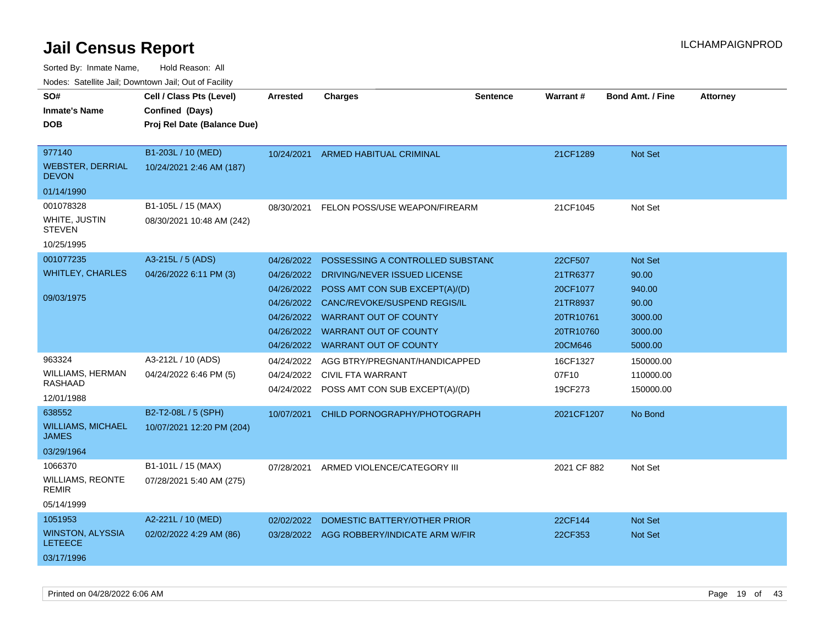| SO#                                       | Cell / Class Pts (Level)    | <b>Arrested</b> | <b>Charges</b>                            | <b>Sentence</b> | Warrant#    | <b>Bond Amt. / Fine</b> | <b>Attorney</b> |
|-------------------------------------------|-----------------------------|-----------------|-------------------------------------------|-----------------|-------------|-------------------------|-----------------|
| <b>Inmate's Name</b>                      | Confined (Days)             |                 |                                           |                 |             |                         |                 |
| DOB                                       | Proj Rel Date (Balance Due) |                 |                                           |                 |             |                         |                 |
|                                           |                             |                 |                                           |                 |             |                         |                 |
| 977140                                    | B1-203L / 10 (MED)          | 10/24/2021      | ARMED HABITUAL CRIMINAL                   |                 | 21CF1289    | Not Set                 |                 |
| <b>WEBSTER, DERRIAL</b><br><b>DEVON</b>   | 10/24/2021 2:46 AM (187)    |                 |                                           |                 |             |                         |                 |
| 01/14/1990                                |                             |                 |                                           |                 |             |                         |                 |
| 001078328                                 | B1-105L / 15 (MAX)          | 08/30/2021      | FELON POSS/USE WEAPON/FIREARM             |                 | 21CF1045    | Not Set                 |                 |
| WHITE, JUSTIN<br><b>STEVEN</b>            | 08/30/2021 10:48 AM (242)   |                 |                                           |                 |             |                         |                 |
| 10/25/1995                                |                             |                 |                                           |                 |             |                         |                 |
| 001077235                                 | A3-215L / 5 (ADS)           | 04/26/2022      | POSSESSING A CONTROLLED SUBSTANC          |                 | 22CF507     | <b>Not Set</b>          |                 |
| <b>WHITLEY, CHARLES</b>                   | 04/26/2022 6:11 PM (3)      | 04/26/2022      | DRIVING/NEVER ISSUED LICENSE              |                 | 21TR6377    | 90.00                   |                 |
|                                           |                             | 04/26/2022      | POSS AMT CON SUB EXCEPT(A)/(D)            |                 | 20CF1077    | 940.00                  |                 |
| 09/03/1975                                |                             | 04/26/2022      | CANC/REVOKE/SUSPEND REGIS/IL              |                 | 21TR8937    | 90.00                   |                 |
|                                           |                             |                 | 04/26/2022 WARRANT OUT OF COUNTY          |                 | 20TR10761   | 3000.00                 |                 |
|                                           |                             | 04/26/2022      | <b>WARRANT OUT OF COUNTY</b>              |                 | 20TR10760   | 3000.00                 |                 |
|                                           |                             | 04/26/2022      | <b>WARRANT OUT OF COUNTY</b>              |                 | 20CM646     | 5000.00                 |                 |
| 963324                                    | A3-212L / 10 (ADS)          | 04/24/2022      | AGG BTRY/PREGNANT/HANDICAPPED             |                 | 16CF1327    | 150000.00               |                 |
| WILLIAMS, HERMAN                          | 04/24/2022 6:46 PM (5)      | 04/24/2022      | CIVIL FTA WARRANT                         |                 | 07F10       | 110000.00               |                 |
| RASHAAD                                   |                             | 04/24/2022      | POSS AMT CON SUB EXCEPT(A)/(D)            |                 | 19CF273     | 150000.00               |                 |
| 12/01/1988                                |                             |                 |                                           |                 |             |                         |                 |
| 638552                                    | B2-T2-08L / 5 (SPH)         | 10/07/2021      | CHILD PORNOGRAPHY/PHOTOGRAPH              |                 | 2021CF1207  | No Bond                 |                 |
| <b>WILLIAMS, MICHAEL</b><br><b>JAMES</b>  | 10/07/2021 12:20 PM (204)   |                 |                                           |                 |             |                         |                 |
| 03/29/1964                                |                             |                 |                                           |                 |             |                         |                 |
| 1066370                                   | B1-101L / 15 (MAX)          | 07/28/2021      | ARMED VIOLENCE/CATEGORY III               |                 | 2021 CF 882 | Not Set                 |                 |
| <b>WILLIAMS, REONTE</b><br>REMIR          | 07/28/2021 5:40 AM (275)    |                 |                                           |                 |             |                         |                 |
| 05/14/1999                                |                             |                 |                                           |                 |             |                         |                 |
| 1051953                                   | A2-221L / 10 (MED)          | 02/02/2022      | DOMESTIC BATTERY/OTHER PRIOR              |                 | 22CF144     | Not Set                 |                 |
| <b>WINSTON, ALYSSIA</b><br><b>LETEECE</b> | 02/02/2022 4:29 AM (86)     |                 | 03/28/2022 AGG ROBBERY/INDICATE ARM W/FIR |                 | 22CF353     | Not Set                 |                 |
| 03/17/1996                                |                             |                 |                                           |                 |             |                         |                 |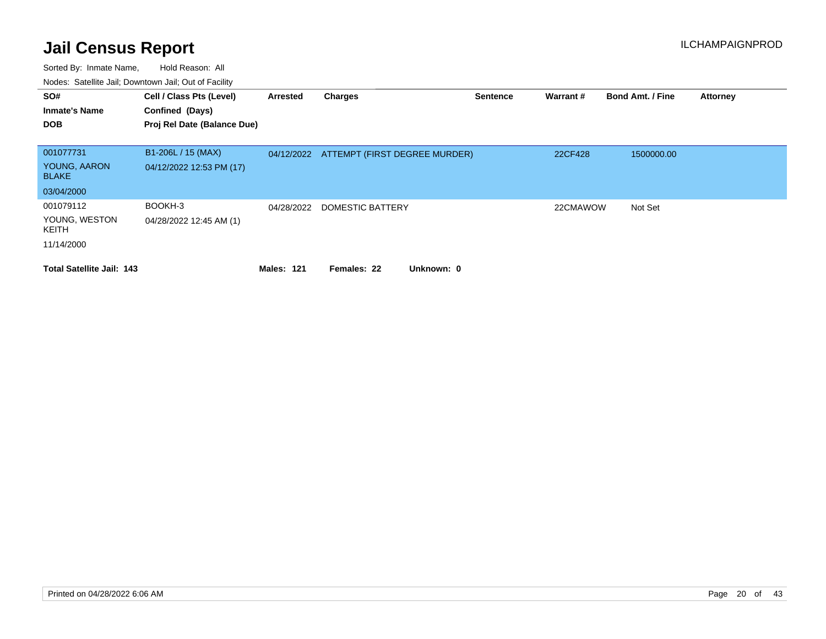| SO#<br><b>Inmate's Name</b>      | Cell / Class Pts (Level)<br>Confined (Days) | Arrested          | <b>Charges</b>                           | <b>Sentence</b> | Warrant # | <b>Bond Amt. / Fine</b> | <b>Attorney</b> |
|----------------------------------|---------------------------------------------|-------------------|------------------------------------------|-----------------|-----------|-------------------------|-----------------|
| <b>DOB</b>                       | Proj Rel Date (Balance Due)                 |                   |                                          |                 |           |                         |                 |
|                                  |                                             |                   |                                          |                 |           |                         |                 |
| 001077731                        | B1-206L / 15 (MAX)                          |                   | 04/12/2022 ATTEMPT (FIRST DEGREE MURDER) |                 | 22CF428   | 1500000.00              |                 |
| YOUNG, AARON<br><b>BLAKE</b>     | 04/12/2022 12:53 PM (17)                    |                   |                                          |                 |           |                         |                 |
| 03/04/2000                       |                                             |                   |                                          |                 |           |                         |                 |
| 001079112                        | BOOKH-3                                     | 04/28/2022        | DOMESTIC BATTERY                         |                 | 22CMAWOW  | Not Set                 |                 |
| YOUNG, WESTON<br>KEITH           | 04/28/2022 12:45 AM (1)                     |                   |                                          |                 |           |                         |                 |
| 11/14/2000                       |                                             |                   |                                          |                 |           |                         |                 |
| <b>Total Satellite Jail: 143</b> |                                             | <b>Males: 121</b> | Females: 22<br>Unknown: 0                |                 |           |                         |                 |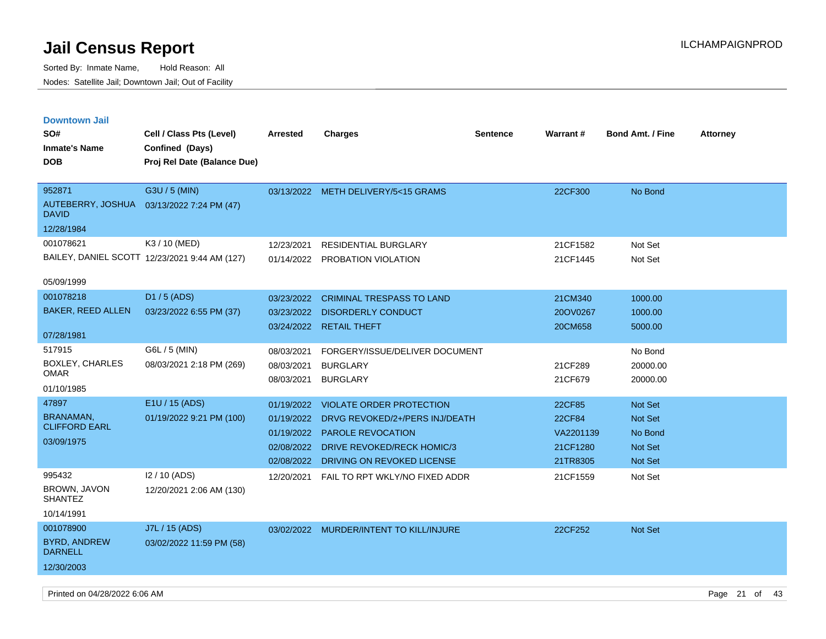Sorted By: Inmate Name, Hold Reason: All Nodes: Satellite Jail; Downtown Jail; Out of Facility

| <b>Downtown Jail</b>                     |                                               |                 |                                         |                 |                 |                         |                 |
|------------------------------------------|-----------------------------------------------|-----------------|-----------------------------------------|-----------------|-----------------|-------------------------|-----------------|
| SO#                                      | Cell / Class Pts (Level)                      | <b>Arrested</b> | <b>Charges</b>                          | <b>Sentence</b> | <b>Warrant#</b> | <b>Bond Amt. / Fine</b> | <b>Attorney</b> |
| <b>Inmate's Name</b>                     | Confined (Days)                               |                 |                                         |                 |                 |                         |                 |
| <b>DOB</b>                               | Proj Rel Date (Balance Due)                   |                 |                                         |                 |                 |                         |                 |
|                                          |                                               |                 |                                         |                 |                 |                         |                 |
| 952871                                   | G3U / 5 (MIN)                                 |                 | 03/13/2022 METH DELIVERY/5<15 GRAMS     |                 | 22CF300         | No Bond                 |                 |
| AUTEBERRY, JOSHUA<br><b>DAVID</b>        | 03/13/2022 7:24 PM (47)                       |                 |                                         |                 |                 |                         |                 |
| 12/28/1984                               |                                               |                 |                                         |                 |                 |                         |                 |
| 001078621                                | K3 / 10 (MED)                                 | 12/23/2021      | <b>RESIDENTIAL BURGLARY</b>             |                 | 21CF1582        | Not Set                 |                 |
|                                          | BAILEY, DANIEL SCOTT 12/23/2021 9:44 AM (127) | 01/14/2022      | <b>PROBATION VIOLATION</b>              |                 | 21CF1445        | Not Set                 |                 |
|                                          |                                               |                 |                                         |                 |                 |                         |                 |
| 05/09/1999                               |                                               |                 |                                         |                 |                 |                         |                 |
| 001078218                                | D1 / 5 (ADS)                                  | 03/23/2022      | <b>CRIMINAL TRESPASS TO LAND</b>        |                 | 21CM340         | 1000.00                 |                 |
| <b>BAKER, REED ALLEN</b>                 | 03/23/2022 6:55 PM (37)                       | 03/23/2022      | <b>DISORDERLY CONDUCT</b>               |                 | 20OV0267        | 1000.00                 |                 |
|                                          |                                               |                 | 03/24/2022 RETAIL THEFT                 |                 | 20CM658         | 5000.00                 |                 |
| 07/28/1981                               |                                               |                 |                                         |                 |                 |                         |                 |
| 517915                                   | G6L / 5 (MIN)                                 | 08/03/2021      | FORGERY/ISSUE/DELIVER DOCUMENT          |                 |                 | No Bond                 |                 |
| BOXLEY, CHARLES<br><b>OMAR</b>           | 08/03/2021 2:18 PM (269)                      | 08/03/2021      | <b>BURGLARY</b>                         |                 | 21CF289         | 20000.00                |                 |
| 01/10/1985                               |                                               | 08/03/2021      | <b>BURGLARY</b>                         |                 | 21CF679         | 20000.00                |                 |
|                                          | E1U / 15 (ADS)                                |                 |                                         |                 |                 |                         |                 |
| 47897                                    |                                               | 01/19/2022      | VIOLATE ORDER PROTECTION                |                 | 22CF85          | <b>Not Set</b>          |                 |
| <b>BRANAMAN,</b><br><b>CLIFFORD EARL</b> | 01/19/2022 9:21 PM (100)                      | 01/19/2022      | DRVG REVOKED/2+/PERS INJ/DEATH          |                 | 22CF84          | <b>Not Set</b>          |                 |
| 03/09/1975                               |                                               |                 | 01/19/2022 PAROLE REVOCATION            |                 | VA2201139       | No Bond                 |                 |
|                                          |                                               | 02/08/2022      | DRIVE REVOKED/RECK HOMIC/3              |                 | 21CF1280        | <b>Not Set</b>          |                 |
|                                          |                                               | 02/08/2022      | DRIVING ON REVOKED LICENSE              |                 | 21TR8305        | <b>Not Set</b>          |                 |
| 995432                                   | 12/10 (ADS)                                   | 12/20/2021      | FAIL TO RPT WKLY/NO FIXED ADDR          |                 | 21CF1559        | Not Set                 |                 |
| <b>BROWN, JAVON</b><br><b>SHANTEZ</b>    | 12/20/2021 2:06 AM (130)                      |                 |                                         |                 |                 |                         |                 |
| 10/14/1991                               |                                               |                 |                                         |                 |                 |                         |                 |
| 001078900                                | J7L / 15 (ADS)                                |                 | 03/02/2022 MURDER/INTENT TO KILL/INJURE |                 | 22CF252         | <b>Not Set</b>          |                 |
| <b>BYRD, ANDREW</b><br><b>DARNELL</b>    | 03/02/2022 11:59 PM (58)                      |                 |                                         |                 |                 |                         |                 |
| 12/30/2003                               |                                               |                 |                                         |                 |                 |                         |                 |

Printed on 04/28/2022 6:06 AM Page 21 of 43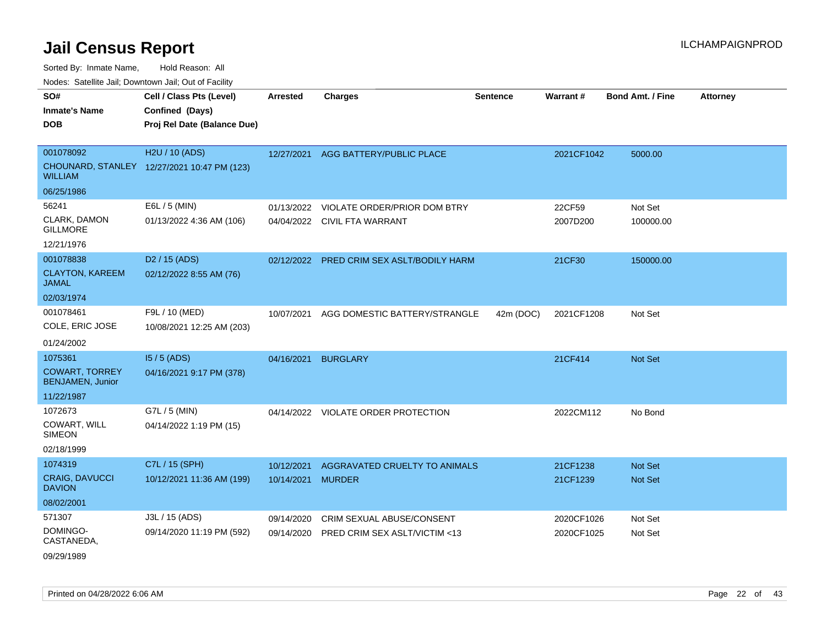Sorted By: Inmate Name, Hold Reason: All

Nodes: Satellite Jail; Downtown Jail; Out of Facility

| SO#                                       | Cell / Class Pts (Level)                    | <b>Arrested</b> | Charges                             | <b>Sentence</b> | <b>Warrant#</b> | <b>Bond Amt. / Fine</b> | <b>Attorney</b> |
|-------------------------------------------|---------------------------------------------|-----------------|-------------------------------------|-----------------|-----------------|-------------------------|-----------------|
| <b>Inmate's Name</b>                      | Confined (Days)                             |                 |                                     |                 |                 |                         |                 |
| <b>DOB</b>                                | Proj Rel Date (Balance Due)                 |                 |                                     |                 |                 |                         |                 |
|                                           |                                             |                 |                                     |                 |                 |                         |                 |
| 001078092                                 | H2U / 10 (ADS)                              | 12/27/2021      | AGG BATTERY/PUBLIC PLACE            |                 | 2021CF1042      | 5000.00                 |                 |
| <b>WILLIAM</b>                            | CHOUNARD, STANLEY 12/27/2021 10:47 PM (123) |                 |                                     |                 |                 |                         |                 |
| 06/25/1986                                |                                             |                 |                                     |                 |                 |                         |                 |
| 56241                                     | E6L / 5 (MIN)                               | 01/13/2022      | VIOLATE ORDER/PRIOR DOM BTRY        |                 | 22CF59          | Not Set                 |                 |
| CLARK, DAMON<br><b>GILLMORE</b>           | 01/13/2022 4:36 AM (106)                    |                 | 04/04/2022 CIVIL FTA WARRANT        |                 | 2007D200        | 100000.00               |                 |
| 12/21/1976                                |                                             |                 |                                     |                 |                 |                         |                 |
| 001078838                                 | D <sub>2</sub> / 15 (ADS)                   | 02/12/2022      | PRED CRIM SEX ASLT/BODILY HARM      |                 | 21CF30          | 150000.00               |                 |
| <b>CLAYTON, KAREEM</b><br><b>JAMAL</b>    | 02/12/2022 8:55 AM (76)                     |                 |                                     |                 |                 |                         |                 |
| 02/03/1974                                |                                             |                 |                                     |                 |                 |                         |                 |
| 001078461                                 | F9L / 10 (MED)                              | 10/07/2021      | AGG DOMESTIC BATTERY/STRANGLE       | 42m (DOC)       | 2021CF1208      | Not Set                 |                 |
| COLE, ERIC JOSE                           | 10/08/2021 12:25 AM (203)                   |                 |                                     |                 |                 |                         |                 |
| 01/24/2002                                |                                             |                 |                                     |                 |                 |                         |                 |
| 1075361                                   | $15/5$ (ADS)                                | 04/16/2021      | <b>BURGLARY</b>                     |                 | 21CF414         | <b>Not Set</b>          |                 |
| <b>COWART, TORREY</b><br>BENJAMEN, Junior | 04/16/2021 9:17 PM (378)                    |                 |                                     |                 |                 |                         |                 |
| 11/22/1987                                |                                             |                 |                                     |                 |                 |                         |                 |
| 1072673                                   | G7L / 5 (MIN)                               |                 | 04/14/2022 VIOLATE ORDER PROTECTION |                 | 2022CM112       | No Bond                 |                 |
| COWART, WILL<br><b>SIMEON</b>             | 04/14/2022 1:19 PM (15)                     |                 |                                     |                 |                 |                         |                 |
| 02/18/1999                                |                                             |                 |                                     |                 |                 |                         |                 |
| 1074319                                   | C7L / 15 (SPH)                              | 10/12/2021      | AGGRAVATED CRUELTY TO ANIMALS       |                 | 21CF1238        | <b>Not Set</b>          |                 |
| <b>CRAIG, DAVUCCI</b><br><b>DAVION</b>    | 10/12/2021 11:36 AM (199)                   | 10/14/2021      | <b>MURDER</b>                       |                 | 21CF1239        | <b>Not Set</b>          |                 |
| 08/02/2001                                |                                             |                 |                                     |                 |                 |                         |                 |
| 571307                                    | J3L / 15 (ADS)                              | 09/14/2020      | CRIM SEXUAL ABUSE/CONSENT           |                 | 2020CF1026      | Not Set                 |                 |
| DOMINGO-<br>CASTANEDA,                    | 09/14/2020 11:19 PM (592)                   | 09/14/2020      | PRED CRIM SEX ASLT/VICTIM <13       |                 | 2020CF1025      | Not Set                 |                 |
| 09/29/1989                                |                                             |                 |                                     |                 |                 |                         |                 |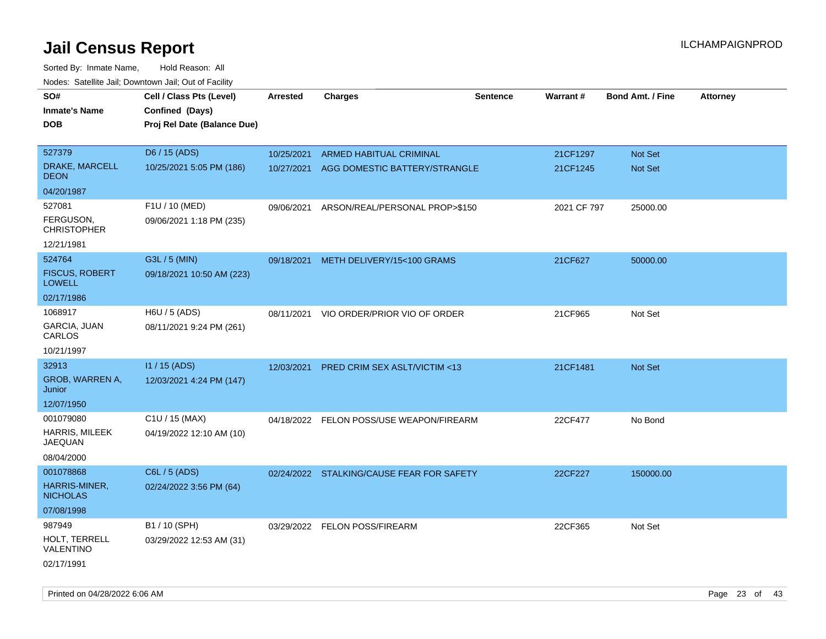| roaco. Odichile Jan, Downtown Jan, Out of Facility |                                             |                 |                                           |                 |             |                         |                 |
|----------------------------------------------------|---------------------------------------------|-----------------|-------------------------------------------|-----------------|-------------|-------------------------|-----------------|
| SO#<br><b>Inmate's Name</b>                        | Cell / Class Pts (Level)<br>Confined (Days) | <b>Arrested</b> | <b>Charges</b>                            | <b>Sentence</b> | Warrant#    | <b>Bond Amt. / Fine</b> | <b>Attorney</b> |
| <b>DOB</b>                                         | Proj Rel Date (Balance Due)                 |                 |                                           |                 |             |                         |                 |
| 527379                                             | D6 / 15 (ADS)                               | 10/25/2021      | <b>ARMED HABITUAL CRIMINAL</b>            |                 | 21CF1297    | Not Set                 |                 |
| DRAKE, MARCELL<br><b>DEON</b>                      | 10/25/2021 5:05 PM (186)                    | 10/27/2021      | AGG DOMESTIC BATTERY/STRANGLE             |                 | 21CF1245    | Not Set                 |                 |
| 04/20/1987                                         |                                             |                 |                                           |                 |             |                         |                 |
| 527081                                             | F1U / 10 (MED)                              | 09/06/2021      | ARSON/REAL/PERSONAL PROP>\$150            |                 | 2021 CF 797 | 25000.00                |                 |
| FERGUSON,<br><b>CHRISTOPHER</b>                    | 09/06/2021 1:18 PM (235)                    |                 |                                           |                 |             |                         |                 |
| 12/21/1981                                         |                                             |                 |                                           |                 |             |                         |                 |
| 524764                                             | G3L / 5 (MIN)                               | 09/18/2021      | METH DELIVERY/15<100 GRAMS                |                 | 21CF627     | 50000.00                |                 |
| <b>FISCUS, ROBERT</b><br><b>LOWELL</b>             | 09/18/2021 10:50 AM (223)                   |                 |                                           |                 |             |                         |                 |
| 02/17/1986                                         |                                             |                 |                                           |                 |             |                         |                 |
| 1068917                                            | H6U / 5 (ADS)                               | 08/11/2021      | VIO ORDER/PRIOR VIO OF ORDER              |                 | 21CF965     | Not Set                 |                 |
| GARCIA, JUAN<br>CARLOS                             | 08/11/2021 9:24 PM (261)                    |                 |                                           |                 |             |                         |                 |
| 10/21/1997                                         |                                             |                 |                                           |                 |             |                         |                 |
| 32913                                              | I1 / 15 (ADS)                               | 12/03/2021      | PRED CRIM SEX ASLT/VICTIM <13             |                 | 21CF1481    | Not Set                 |                 |
| GROB, WARREN A,<br>Junior                          | 12/03/2021 4:24 PM (147)                    |                 |                                           |                 |             |                         |                 |
| 12/07/1950                                         |                                             |                 |                                           |                 |             |                         |                 |
| 001079080                                          | C1U / 15 (MAX)                              |                 | 04/18/2022 FELON POSS/USE WEAPON/FIREARM  |                 | 22CF477     | No Bond                 |                 |
| HARRIS, MILEEK<br><b>JAEQUAN</b>                   | 04/19/2022 12:10 AM (10)                    |                 |                                           |                 |             |                         |                 |
| 08/04/2000                                         |                                             |                 |                                           |                 |             |                         |                 |
| 001078868                                          | C6L / 5 (ADS)                               |                 | 02/24/2022 STALKING/CAUSE FEAR FOR SAFETY |                 | 22CF227     | 150000.00               |                 |
| HARRIS-MINER,<br><b>NICHOLAS</b>                   | 02/24/2022 3:56 PM (64)                     |                 |                                           |                 |             |                         |                 |
| 07/08/1998                                         |                                             |                 |                                           |                 |             |                         |                 |
| 987949                                             | B1 / 10 (SPH)                               |                 | 03/29/2022 FELON POSS/FIREARM             |                 | 22CF365     | Not Set                 |                 |
| HOLT, TERRELL<br>VALENTINO                         | 03/29/2022 12:53 AM (31)                    |                 |                                           |                 |             |                         |                 |
| 02/17/1991                                         |                                             |                 |                                           |                 |             |                         |                 |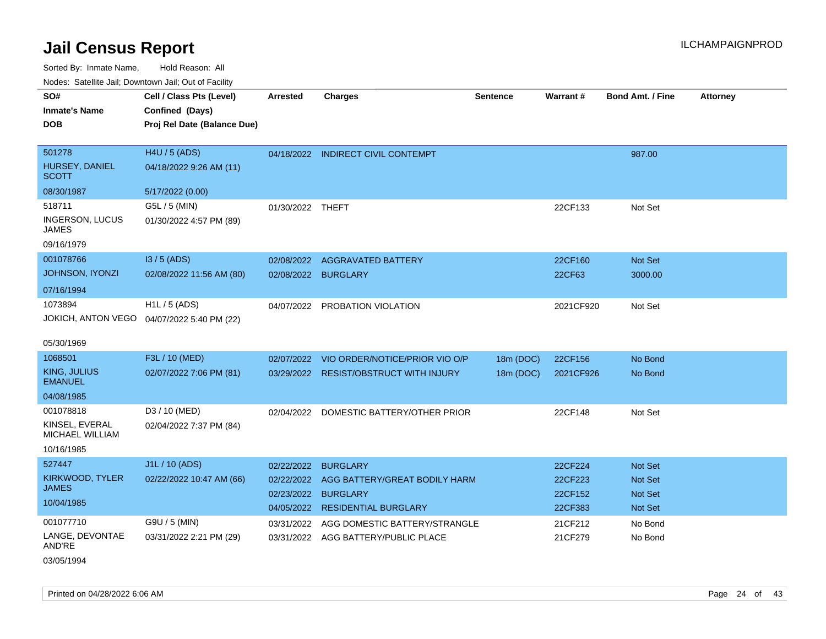| Noues. Salemie Jan, Downtown Jan, Out of Facility |                                             |                  |                                        |                 |           |                         |                 |
|---------------------------------------------------|---------------------------------------------|------------------|----------------------------------------|-----------------|-----------|-------------------------|-----------------|
| SO#                                               | Cell / Class Pts (Level)                    | <b>Arrested</b>  | <b>Charges</b>                         | <b>Sentence</b> | Warrant#  | <b>Bond Amt. / Fine</b> | <b>Attorney</b> |
| <b>Inmate's Name</b>                              | Confined (Days)                             |                  |                                        |                 |           |                         |                 |
| <b>DOB</b>                                        | Proj Rel Date (Balance Due)                 |                  |                                        |                 |           |                         |                 |
|                                                   |                                             |                  |                                        |                 |           |                         |                 |
| 501278                                            | H4U / 5 (ADS)                               |                  | 04/18/2022 INDIRECT CIVIL CONTEMPT     |                 |           | 987.00                  |                 |
| HURSEY, DANIEL<br><b>SCOTT</b>                    | 04/18/2022 9:26 AM (11)                     |                  |                                        |                 |           |                         |                 |
| 08/30/1987                                        | 5/17/2022 (0.00)                            |                  |                                        |                 |           |                         |                 |
| 518711                                            | G5L / 5 (MIN)                               | 01/30/2022 THEFT |                                        |                 | 22CF133   | Not Set                 |                 |
| INGERSON, LUCUS<br>JAMES                          | 01/30/2022 4:57 PM (89)                     |                  |                                        |                 |           |                         |                 |
| 09/16/1979                                        |                                             |                  |                                        |                 |           |                         |                 |
| 001078766                                         | I3 / 5 (ADS)                                | 02/08/2022       | <b>AGGRAVATED BATTERY</b>              |                 | 22CF160   | Not Set                 |                 |
| <b>JOHNSON, IYONZI</b>                            | 02/08/2022 11:56 AM (80)                    | 02/08/2022       | <b>BURGLARY</b>                        |                 | 22CF63    | 3000.00                 |                 |
| 07/16/1994                                        |                                             |                  |                                        |                 |           |                         |                 |
| 1073894                                           | H1L / 5 (ADS)                               | 04/07/2022       | PROBATION VIOLATION                    |                 | 2021CF920 | Not Set                 |                 |
|                                                   | JOKICH, ANTON VEGO  04/07/2022 5:40 PM (22) |                  |                                        |                 |           |                         |                 |
|                                                   |                                             |                  |                                        |                 |           |                         |                 |
| 05/30/1969                                        |                                             |                  |                                        |                 |           |                         |                 |
| 1068501                                           | F3L / 10 (MED)                              | 02/07/2022       | VIO ORDER/NOTICE/PRIOR VIO O/P         | 18m (DOC)       | 22CF156   | No Bond                 |                 |
| KING, JULIUS<br><b>EMANUEL</b>                    | 02/07/2022 7:06 PM (81)                     |                  | 03/29/2022 RESIST/OBSTRUCT WITH INJURY | 18m (DOC)       | 2021CF926 | No Bond                 |                 |
| 04/08/1985                                        |                                             |                  |                                        |                 |           |                         |                 |
| 001078818                                         | D3 / 10 (MED)                               | 02/04/2022       | DOMESTIC BATTERY/OTHER PRIOR           |                 | 22CF148   | Not Set                 |                 |
| KINSEL, EVERAL<br><b>MICHAEL WILLIAM</b>          | 02/04/2022 7:37 PM (84)                     |                  |                                        |                 |           |                         |                 |
| 10/16/1985                                        |                                             |                  |                                        |                 |           |                         |                 |
| 527447                                            | J1L / 10 (ADS)                              | 02/22/2022       | <b>BURGLARY</b>                        |                 | 22CF224   | <b>Not Set</b>          |                 |
| KIRKWOOD, TYLER                                   | 02/22/2022 10:47 AM (66)                    | 02/22/2022       | AGG BATTERY/GREAT BODILY HARM          |                 | 22CF223   | <b>Not Set</b>          |                 |
| <b>JAMES</b>                                      |                                             | 02/23/2022       | <b>BURGLARY</b>                        |                 | 22CF152   | <b>Not Set</b>          |                 |
| 10/04/1985                                        |                                             |                  | 04/05/2022 RESIDENTIAL BURGLARY        |                 | 22CF383   | Not Set                 |                 |
| 001077710                                         | G9U / 5 (MIN)                               | 03/31/2022       | AGG DOMESTIC BATTERY/STRANGLE          |                 | 21CF212   | No Bond                 |                 |
| LANGE, DEVONTAE<br>AND'RE                         | 03/31/2022 2:21 PM (29)                     |                  | 03/31/2022 AGG BATTERY/PUBLIC PLACE    |                 | 21CF279   | No Bond                 |                 |
| 03/05/1994                                        |                                             |                  |                                        |                 |           |                         |                 |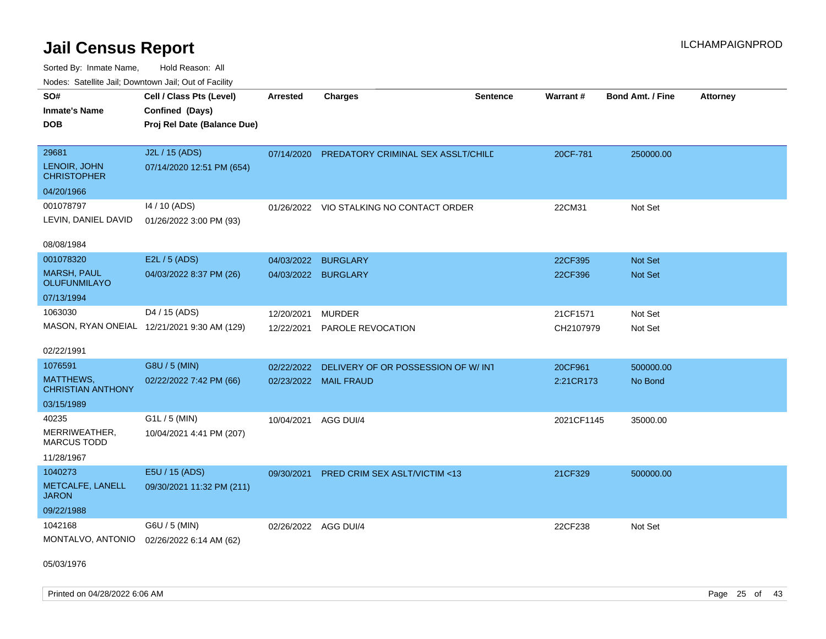Sorted By: Inmate Name, Hold Reason: All Nodes: Satellite Jail; Downtown Jail; Out of Facility

| SO#<br><b>Inmate's Name</b><br><b>DOB</b>    | Cell / Class Pts (Level)<br>Confined (Days)<br>Proj Rel Date (Balance Due) | Arrested             | <b>Charges</b>                                | <b>Sentence</b> | Warrant#   | <b>Bond Amt. / Fine</b> | <b>Attorney</b> |
|----------------------------------------------|----------------------------------------------------------------------------|----------------------|-----------------------------------------------|-----------------|------------|-------------------------|-----------------|
| 29681<br>LENOIR, JOHN<br><b>CHRISTOPHER</b>  | J2L / 15 (ADS)<br>07/14/2020 12:51 PM (654)                                |                      | 07/14/2020 PREDATORY CRIMINAL SEX ASSLT/CHILD |                 | 20CF-781   | 250000.00               |                 |
| 04/20/1966                                   |                                                                            |                      |                                               |                 |            |                         |                 |
| 001078797<br>LEVIN, DANIEL DAVID             | 14 / 10 (ADS)<br>01/26/2022 3:00 PM (93)                                   |                      | 01/26/2022 VIO STALKING NO CONTACT ORDER      |                 | 22CM31     | Not Set                 |                 |
| 08/08/1984                                   |                                                                            |                      |                                               |                 |            |                         |                 |
| 001078320                                    | E2L / 5 (ADS)                                                              | 04/03/2022           | <b>BURGLARY</b>                               |                 | 22CF395    | Not Set                 |                 |
| <b>MARSH, PAUL</b><br>OLUFUNMILAYO           | 04/03/2022 8:37 PM (26)                                                    |                      | 04/03/2022 BURGLARY                           |                 | 22CF396    | <b>Not Set</b>          |                 |
| 07/13/1994                                   |                                                                            |                      |                                               |                 |            |                         |                 |
| 1063030                                      | D4 / 15 (ADS)                                                              | 12/20/2021           | <b>MURDER</b>                                 |                 | 21CF1571   | Not Set                 |                 |
|                                              | MASON, RYAN ONEIAL 12/21/2021 9:30 AM (129)                                | 12/22/2021           | PAROLE REVOCATION                             |                 | CH2107979  | Not Set                 |                 |
| 02/22/1991                                   |                                                                            |                      |                                               |                 |            |                         |                 |
| 1076591                                      | G8U / 5 (MIN)                                                              | 02/22/2022           | DELIVERY OF OR POSSESSION OF W/IN1            |                 | 20CF961    | 500000.00               |                 |
| <b>MATTHEWS,</b><br><b>CHRISTIAN ANTHONY</b> | 02/22/2022 7:42 PM (66)                                                    |                      | 02/23/2022 MAIL FRAUD                         |                 | 2:21CR173  | No Bond                 |                 |
| 03/15/1989                                   |                                                                            |                      |                                               |                 |            |                         |                 |
| 40235                                        | G1L / 5 (MIN)                                                              | 10/04/2021           | AGG DUI/4                                     |                 | 2021CF1145 | 35000.00                |                 |
| MERRIWEATHER,<br><b>MARCUS TODD</b>          | 10/04/2021 4:41 PM (207)                                                   |                      |                                               |                 |            |                         |                 |
| 11/28/1967                                   |                                                                            |                      |                                               |                 |            |                         |                 |
| 1040273                                      | E5U / 15 (ADS)                                                             | 09/30/2021           | <b>PRED CRIM SEX ASLT/VICTIM &lt;13</b>       |                 | 21CF329    | 500000.00               |                 |
| METCALFE, LANELL<br><b>JARON</b>             | 09/30/2021 11:32 PM (211)                                                  |                      |                                               |                 |            |                         |                 |
| 09/22/1988                                   |                                                                            |                      |                                               |                 |            |                         |                 |
| 1042168                                      | G6U / 5 (MIN)                                                              | 02/26/2022 AGG DUI/4 |                                               |                 | 22CF238    | Not Set                 |                 |
| MONTALVO, ANTONIO                            | 02/26/2022 6:14 AM (62)                                                    |                      |                                               |                 |            |                         |                 |

05/03/1976

Printed on 04/28/2022 6:06 AM Page 25 of 43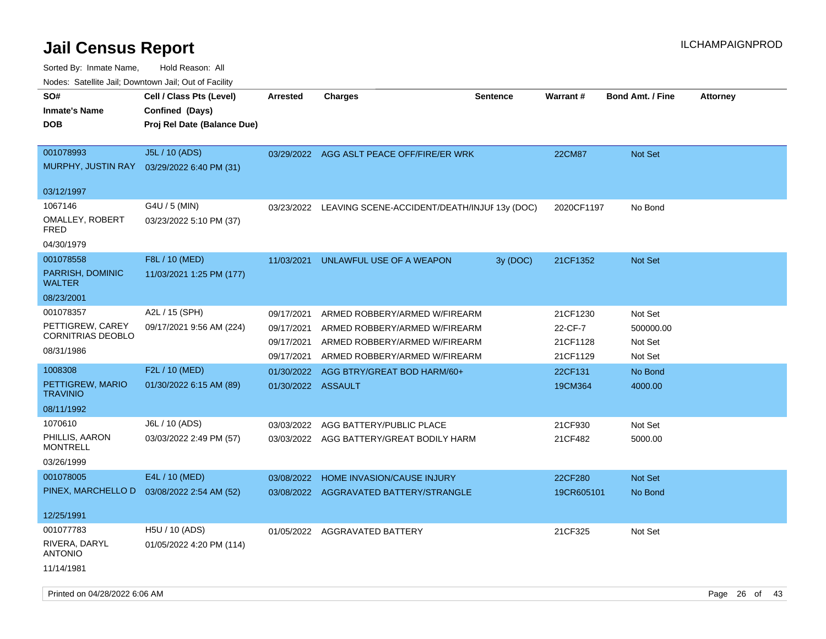| ivuutta. Saltiilitti valli, Duwilluwii Jalli, Out ol Facility |                             |                    |                                              |                 |                 |                         |                 |
|---------------------------------------------------------------|-----------------------------|--------------------|----------------------------------------------|-----------------|-----------------|-------------------------|-----------------|
| SO#                                                           | Cell / Class Pts (Level)    | <b>Arrested</b>    | <b>Charges</b>                               | <b>Sentence</b> | <b>Warrant#</b> | <b>Bond Amt. / Fine</b> | <b>Attorney</b> |
| <b>Inmate's Name</b>                                          | Confined (Days)             |                    |                                              |                 |                 |                         |                 |
| <b>DOB</b>                                                    | Proj Rel Date (Balance Due) |                    |                                              |                 |                 |                         |                 |
|                                                               |                             |                    |                                              |                 |                 |                         |                 |
| 001078993                                                     | J5L / 10 (ADS)              |                    | 03/29/2022 AGG ASLT PEACE OFF/FIRE/ER WRK    |                 | <b>22CM87</b>   | <b>Not Set</b>          |                 |
| MURPHY, JUSTIN RAY                                            | 03/29/2022 6:40 PM (31)     |                    |                                              |                 |                 |                         |                 |
|                                                               |                             |                    |                                              |                 |                 |                         |                 |
| 03/12/1997                                                    |                             |                    |                                              |                 |                 |                         |                 |
| 1067146                                                       | G4U / 5 (MIN)               | 03/23/2022         | LEAVING SCENE-ACCIDENT/DEATH/INJUF 13y (DOC) |                 | 2020CF1197      | No Bond                 |                 |
| OMALLEY, ROBERT<br>FRED                                       | 03/23/2022 5:10 PM (37)     |                    |                                              |                 |                 |                         |                 |
| 04/30/1979                                                    |                             |                    |                                              |                 |                 |                         |                 |
| 001078558                                                     | F8L / 10 (MED)              | 11/03/2021         | UNLAWFUL USE OF A WEAPON                     | 3y (DOC)        | 21CF1352        | <b>Not Set</b>          |                 |
| PARRISH, DOMINIC                                              | 11/03/2021 1:25 PM (177)    |                    |                                              |                 |                 |                         |                 |
| WALTER                                                        |                             |                    |                                              |                 |                 |                         |                 |
| 08/23/2001                                                    |                             |                    |                                              |                 |                 |                         |                 |
| 001078357                                                     | A2L / 15 (SPH)              | 09/17/2021         | ARMED ROBBERY/ARMED W/FIREARM                |                 | 21CF1230        | Not Set                 |                 |
| PETTIGREW, CAREY                                              | 09/17/2021 9:56 AM (224)    | 09/17/2021         | ARMED ROBBERY/ARMED W/FIREARM                |                 | 22-CF-7         | 500000.00               |                 |
| CORNITRIAS DEOBLO                                             |                             | 09/17/2021         | ARMED ROBBERY/ARMED W/FIREARM                |                 | 21CF1128        | Not Set                 |                 |
| 08/31/1986                                                    |                             | 09/17/2021         | ARMED ROBBERY/ARMED W/FIREARM                |                 | 21CF1129        | Not Set                 |                 |
| 1008308                                                       | F2L / 10 (MED)              | 01/30/2022         | AGG BTRY/GREAT BOD HARM/60+                  |                 | 22CF131         | No Bond                 |                 |
| PETTIGREW, MARIO<br><b>TRAVINIO</b>                           | 01/30/2022 6:15 AM (89)     | 01/30/2022 ASSAULT |                                              |                 | 19CM364         | 4000.00                 |                 |
| 08/11/1992                                                    |                             |                    |                                              |                 |                 |                         |                 |
| 1070610                                                       | J6L / 10 (ADS)              | 03/03/2022         | AGG BATTERY/PUBLIC PLACE                     |                 | 21CF930         | Not Set                 |                 |
| PHILLIS, AARON                                                | 03/03/2022 2:49 PM (57)     |                    | 03/03/2022 AGG BATTERY/GREAT BODILY HARM     |                 | 21CF482         | 5000.00                 |                 |
| <b>MONTRELL</b>                                               |                             |                    |                                              |                 |                 |                         |                 |
| 03/26/1999                                                    |                             |                    |                                              |                 |                 |                         |                 |
| 001078005                                                     | E4L / 10 (MED)              | 03/08/2022         | HOME INVASION/CAUSE INJURY                   |                 | 22CF280         | <b>Not Set</b>          |                 |
| PINEX, MARCHELLO D                                            | 03/08/2022 2:54 AM (52)     |                    | 03/08/2022 AGGRAVATED BATTERY/STRANGLE       |                 | 19CR605101      | No Bond                 |                 |
|                                                               |                             |                    |                                              |                 |                 |                         |                 |
| 12/25/1991                                                    |                             |                    |                                              |                 |                 |                         |                 |
| 001077783                                                     | H5U / 10 (ADS)              |                    | 01/05/2022 AGGRAVATED BATTERY                |                 | 21CF325         | Not Set                 |                 |
| RIVERA, DARYL<br><b>ANTONIO</b>                               | 01/05/2022 4:20 PM (114)    |                    |                                              |                 |                 |                         |                 |
| 11/14/1981                                                    |                             |                    |                                              |                 |                 |                         |                 |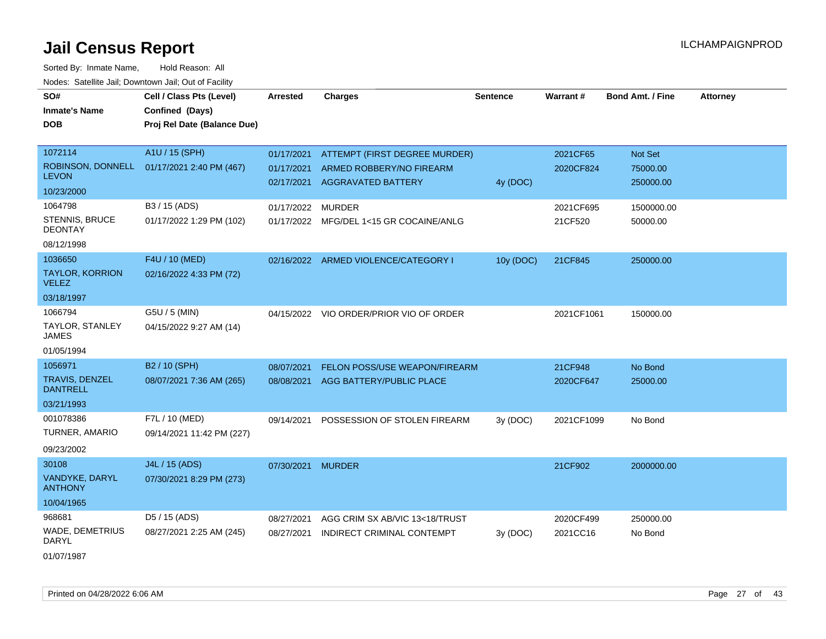| SO#                                     | Cell / Class Pts (Level)                   | <b>Arrested</b>   | <b>Charges</b>                          | <b>Sentence</b> | Warrant#   | Bond Amt. / Fine | <b>Attorney</b> |
|-----------------------------------------|--------------------------------------------|-------------------|-----------------------------------------|-----------------|------------|------------------|-----------------|
| <b>Inmate's Name</b>                    | Confined (Days)                            |                   |                                         |                 |            |                  |                 |
| <b>DOB</b>                              | Proj Rel Date (Balance Due)                |                   |                                         |                 |            |                  |                 |
|                                         |                                            |                   |                                         |                 |            |                  |                 |
| 1072114                                 | A1U / 15 (SPH)                             | 01/17/2021        | ATTEMPT (FIRST DEGREE MURDER)           |                 | 2021CF65   | Not Set          |                 |
|                                         | ROBINSON, DONNELL 01/17/2021 2:40 PM (467) | 01/17/2021        | ARMED ROBBERY/NO FIREARM                |                 | 2020CF824  | 75000.00         |                 |
| <b>LEVON</b>                            |                                            |                   | 02/17/2021 AGGRAVATED BATTERY           | 4y (DOC)        |            | 250000.00        |                 |
| 10/23/2000                              |                                            |                   |                                         |                 |            |                  |                 |
| 1064798                                 | B3 / 15 (ADS)                              | 01/17/2022 MURDER |                                         |                 | 2021CF695  | 1500000.00       |                 |
| <b>STENNIS, BRUCE</b><br><b>DEONTAY</b> | 01/17/2022 1:29 PM (102)                   |                   | 01/17/2022 MFG/DEL 1<15 GR COCAINE/ANLG |                 | 21CF520    | 50000.00         |                 |
| 08/12/1998                              |                                            |                   |                                         |                 |            |                  |                 |
| 1036650                                 | F4U / 10 (MED)                             |                   | 02/16/2022 ARMED VIOLENCE/CATEGORY I    | 10y (DOC)       | 21CF845    | 250000.00        |                 |
| <b>TAYLOR, KORRION</b><br><b>VELEZ</b>  | 02/16/2022 4:33 PM (72)                    |                   |                                         |                 |            |                  |                 |
| 03/18/1997                              |                                            |                   |                                         |                 |            |                  |                 |
| 1066794                                 | G5U / 5 (MIN)                              |                   | 04/15/2022 VIO ORDER/PRIOR VIO OF ORDER |                 | 2021CF1061 | 150000.00        |                 |
| TAYLOR, STANLEY<br><b>JAMES</b>         | 04/15/2022 9:27 AM (14)                    |                   |                                         |                 |            |                  |                 |
| 01/05/1994                              |                                            |                   |                                         |                 |            |                  |                 |
| 1056971                                 | B2 / 10 (SPH)                              | 08/07/2021        | FELON POSS/USE WEAPON/FIREARM           |                 | 21CF948    | No Bond          |                 |
| TRAVIS, DENZEL<br><b>DANTRELL</b>       | 08/07/2021 7:36 AM (265)                   | 08/08/2021        | AGG BATTERY/PUBLIC PLACE                |                 | 2020CF647  | 25000.00         |                 |
| 03/21/1993                              |                                            |                   |                                         |                 |            |                  |                 |
| 001078386                               | F7L / 10 (MED)                             | 09/14/2021        | POSSESSION OF STOLEN FIREARM            | 3y (DOC)        | 2021CF1099 | No Bond          |                 |
| TURNER, AMARIO                          | 09/14/2021 11:42 PM (227)                  |                   |                                         |                 |            |                  |                 |
| 09/23/2002                              |                                            |                   |                                         |                 |            |                  |                 |
| 30108                                   | J4L / 15 (ADS)                             | 07/30/2021 MURDER |                                         |                 | 21CF902    | 2000000.00       |                 |
| VANDYKE, DARYL<br><b>ANTHONY</b>        | 07/30/2021 8:29 PM (273)                   |                   |                                         |                 |            |                  |                 |
| 10/04/1965                              |                                            |                   |                                         |                 |            |                  |                 |
| 968681                                  | D5 / 15 (ADS)                              | 08/27/2021        | AGG CRIM SX AB/VIC 13<18/TRUST          |                 | 2020CF499  | 250000.00        |                 |
| <b>WADE, DEMETRIUS</b><br>DARYL         | 08/27/2021 2:25 AM (245)                   | 08/27/2021        | INDIRECT CRIMINAL CONTEMPT              | 3y (DOC)        | 2021CC16   | No Bond          |                 |
| 01/07/1987                              |                                            |                   |                                         |                 |            |                  |                 |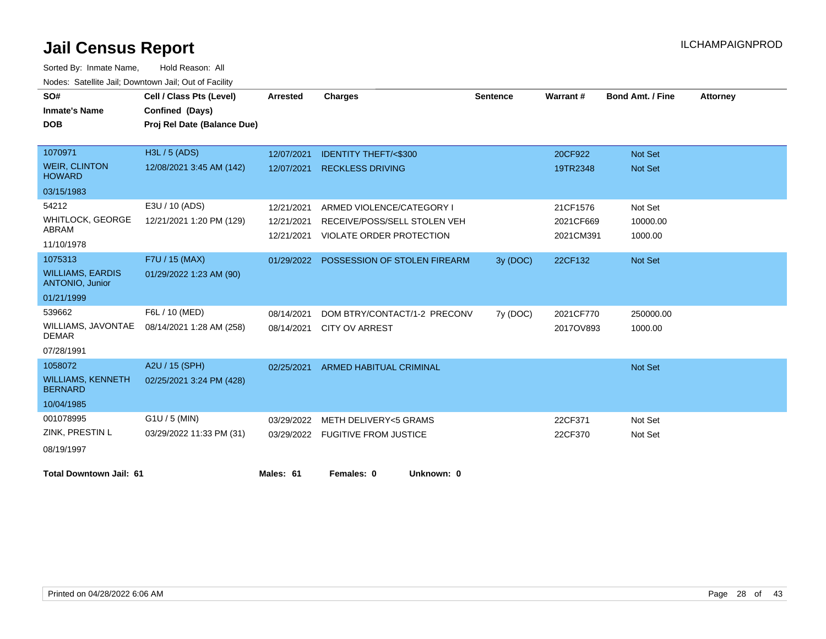| SO#                                               | Cell / Class Pts (Level)    | <b>Arrested</b> | <b>Charges</b>                          | <b>Sentence</b> | Warrant#  | <b>Bond Amt. / Fine</b> | <b>Attorney</b> |
|---------------------------------------------------|-----------------------------|-----------------|-----------------------------------------|-----------------|-----------|-------------------------|-----------------|
| <b>Inmate's Name</b>                              | Confined (Days)             |                 |                                         |                 |           |                         |                 |
| <b>DOB</b>                                        | Proj Rel Date (Balance Due) |                 |                                         |                 |           |                         |                 |
|                                                   |                             |                 |                                         |                 |           |                         |                 |
| 1070971                                           | H3L / 5 (ADS)               | 12/07/2021      | <b>IDENTITY THEFT/&lt;\$300</b>         |                 | 20CF922   | Not Set                 |                 |
| <b>WEIR, CLINTON</b><br><b>HOWARD</b>             | 12/08/2021 3:45 AM (142)    | 12/07/2021      | <b>RECKLESS DRIVING</b>                 |                 | 19TR2348  | <b>Not Set</b>          |                 |
| 03/15/1983                                        |                             |                 |                                         |                 |           |                         |                 |
| 54212                                             | E3U / 10 (ADS)              | 12/21/2021      | ARMED VIOLENCE/CATEGORY I               |                 | 21CF1576  | Not Set                 |                 |
| WHITLOCK, GEORGE                                  | 12/21/2021 1:20 PM (129)    | 12/21/2021      | RECEIVE/POSS/SELL STOLEN VEH            |                 | 2021CF669 | 10000.00                |                 |
| ABRAM                                             |                             | 12/21/2021      | VIOLATE ORDER PROTECTION                |                 | 2021CM391 | 1000.00                 |                 |
| 11/10/1978                                        |                             |                 |                                         |                 |           |                         |                 |
| 1075313                                           | F7U / 15 (MAX)              |                 | 01/29/2022 POSSESSION OF STOLEN FIREARM | 3y (DOC)        | 22CF132   | Not Set                 |                 |
| <b>WILLIAMS, EARDIS</b><br><b>ANTONIO, Junior</b> | 01/29/2022 1:23 AM (90)     |                 |                                         |                 |           |                         |                 |
| 01/21/1999                                        |                             |                 |                                         |                 |           |                         |                 |
| 539662                                            | F6L / 10 (MED)              | 08/14/2021      | DOM BTRY/CONTACT/1-2 PRECONV            | 7y (DOC)        | 2021CF770 | 250000.00               |                 |
| WILLIAMS, JAVONTAE<br><b>DEMAR</b>                | 08/14/2021 1:28 AM (258)    | 08/14/2021      | <b>CITY OV ARREST</b>                   |                 | 2017OV893 | 1000.00                 |                 |
| 07/28/1991                                        |                             |                 |                                         |                 |           |                         |                 |
| 1058072                                           | A2U / 15 (SPH)              | 02/25/2021      | <b>ARMED HABITUAL CRIMINAL</b>          |                 |           | Not Set                 |                 |
| <b>WILLIAMS, KENNETH</b><br><b>BERNARD</b>        | 02/25/2021 3:24 PM (428)    |                 |                                         |                 |           |                         |                 |
| 10/04/1985                                        |                             |                 |                                         |                 |           |                         |                 |
| 001078995                                         | G1U / 5 (MIN)               | 03/29/2022      | <b>METH DELIVERY&lt;5 GRAMS</b>         |                 | 22CF371   | Not Set                 |                 |
| ZINK, PRESTIN L                                   | 03/29/2022 11:33 PM (31)    |                 | 03/29/2022 FUGITIVE FROM JUSTICE        |                 | 22CF370   | Not Set                 |                 |
| 08/19/1997                                        |                             |                 |                                         |                 |           |                         |                 |
| <b>Total Downtown Jail: 61</b>                    |                             | Males: 61       | Females: 0<br>Unknown: 0                |                 |           |                         |                 |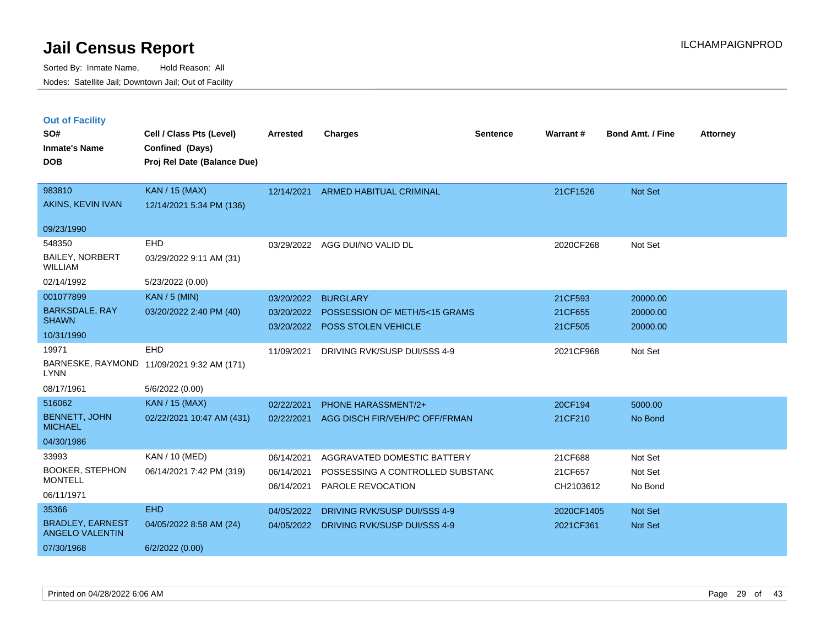|  | <b>Out of Facility</b> |  |
|--|------------------------|--|

| SO#<br><b>Inmate's Name</b><br><b>DOB</b>         | Cell / Class Pts (Level)<br>Confined (Days)<br>Proj Rel Date (Balance Due) | <b>Arrested</b> | <b>Charges</b>                           | <b>Sentence</b> | Warrant#   | <b>Bond Amt. / Fine</b> | <b>Attorney</b> |
|---------------------------------------------------|----------------------------------------------------------------------------|-----------------|------------------------------------------|-----------------|------------|-------------------------|-----------------|
|                                                   |                                                                            |                 |                                          |                 |            |                         |                 |
| 983810                                            | KAN / 15 (MAX)                                                             | 12/14/2021      | ARMED HABITUAL CRIMINAL                  |                 | 21CF1526   | Not Set                 |                 |
| AKINS, KEVIN IVAN                                 | 12/14/2021 5:34 PM (136)                                                   |                 |                                          |                 |            |                         |                 |
| 09/23/1990                                        |                                                                            |                 |                                          |                 |            |                         |                 |
| 548350                                            | EHD                                                                        | 03/29/2022      | AGG DUI/NO VALID DL                      |                 | 2020CF268  | Not Set                 |                 |
| <b>BAILEY, NORBERT</b><br><b>WILLIAM</b>          | 03/29/2022 9:11 AM (31)                                                    |                 |                                          |                 |            |                         |                 |
| 02/14/1992                                        | 5/23/2022 (0.00)                                                           |                 |                                          |                 |            |                         |                 |
| 001077899                                         | <b>KAN / 5 (MIN)</b>                                                       | 03/20/2022      | <b>BURGLARY</b>                          |                 | 21CF593    | 20000.00                |                 |
| <b>BARKSDALE, RAY</b>                             | 03/20/2022 2:40 PM (40)                                                    |                 | 03/20/2022 POSSESSION OF METH/5<15 GRAMS |                 | 21CF655    | 20000.00                |                 |
| <b>SHAWN</b>                                      |                                                                            |                 | 03/20/2022 POSS STOLEN VEHICLE           |                 | 21CF505    | 20000.00                |                 |
| 10/31/1990                                        |                                                                            |                 |                                          |                 |            |                         |                 |
| 19971                                             | EHD                                                                        | 11/09/2021      | DRIVING RVK/SUSP DUI/SSS 4-9             |                 | 2021CF968  | Not Set                 |                 |
| <b>LYNN</b>                                       | BARNESKE, RAYMOND 11/09/2021 9:32 AM (171)                                 |                 |                                          |                 |            |                         |                 |
| 08/17/1961                                        | 5/6/2022 (0.00)                                                            |                 |                                          |                 |            |                         |                 |
| 516062                                            | KAN / 15 (MAX)                                                             | 02/22/2021      | <b>PHONE HARASSMENT/2+</b>               |                 | 20CF194    | 5000.00                 |                 |
| <b>BENNETT, JOHN</b><br><b>MICHAEL</b>            | 02/22/2021 10:47 AM (431)                                                  | 02/22/2021      | AGG DISCH FIR/VEH/PC OFF/FRMAN           |                 | 21CF210    | No Bond                 |                 |
| 04/30/1986                                        |                                                                            |                 |                                          |                 |            |                         |                 |
| 33993                                             | KAN / 10 (MED)                                                             | 06/14/2021      | AGGRAVATED DOMESTIC BATTERY              |                 | 21CF688    | Not Set                 |                 |
| <b>BOOKER, STEPHON</b>                            | 06/14/2021 7:42 PM (319)                                                   | 06/14/2021      | POSSESSING A CONTROLLED SUBSTAND         |                 | 21CF657    | Not Set                 |                 |
| <b>MONTELL</b>                                    |                                                                            | 06/14/2021      | PAROLE REVOCATION                        |                 | CH2103612  | No Bond                 |                 |
| 06/11/1971                                        |                                                                            |                 |                                          |                 |            |                         |                 |
| 35366                                             | <b>EHD</b>                                                                 | 04/05/2022      | DRIVING RVK/SUSP DUI/SSS 4-9             |                 | 2020CF1405 | Not Set                 |                 |
| <b>BRADLEY, EARNEST</b><br><b>ANGELO VALENTIN</b> | 04/05/2022 8:58 AM (24)                                                    | 04/05/2022      | DRIVING RVK/SUSP DUI/SSS 4-9             |                 | 2021CF361  | Not Set                 |                 |
| 07/30/1968                                        | 6/2/2022 (0.00)                                                            |                 |                                          |                 |            |                         |                 |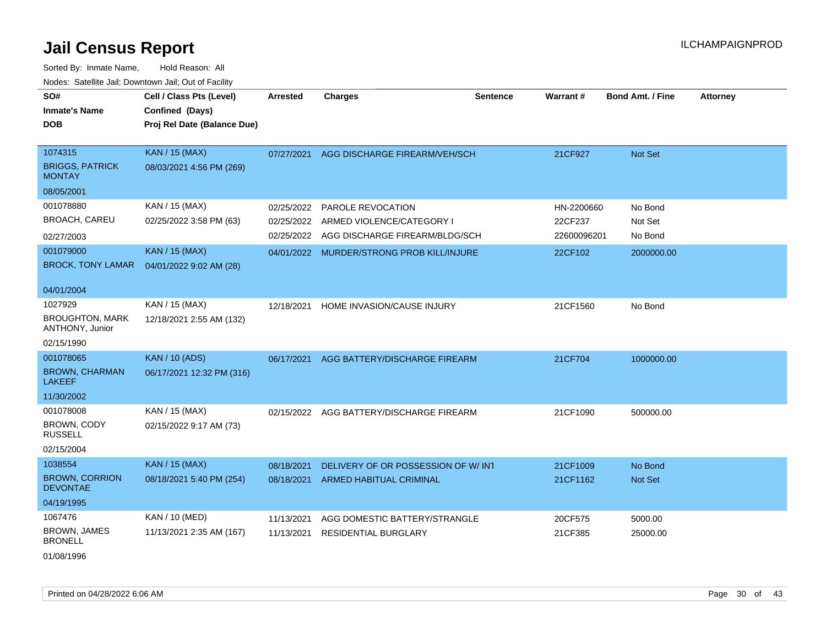| SO#<br><b>Inmate's Name</b><br><b>DOB</b>                                                              | Cell / Class Pts (Level)<br>Confined (Days)<br>Proj Rel Date (Balance Due)                    | Arrested                               | <b>Charges</b>                                                                                                                | <b>Sentence</b> | <b>Warrant#</b>                                 | <b>Bond Amt. / Fine</b>                     | <b>Attorney</b> |
|--------------------------------------------------------------------------------------------------------|-----------------------------------------------------------------------------------------------|----------------------------------------|-------------------------------------------------------------------------------------------------------------------------------|-----------------|-------------------------------------------------|---------------------------------------------|-----------------|
| 1074315<br><b>BRIGGS, PATRICK</b><br><b>MONTAY</b>                                                     | <b>KAN / 15 (MAX)</b><br>08/03/2021 4:56 PM (269)                                             | 07/27/2021                             | AGG DISCHARGE FIREARM/VEH/SCH                                                                                                 |                 | 21CF927                                         | Not Set                                     |                 |
| 08/05/2001<br>001078880<br><b>BROACH, CAREU</b><br>02/27/2003<br>001079000<br><b>BROCK, TONY LAMAR</b> | KAN / 15 (MAX)<br>02/25/2022 3:58 PM (63)<br><b>KAN / 15 (MAX)</b><br>04/01/2022 9:02 AM (28) | 02/25/2022<br>02/25/2022<br>02/25/2022 | PAROLE REVOCATION<br>ARMED VIOLENCE/CATEGORY I<br>AGG DISCHARGE FIREARM/BLDG/SCH<br>04/01/2022 MURDER/STRONG PROB KILL/INJURE |                 | HN-2200660<br>22CF237<br>22600096201<br>22CF102 | No Bond<br>Not Set<br>No Bond<br>2000000.00 |                 |
| 04/01/2004<br>1027929<br><b>BROUGHTON, MARK</b><br>ANTHONY, Junior<br>02/15/1990                       | KAN / 15 (MAX)<br>12/18/2021 2:55 AM (132)                                                    | 12/18/2021                             | HOME INVASION/CAUSE INJURY                                                                                                    |                 | 21CF1560                                        | No Bond                                     |                 |
| 001078065<br><b>BROWN, CHARMAN</b><br><b>LAKEEF</b><br>11/30/2002                                      | <b>KAN / 10 (ADS)</b><br>06/17/2021 12:32 PM (316)                                            | 06/17/2021                             | AGG BATTERY/DISCHARGE FIREARM                                                                                                 |                 | 21CF704                                         | 1000000.00                                  |                 |
| 001078008<br>BROWN, CODY<br><b>RUSSELL</b><br>02/15/2004                                               | KAN / 15 (MAX)<br>02/15/2022 9:17 AM (73)                                                     | 02/15/2022                             | AGG BATTERY/DISCHARGE FIREARM                                                                                                 |                 | 21CF1090                                        | 500000.00                                   |                 |
| 1038554<br><b>BROWN, CORRION</b><br><b>DEVONTAE</b><br>04/19/1995                                      | <b>KAN / 15 (MAX)</b><br>08/18/2021 5:40 PM (254)                                             | 08/18/2021<br>08/18/2021               | DELIVERY OF OR POSSESSION OF W/ INT<br>ARMED HABITUAL CRIMINAL                                                                |                 | 21CF1009<br>21CF1162                            | No Bond<br>Not Set                          |                 |
| 1067476<br><b>BROWN, JAMES</b><br><b>BRONELL</b><br>01/08/1996                                         | KAN / 10 (MED)<br>11/13/2021 2:35 AM (167)                                                    | 11/13/2021<br>11/13/2021               | AGG DOMESTIC BATTERY/STRANGLE<br><b>RESIDENTIAL BURGLARY</b>                                                                  |                 | 20CF575<br>21CF385                              | 5000.00<br>25000.00                         |                 |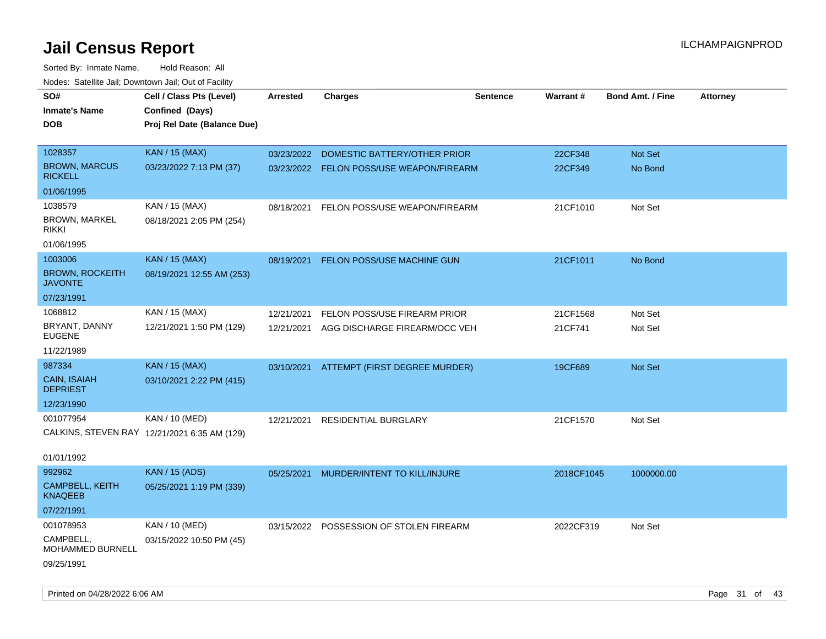| Todoo. Catolino can, Bowritown can, Oat or I domt<br>SO#<br><b>Inmate's Name</b><br><b>DOB</b> | Cell / Class Pts (Level)<br>Confined (Days)<br>Proj Rel Date (Balance Due) | Arrested   | <b>Charges</b>                           | <b>Sentence</b> | <b>Warrant#</b> | <b>Bond Amt. / Fine</b> | <b>Attorney</b> |
|------------------------------------------------------------------------------------------------|----------------------------------------------------------------------------|------------|------------------------------------------|-----------------|-----------------|-------------------------|-----------------|
| 1028357                                                                                        | KAN / 15 (MAX)                                                             | 03/23/2022 | DOMESTIC BATTERY/OTHER PRIOR             |                 | 22CF348         | <b>Not Set</b>          |                 |
| <b>BROWN, MARCUS</b><br><b>RICKELL</b>                                                         | 03/23/2022 7:13 PM (37)                                                    |            | 03/23/2022 FELON POSS/USE WEAPON/FIREARM |                 | 22CF349         | No Bond                 |                 |
| 01/06/1995                                                                                     |                                                                            |            |                                          |                 |                 |                         |                 |
| 1038579                                                                                        | KAN / 15 (MAX)                                                             | 08/18/2021 | FELON POSS/USE WEAPON/FIREARM            |                 | 21CF1010        | Not Set                 |                 |
| <b>BROWN, MARKEL</b><br><b>RIKKI</b>                                                           | 08/18/2021 2:05 PM (254)                                                   |            |                                          |                 |                 |                         |                 |
| 01/06/1995                                                                                     |                                                                            |            |                                          |                 |                 |                         |                 |
| 1003006                                                                                        | <b>KAN / 15 (MAX)</b>                                                      | 08/19/2021 | FELON POSS/USE MACHINE GUN               |                 | 21CF1011        | No Bond                 |                 |
| <b>BROWN, ROCKEITH</b><br><b>JAVONTE</b>                                                       | 08/19/2021 12:55 AM (253)                                                  |            |                                          |                 |                 |                         |                 |
| 07/23/1991                                                                                     |                                                                            |            |                                          |                 |                 |                         |                 |
| 1068812                                                                                        | KAN / 15 (MAX)                                                             | 12/21/2021 | FELON POSS/USE FIREARM PRIOR             |                 | 21CF1568        | Not Set                 |                 |
| BRYANT, DANNY<br><b>EUGENE</b>                                                                 | 12/21/2021 1:50 PM (129)                                                   | 12/21/2021 | AGG DISCHARGE FIREARM/OCC VEH            |                 | 21CF741         | Not Set                 |                 |
| 11/22/1989                                                                                     |                                                                            |            |                                          |                 |                 |                         |                 |
| 987334                                                                                         | <b>KAN / 15 (MAX)</b>                                                      | 03/10/2021 | ATTEMPT (FIRST DEGREE MURDER)            |                 | 19CF689         | <b>Not Set</b>          |                 |
| <b>CAIN, ISAIAH</b><br><b>DEPRIEST</b>                                                         | 03/10/2021 2:22 PM (415)                                                   |            |                                          |                 |                 |                         |                 |
| 12/23/1990                                                                                     |                                                                            |            |                                          |                 |                 |                         |                 |
| 001077954                                                                                      | KAN / 10 (MED)                                                             | 12/21/2021 | <b>RESIDENTIAL BURGLARY</b>              |                 | 21CF1570        | Not Set                 |                 |
|                                                                                                | CALKINS, STEVEN RAY 12/21/2021 6:35 AM (129)                               |            |                                          |                 |                 |                         |                 |
| 01/01/1992                                                                                     |                                                                            |            |                                          |                 |                 |                         |                 |
| 992962                                                                                         | <b>KAN / 15 (ADS)</b>                                                      | 05/25/2021 | MURDER/INTENT TO KILL/INJURE             |                 | 2018CF1045      | 1000000.00              |                 |
| <b>CAMPBELL, KEITH</b><br><b>KNAQEEB</b>                                                       | 05/25/2021 1:19 PM (339)                                                   |            |                                          |                 |                 |                         |                 |
| 07/22/1991                                                                                     |                                                                            |            |                                          |                 |                 |                         |                 |
| 001078953                                                                                      | KAN / 10 (MED)                                                             |            | 03/15/2022 POSSESSION OF STOLEN FIREARM  |                 | 2022CF319       | Not Set                 |                 |
| CAMPBELL,<br><b>MOHAMMED BURNELL</b>                                                           | 03/15/2022 10:50 PM (45)                                                   |            |                                          |                 |                 |                         |                 |
| 09/25/1991                                                                                     |                                                                            |            |                                          |                 |                 |                         |                 |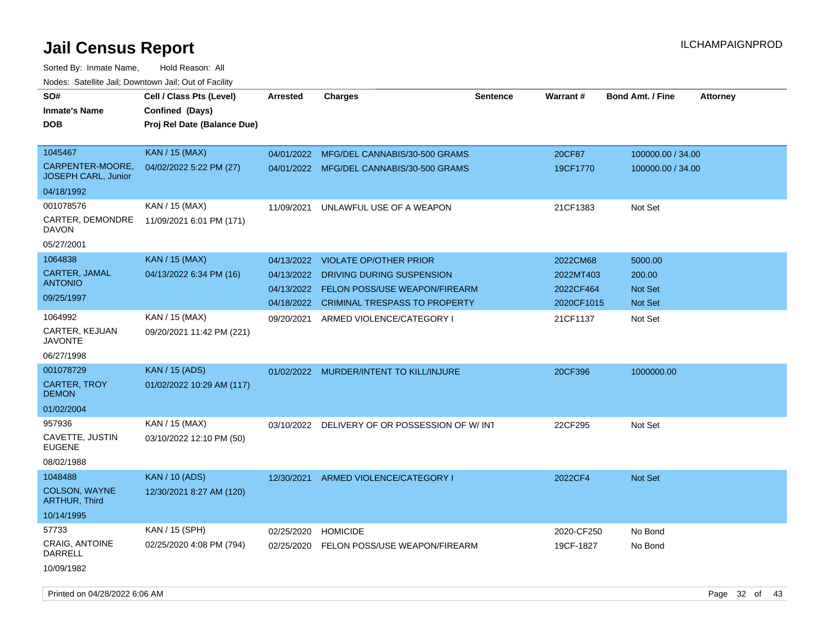| roaco. Calcinio dan, Downtown dan, Oal or Fability |                                                                            |                 |                                               |                 |            |                         |                 |
|----------------------------------------------------|----------------------------------------------------------------------------|-----------------|-----------------------------------------------|-----------------|------------|-------------------------|-----------------|
| SO#<br>Inmate's Name<br><b>DOB</b>                 | Cell / Class Pts (Level)<br>Confined (Days)<br>Proj Rel Date (Balance Due) | <b>Arrested</b> | <b>Charges</b>                                | <b>Sentence</b> | Warrant#   | <b>Bond Amt. / Fine</b> | <b>Attorney</b> |
| 1045467                                            | <b>KAN / 15 (MAX)</b>                                                      | 04/01/2022      | MFG/DEL CANNABIS/30-500 GRAMS                 |                 | 20CF87     | 100000.00 / 34.00       |                 |
| CARPENTER-MOORE,<br>JOSEPH CARL, Junior            | 04/02/2022 5:22 PM (27)                                                    |                 | 04/01/2022 MFG/DEL CANNABIS/30-500 GRAMS      |                 | 19CF1770   | 100000.00 / 34.00       |                 |
| 04/18/1992                                         |                                                                            |                 |                                               |                 |            |                         |                 |
| 001078576                                          | KAN / 15 (MAX)                                                             | 11/09/2021      | UNLAWFUL USE OF A WEAPON                      |                 | 21CF1383   | Not Set                 |                 |
| CARTER, DEMONDRE<br>DAVON                          | 11/09/2021 6:01 PM (171)                                                   |                 |                                               |                 |            |                         |                 |
| 05/27/2001                                         |                                                                            |                 |                                               |                 |            |                         |                 |
| 1064838                                            | <b>KAN</b> / 15 (MAX)                                                      | 04/13/2022      | <b>VIOLATE OP/OTHER PRIOR</b>                 |                 | 2022CM68   | 5000.00                 |                 |
| CARTER, JAMAL                                      | 04/13/2022 6:34 PM (16)                                                    | 04/13/2022      | DRIVING DURING SUSPENSION                     |                 | 2022MT403  | 200.00                  |                 |
| <b>ANTONIO</b>                                     |                                                                            | 04/13/2022      | <b>FELON POSS/USE WEAPON/FIREARM</b>          |                 | 2022CF464  | <b>Not Set</b>          |                 |
| 09/25/1997                                         |                                                                            | 04/18/2022      | <b>CRIMINAL TRESPASS TO PROPERTY</b>          |                 | 2020CF1015 | Not Set                 |                 |
| 1064992<br><b>CARTER, KEJUAN</b><br>JAVONTE        | KAN / 15 (MAX)<br>09/20/2021 11:42 PM (221)                                | 09/20/2021      | ARMED VIOLENCE/CATEGORY I                     |                 | 21CF1137   | Not Set                 |                 |
| 06/27/1998                                         |                                                                            |                 |                                               |                 |            |                         |                 |
| 001078729                                          | <b>KAN / 15 (ADS)</b>                                                      | 01/02/2022      | MURDER/INTENT TO KILL/INJURE                  |                 | 20CF396    | 1000000.00              |                 |
| <b>CARTER, TROY</b><br>DEMON                       | 01/02/2022 10:29 AM (117)                                                  |                 |                                               |                 |            |                         |                 |
| 01/02/2004                                         |                                                                            |                 |                                               |                 |            |                         |                 |
| 957936                                             | KAN / 15 (MAX)                                                             |                 | 03/10/2022 DELIVERY OF OR POSSESSION OF W/INT |                 | 22CF295    | Not Set                 |                 |
| CAVETTE, JUSTIN<br><b>EUGENE</b>                   | 03/10/2022 12:10 PM (50)                                                   |                 |                                               |                 |            |                         |                 |
| 08/02/1988                                         |                                                                            |                 |                                               |                 |            |                         |                 |
| 1048488                                            | <b>KAN / 10 (ADS)</b>                                                      | 12/30/2021      | ARMED VIOLENCE/CATEGORY I                     |                 | 2022CF4    | <b>Not Set</b>          |                 |
| <b>COLSON, WAYNE</b><br><b>ARTHUR, Third</b>       | 12/30/2021 8:27 AM (120)                                                   |                 |                                               |                 |            |                         |                 |
| 10/14/1995                                         |                                                                            |                 |                                               |                 |            |                         |                 |
| 57733                                              | KAN / 15 (SPH)                                                             | 02/25/2020      | <b>HOMICIDE</b>                               |                 | 2020-CF250 | No Bond                 |                 |
| CRAIG, ANTOINE<br>DARRELL                          | 02/25/2020 4:08 PM (794)                                                   | 02/25/2020      | FELON POSS/USE WEAPON/FIREARM                 |                 | 19CF-1827  | No Bond                 |                 |
| 10/09/1982                                         |                                                                            |                 |                                               |                 |            |                         |                 |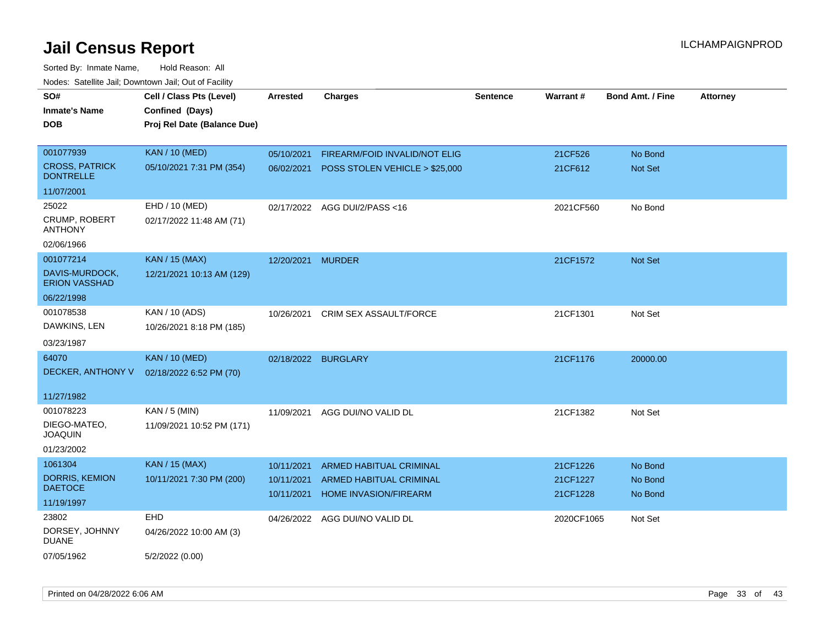| roaco. Catolino dall, Downtown dall, Out of Fability |                             |                     |                                           |                 |            |                         |                 |
|------------------------------------------------------|-----------------------------|---------------------|-------------------------------------------|-----------------|------------|-------------------------|-----------------|
| SO#                                                  | Cell / Class Pts (Level)    | <b>Arrested</b>     | <b>Charges</b>                            | <b>Sentence</b> | Warrant#   | <b>Bond Amt. / Fine</b> | <b>Attorney</b> |
| <b>Inmate's Name</b>                                 | Confined (Days)             |                     |                                           |                 |            |                         |                 |
| <b>DOB</b>                                           | Proj Rel Date (Balance Due) |                     |                                           |                 |            |                         |                 |
|                                                      |                             |                     |                                           |                 |            |                         |                 |
| 001077939                                            | <b>KAN / 10 (MED)</b>       | 05/10/2021          | FIREARM/FOID INVALID/NOT ELIG             |                 | 21CF526    | No Bond                 |                 |
| <b>CROSS, PATRICK</b><br><b>DONTRELLE</b>            | 05/10/2021 7:31 PM (354)    |                     | 06/02/2021 POSS STOLEN VEHICLE > \$25,000 |                 | 21CF612    | Not Set                 |                 |
| 11/07/2001                                           |                             |                     |                                           |                 |            |                         |                 |
| 25022                                                | EHD / 10 (MED)              |                     | 02/17/2022 AGG DUI/2/PASS<16              |                 | 2021CF560  | No Bond                 |                 |
| CRUMP, ROBERT<br><b>ANTHONY</b>                      | 02/17/2022 11:48 AM (71)    |                     |                                           |                 |            |                         |                 |
| 02/06/1966                                           |                             |                     |                                           |                 |            |                         |                 |
| 001077214                                            | <b>KAN / 15 (MAX)</b>       | 12/20/2021          | <b>MURDER</b>                             |                 | 21CF1572   | Not Set                 |                 |
| DAVIS-MURDOCK,<br><b>ERION VASSHAD</b>               | 12/21/2021 10:13 AM (129)   |                     |                                           |                 |            |                         |                 |
| 06/22/1998                                           |                             |                     |                                           |                 |            |                         |                 |
| 001078538                                            | KAN / 10 (ADS)              | 10/26/2021          | <b>CRIM SEX ASSAULT/FORCE</b>             |                 | 21CF1301   | Not Set                 |                 |
| DAWKINS, LEN                                         | 10/26/2021 8:18 PM (185)    |                     |                                           |                 |            |                         |                 |
| 03/23/1987                                           |                             |                     |                                           |                 |            |                         |                 |
| 64070                                                | <b>KAN / 10 (MED)</b>       | 02/18/2022 BURGLARY |                                           |                 | 21CF1176   | 20000.00                |                 |
| DECKER, ANTHONY V                                    | 02/18/2022 6:52 PM (70)     |                     |                                           |                 |            |                         |                 |
|                                                      |                             |                     |                                           |                 |            |                         |                 |
| 11/27/1982                                           |                             |                     |                                           |                 |            |                         |                 |
| 001078223                                            | $KAN / 5$ (MIN)             | 11/09/2021          | AGG DUI/NO VALID DL                       |                 | 21CF1382   | Not Set                 |                 |
| DIEGO-MATEO,<br><b>JOAQUIN</b>                       | 11/09/2021 10:52 PM (171)   |                     |                                           |                 |            |                         |                 |
| 01/23/2002                                           |                             |                     |                                           |                 |            |                         |                 |
| 1061304                                              | KAN / 15 (MAX)              | 10/11/2021          | ARMED HABITUAL CRIMINAL                   |                 | 21CF1226   | No Bond                 |                 |
| DORRIS, KEMION                                       | 10/11/2021 7:30 PM (200)    | 10/11/2021          | <b>ARMED HABITUAL CRIMINAL</b>            |                 | 21CF1227   | No Bond                 |                 |
| <b>DAETOCE</b>                                       |                             | 10/11/2021          | HOME INVASION/FIREARM                     |                 | 21CF1228   | No Bond                 |                 |
| 11/19/1997                                           |                             |                     |                                           |                 |            |                         |                 |
| 23802                                                | EHD                         |                     | 04/26/2022 AGG DUI/NO VALID DL            |                 | 2020CF1065 | Not Set                 |                 |
| DORSEY, JOHNNY<br><b>DUANE</b>                       | 04/26/2022 10:00 AM (3)     |                     |                                           |                 |            |                         |                 |
| 07/05/1962                                           | 5/2/2022 (0.00)             |                     |                                           |                 |            |                         |                 |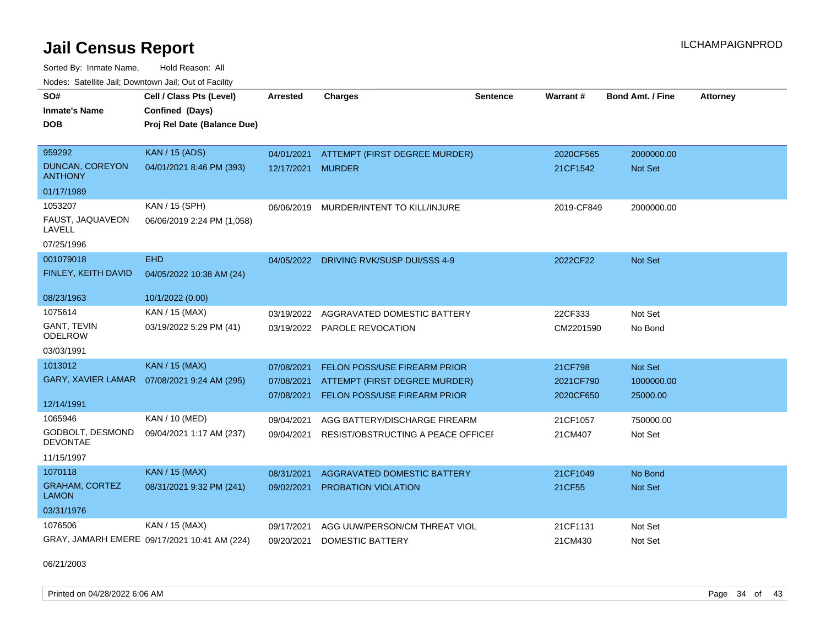Sorted By: Inmate Name, Hold Reason: All Nodes: Satellite Jail; Downtown Jail; Out of Facility

| SO#                                      | Cell / Class Pts (Level)                     | <b>Arrested</b> | <b>Charges</b>                          | <b>Sentence</b> | Warrant#   | <b>Bond Amt. / Fine</b> | <b>Attorney</b> |
|------------------------------------------|----------------------------------------------|-----------------|-----------------------------------------|-----------------|------------|-------------------------|-----------------|
| <b>Inmate's Name</b>                     | Confined (Days)                              |                 |                                         |                 |            |                         |                 |
| <b>DOB</b>                               | Proj Rel Date (Balance Due)                  |                 |                                         |                 |            |                         |                 |
|                                          |                                              |                 |                                         |                 |            |                         |                 |
| 959292                                   | <b>KAN / 15 (ADS)</b>                        | 04/01/2021      | ATTEMPT (FIRST DEGREE MURDER)           |                 | 2020CF565  | 2000000.00              |                 |
| <b>DUNCAN, COREYON</b><br><b>ANTHONY</b> | 04/01/2021 8:46 PM (393)                     | 12/17/2021      | <b>MURDER</b>                           |                 | 21CF1542   | <b>Not Set</b>          |                 |
| 01/17/1989                               |                                              |                 |                                         |                 |            |                         |                 |
| 1053207                                  | KAN / 15 (SPH)                               |                 | 06/06/2019 MURDER/INTENT TO KILL/INJURE |                 | 2019-CF849 | 2000000.00              |                 |
| FAUST, JAQUAVEON<br>LAVELL               | 06/06/2019 2:24 PM (1,058)                   |                 |                                         |                 |            |                         |                 |
| 07/25/1996                               |                                              |                 |                                         |                 |            |                         |                 |
| 001079018                                | <b>EHD</b>                                   | 04/05/2022      | DRIVING RVK/SUSP DUI/SSS 4-9            |                 | 2022CF22   | Not Set                 |                 |
| FINLEY, KEITH DAVID                      | 04/05/2022 10:38 AM (24)                     |                 |                                         |                 |            |                         |                 |
|                                          |                                              |                 |                                         |                 |            |                         |                 |
| 08/23/1963                               | 10/1/2022 (0.00)                             |                 |                                         |                 |            |                         |                 |
| 1075614                                  | KAN / 15 (MAX)                               | 03/19/2022      | AGGRAVATED DOMESTIC BATTERY             |                 | 22CF333    | Not Set                 |                 |
| GANT, TEVIN<br><b>ODELROW</b>            | 03/19/2022 5:29 PM (41)                      | 03/19/2022      | PAROLE REVOCATION                       |                 | CM2201590  | No Bond                 |                 |
| 03/03/1991                               |                                              |                 |                                         |                 |            |                         |                 |
| 1013012                                  | <b>KAN / 15 (MAX)</b>                        | 07/08/2021      | <b>FELON POSS/USE FIREARM PRIOR</b>     |                 | 21CF798    | Not Set                 |                 |
| <b>GARY, XAVIER LAMAR</b>                | 07/08/2021 9:24 AM (295)                     | 07/08/2021      | ATTEMPT (FIRST DEGREE MURDER)           |                 | 2021CF790  | 1000000.00              |                 |
|                                          |                                              | 07/08/2021      | <b>FELON POSS/USE FIREARM PRIOR</b>     |                 | 2020CF650  | 25000.00                |                 |
| 12/14/1991                               |                                              |                 |                                         |                 |            |                         |                 |
| 1065946                                  | KAN / 10 (MED)                               | 09/04/2021      | AGG BATTERY/DISCHARGE FIREARM           |                 | 21CF1057   | 750000.00               |                 |
| GODBOLT, DESMOND<br><b>DEVONTAE</b>      | 09/04/2021 1:17 AM (237)                     | 09/04/2021      | RESIST/OBSTRUCTING A PEACE OFFICEI      |                 | 21CM407    | Not Set                 |                 |
| 11/15/1997                               |                                              |                 |                                         |                 |            |                         |                 |
| 1070118                                  | KAN / 15 (MAX)                               | 08/31/2021      | AGGRAVATED DOMESTIC BATTERY             |                 | 21CF1049   | No Bond                 |                 |
| <b>GRAHAM, CORTEZ</b><br><b>LAMON</b>    | 08/31/2021 9:32 PM (241)                     | 09/02/2021      | <b>PROBATION VIOLATION</b>              |                 | 21CF55     | <b>Not Set</b>          |                 |
| 03/31/1976                               |                                              |                 |                                         |                 |            |                         |                 |
| 1076506                                  | KAN / 15 (MAX)                               | 09/17/2021      | AGG UUW/PERSON/CM THREAT VIOL           |                 | 21CF1131   | Not Set                 |                 |
|                                          | GRAY, JAMARH EMERE 09/17/2021 10:41 AM (224) | 09/20/2021      | <b>DOMESTIC BATTERY</b>                 |                 | 21CM430    | Not Set                 |                 |

06/21/2003

Printed on 04/28/2022 6:06 AM Page 34 of 43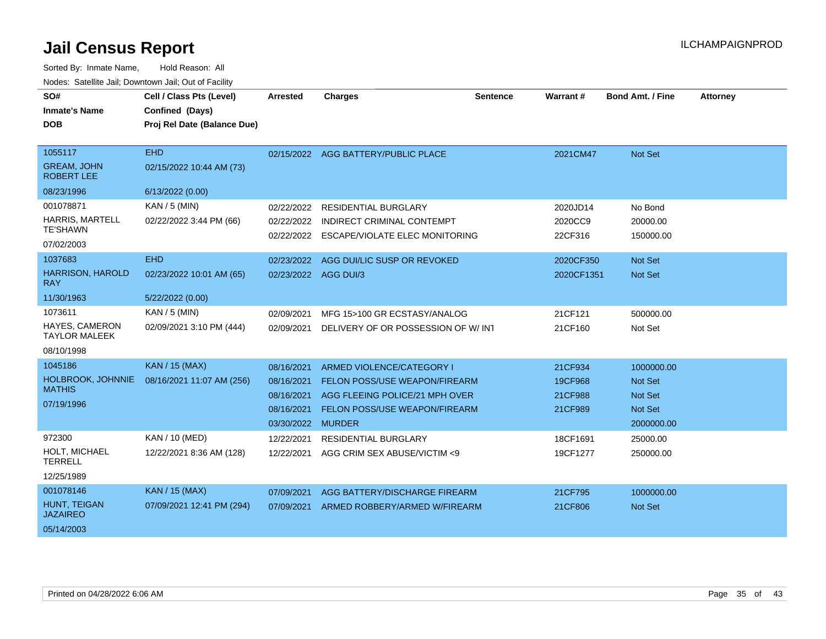| SO#                                     | Cell / Class Pts (Level)    | <b>Arrested</b>      | <b>Charges</b>                       | <b>Sentence</b> | Warrant #  | <b>Bond Amt. / Fine</b> | <b>Attorney</b> |
|-----------------------------------------|-----------------------------|----------------------|--------------------------------------|-----------------|------------|-------------------------|-----------------|
| <b>Inmate's Name</b>                    | Confined (Days)             |                      |                                      |                 |            |                         |                 |
| <b>DOB</b>                              | Proj Rel Date (Balance Due) |                      |                                      |                 |            |                         |                 |
|                                         |                             |                      |                                      |                 |            |                         |                 |
| 1055117                                 | <b>EHD</b>                  |                      | 02/15/2022 AGG BATTERY/PUBLIC PLACE  |                 | 2021CM47   | <b>Not Set</b>          |                 |
| <b>GREAM, JOHN</b><br><b>ROBERT LEE</b> | 02/15/2022 10:44 AM (73)    |                      |                                      |                 |            |                         |                 |
| 08/23/1996                              | 6/13/2022 (0.00)            |                      |                                      |                 |            |                         |                 |
| 001078871                               | $KAN / 5$ (MIN)             | 02/22/2022           | <b>RESIDENTIAL BURGLARY</b>          |                 | 2020JD14   | No Bond                 |                 |
| <b>HARRIS, MARTELL</b>                  | 02/22/2022 3:44 PM (66)     | 02/22/2022           | INDIRECT CRIMINAL CONTEMPT           |                 | 2020CC9    | 20000.00                |                 |
| <b>TE'SHAWN</b>                         |                             | 02/22/2022           | ESCAPE/VIOLATE ELEC MONITORING       |                 | 22CF316    | 150000.00               |                 |
| 07/02/2003                              |                             |                      |                                      |                 |            |                         |                 |
| 1037683                                 | <b>EHD</b>                  | 02/23/2022           | AGG DUI/LIC SUSP OR REVOKED          |                 | 2020CF350  | <b>Not Set</b>          |                 |
| <b>HARRISON, HAROLD</b><br><b>RAY</b>   | 02/23/2022 10:01 AM (65)    | 02/23/2022 AGG DUI/3 |                                      |                 | 2020CF1351 | <b>Not Set</b>          |                 |
| 11/30/1963                              | 5/22/2022 (0.00)            |                      |                                      |                 |            |                         |                 |
| 1073611                                 | KAN / 5 (MIN)               | 02/09/2021           | MFG 15>100 GR ECSTASY/ANALOG         |                 | 21CF121    | 500000.00               |                 |
| HAYES, CAMERON<br><b>TAYLOR MALEEK</b>  | 02/09/2021 3:10 PM (444)    | 02/09/2021           | DELIVERY OF OR POSSESSION OF W/INT   |                 | 21CF160    | Not Set                 |                 |
| 08/10/1998                              |                             |                      |                                      |                 |            |                         |                 |
| 1045186                                 | <b>KAN / 15 (MAX)</b>       | 08/16/2021           | ARMED VIOLENCE/CATEGORY I            |                 | 21CF934    | 1000000.00              |                 |
| HOLBROOK, JOHNNIE                       | 08/16/2021 11:07 AM (256)   | 08/16/2021           | <b>FELON POSS/USE WEAPON/FIREARM</b> |                 | 19CF968    | <b>Not Set</b>          |                 |
| <b>MATHIS</b>                           |                             | 08/16/2021           | AGG FLEEING POLICE/21 MPH OVER       |                 | 21CF988    | <b>Not Set</b>          |                 |
| 07/19/1996                              |                             | 08/16/2021           | FELON POSS/USE WEAPON/FIREARM        |                 | 21CF989    | <b>Not Set</b>          |                 |
|                                         |                             | 03/30/2022 MURDER    |                                      |                 |            | 2000000.00              |                 |
| 972300                                  | KAN / 10 (MED)              | 12/22/2021           | <b>RESIDENTIAL BURGLARY</b>          |                 | 18CF1691   | 25000.00                |                 |
| HOLT, MICHAEL<br><b>TERRELL</b>         | 12/22/2021 8:36 AM (128)    | 12/22/2021           | AGG CRIM SEX ABUSE/VICTIM <9         |                 | 19CF1277   | 250000.00               |                 |
| 12/25/1989                              |                             |                      |                                      |                 |            |                         |                 |
| 001078146                               | <b>KAN</b> / 15 (MAX)       | 07/09/2021           | AGG BATTERY/DISCHARGE FIREARM        |                 | 21CF795    | 1000000.00              |                 |
| HUNT, TEIGAN<br><b>JAZAIREO</b>         | 07/09/2021 12:41 PM (294)   | 07/09/2021           | ARMED ROBBERY/ARMED W/FIREARM        |                 | 21CF806    | <b>Not Set</b>          |                 |
| 05/14/2003                              |                             |                      |                                      |                 |            |                         |                 |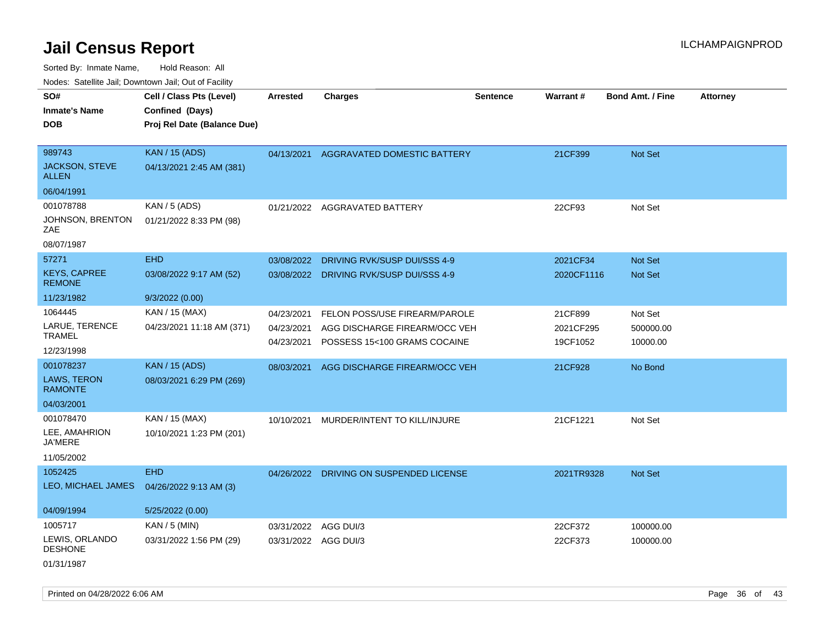| Todoo. Catolino can, Bomnomi can, Cat of Faoint<br>SO# | Cell / Class Pts (Level)    | <b>Arrested</b> | <b>Charges</b>                          | <b>Sentence</b> | Warrant#   | <b>Bond Amt. / Fine</b> | <b>Attorney</b> |
|--------------------------------------------------------|-----------------------------|-----------------|-----------------------------------------|-----------------|------------|-------------------------|-----------------|
| <b>Inmate's Name</b>                                   | Confined (Days)             |                 |                                         |                 |            |                         |                 |
| <b>DOB</b>                                             | Proj Rel Date (Balance Due) |                 |                                         |                 |            |                         |                 |
|                                                        |                             |                 |                                         |                 |            |                         |                 |
| 989743                                                 | <b>KAN / 15 (ADS)</b>       |                 | 04/13/2021 AGGRAVATED DOMESTIC BATTERY  |                 | 21CF399    | Not Set                 |                 |
| JACKSON, STEVE<br><b>ALLEN</b>                         | 04/13/2021 2:45 AM (381)    |                 |                                         |                 |            |                         |                 |
| 06/04/1991                                             |                             |                 |                                         |                 |            |                         |                 |
| 001078788                                              | KAN / 5 (ADS)               |                 | 01/21/2022 AGGRAVATED BATTERY           |                 | 22CF93     | Not Set                 |                 |
| JOHNSON, BRENTON<br>ZAE                                | 01/21/2022 8:33 PM (98)     |                 |                                         |                 |            |                         |                 |
| 08/07/1987                                             |                             |                 |                                         |                 |            |                         |                 |
| 57271                                                  | <b>EHD</b>                  | 03/08/2022      | DRIVING RVK/SUSP DUI/SSS 4-9            |                 | 2021CF34   | Not Set                 |                 |
| <b>KEYS, CAPREE</b><br><b>REMONE</b>                   | 03/08/2022 9:17 AM (52)     |                 | 03/08/2022 DRIVING RVK/SUSP DUI/SSS 4-9 |                 | 2020CF1116 | Not Set                 |                 |
| 11/23/1982                                             | 9/3/2022(0.00)              |                 |                                         |                 |            |                         |                 |
| 1064445                                                | KAN / 15 (MAX)              | 04/23/2021      | FELON POSS/USE FIREARM/PAROLE           |                 | 21CF899    | Not Set                 |                 |
| LARUE, TERENCE                                         | 04/23/2021 11:18 AM (371)   | 04/23/2021      | AGG DISCHARGE FIREARM/OCC VEH           |                 | 2021CF295  | 500000.00               |                 |
| <b>TRAMEL</b>                                          |                             | 04/23/2021      | POSSESS 15<100 GRAMS COCAINE            |                 | 19CF1052   | 10000.00                |                 |
| 12/23/1998                                             |                             |                 |                                         |                 |            |                         |                 |
| 001078237                                              | <b>KAN / 15 (ADS)</b>       | 08/03/2021      | AGG DISCHARGE FIREARM/OCC VEH           |                 | 21CF928    | No Bond                 |                 |
| <b>LAWS, TERON</b><br><b>RAMONTE</b>                   | 08/03/2021 6:29 PM (269)    |                 |                                         |                 |            |                         |                 |
| 04/03/2001                                             |                             |                 |                                         |                 |            |                         |                 |
| 001078470                                              | KAN / 15 (MAX)              | 10/10/2021      | MURDER/INTENT TO KILL/INJURE            |                 | 21CF1221   | Not Set                 |                 |
| LEE, AMAHRION<br><b>JA'MERE</b>                        | 10/10/2021 1:23 PM (201)    |                 |                                         |                 |            |                         |                 |
| 11/05/2002                                             |                             |                 |                                         |                 |            |                         |                 |
| 1052425                                                | <b>EHD</b>                  |                 | 04/26/2022 DRIVING ON SUSPENDED LICENSE |                 | 2021TR9328 | Not Set                 |                 |
| LEO, MICHAEL JAMES                                     | 04/26/2022 9:13 AM (3)      |                 |                                         |                 |            |                         |                 |
| 04/09/1994                                             | 5/25/2022 (0.00)            |                 |                                         |                 |            |                         |                 |
| 1005717                                                | KAN / 5 (MIN)               | 03/31/2022      | AGG DUI/3                               |                 | 22CF372    | 100000.00               |                 |
| LEWIS, ORLANDO<br><b>DESHONE</b>                       | 03/31/2022 1:56 PM (29)     |                 | 03/31/2022 AGG DUI/3                    |                 | 22CF373    | 100000.00               |                 |
| 01/31/1987                                             |                             |                 |                                         |                 |            |                         |                 |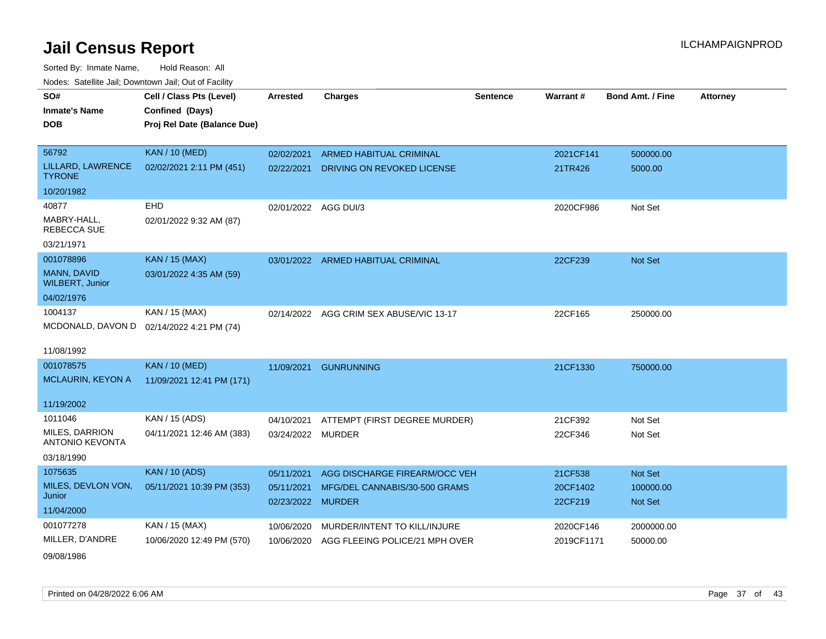Sorted By: Inmate Name, Hold Reason: All Nodes: Satellite Jail; Downtown Jail; Out of Facility

| SO#<br><b>Inmate's Name</b><br><b>DOB</b> | Cell / Class Pts (Level)<br>Confined (Days)<br>Proj Rel Date (Balance Due) | Arrested                        | <b>Charges</b>                     | Sentence | <b>Warrant#</b>     | <b>Bond Amt. / Fine</b>     | <b>Attorney</b> |
|-------------------------------------------|----------------------------------------------------------------------------|---------------------------------|------------------------------------|----------|---------------------|-----------------------------|-----------------|
| 56792                                     | <b>KAN / 10 (MED)</b>                                                      | 02/02/2021                      | <b>ARMED HABITUAL CRIMINAL</b>     |          | 2021CF141           | 500000.00                   |                 |
| LILLARD, LAWRENCE<br><b>TYRONE</b>        | 02/02/2021 2:11 PM (451)                                                   | 02/22/2021                      | DRIVING ON REVOKED LICENSE         |          | 21TR426             | 5000.00                     |                 |
| 10/20/1982                                |                                                                            |                                 |                                    |          |                     |                             |                 |
| 40877                                     | EHD                                                                        | 02/01/2022 AGG DUI/3            |                                    |          | 2020CF986           | Not Set                     |                 |
| MABRY-HALL,<br><b>REBECCA SUE</b>         | 02/01/2022 9:32 AM (87)                                                    |                                 |                                    |          |                     |                             |                 |
| 03/21/1971                                |                                                                            |                                 |                                    |          |                     |                             |                 |
| 001078896                                 | <b>KAN / 15 (MAX)</b>                                                      |                                 | 03/01/2022 ARMED HABITUAL CRIMINAL |          | 22CF239             | <b>Not Set</b>              |                 |
| MANN, DAVID<br><b>WILBERT, Junior</b>     | 03/01/2022 4:35 AM (59)                                                    |                                 |                                    |          |                     |                             |                 |
| 04/02/1976                                |                                                                            |                                 |                                    |          |                     |                             |                 |
| 1004137                                   | KAN / 15 (MAX)                                                             | 02/14/2022                      | AGG CRIM SEX ABUSE/VIC 13-17       |          | 22CF165             | 250000.00                   |                 |
| MCDONALD, DAVON D                         | 02/14/2022 4:21 PM (74)                                                    |                                 |                                    |          |                     |                             |                 |
| 11/08/1992                                |                                                                            |                                 |                                    |          |                     |                             |                 |
| 001078575                                 | <b>KAN / 10 (MED)</b>                                                      | 11/09/2021                      | <b>GUNRUNNING</b>                  |          | 21CF1330            | 750000.00                   |                 |
| <b>MCLAURIN, KEYON A</b>                  | 11/09/2021 12:41 PM (171)                                                  |                                 |                                    |          |                     |                             |                 |
| 11/19/2002                                |                                                                            |                                 |                                    |          |                     |                             |                 |
| 1011046                                   | KAN / 15 (ADS)                                                             | 04/10/2021                      | ATTEMPT (FIRST DEGREE MURDER)      |          | 21CF392             | Not Set                     |                 |
| MILES, DARRION<br><b>ANTONIO KEVONTA</b>  | 04/11/2021 12:46 AM (383)                                                  | 03/24/2022 MURDER               |                                    |          | 22CF346             | Not Set                     |                 |
| 03/18/1990                                |                                                                            |                                 |                                    |          |                     |                             |                 |
| 1075635                                   | <b>KAN / 10 (ADS)</b>                                                      | 05/11/2021                      | AGG DISCHARGE FIREARM/OCC VEH      |          | 21CF538             | <b>Not Set</b>              |                 |
| MILES, DEVLON VON,<br>Junior              | 05/11/2021 10:39 PM (353)                                                  | 05/11/2021<br>02/23/2022 MURDER | MFG/DEL CANNABIS/30-500 GRAMS      |          | 20CF1402<br>22CF219 | 100000.00<br><b>Not Set</b> |                 |
| 11/04/2000                                |                                                                            |                                 |                                    |          |                     |                             |                 |
| 001077278                                 | KAN / 15 (MAX)                                                             | 10/06/2020                      | MURDER/INTENT TO KILL/INJURE       |          | 2020CF146           | 2000000.00                  |                 |
| MILLER, D'ANDRE                           | 10/06/2020 12:49 PM (570)                                                  | 10/06/2020                      | AGG FLEEING POLICE/21 MPH OVER     |          | 2019CF1171          | 50000.00                    |                 |
|                                           |                                                                            |                                 |                                    |          |                     |                             |                 |

09/08/1986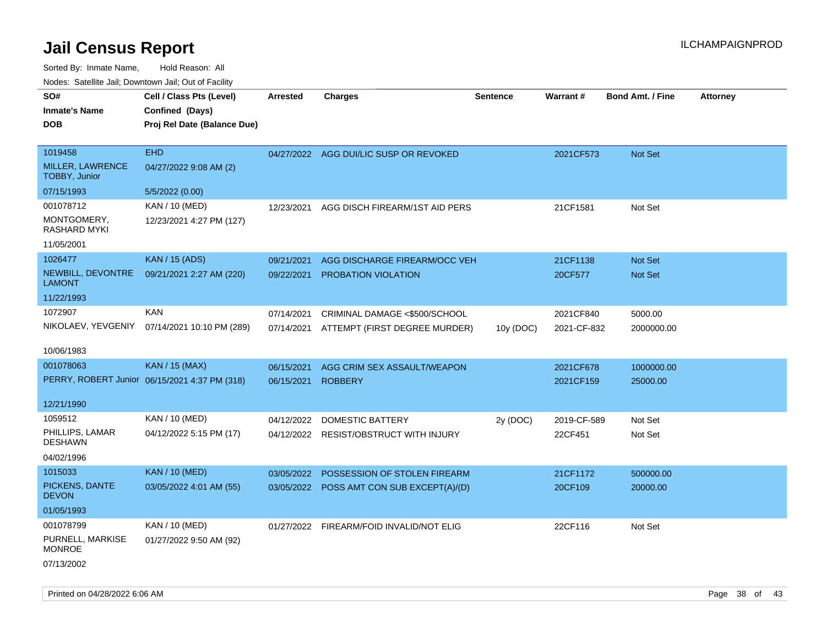| roaco. Catolino cali, Domntonn cali, Out of Facility |                                               |                 |                                           |                 |                 |                         |                 |
|------------------------------------------------------|-----------------------------------------------|-----------------|-------------------------------------------|-----------------|-----------------|-------------------------|-----------------|
| SO#                                                  | Cell / Class Pts (Level)                      | <b>Arrested</b> | <b>Charges</b>                            | <b>Sentence</b> | <b>Warrant#</b> | <b>Bond Amt. / Fine</b> | <b>Attorney</b> |
| <b>Inmate's Name</b>                                 | Confined (Days)                               |                 |                                           |                 |                 |                         |                 |
| <b>DOB</b>                                           | Proj Rel Date (Balance Due)                   |                 |                                           |                 |                 |                         |                 |
|                                                      |                                               |                 |                                           |                 |                 |                         |                 |
| 1019458                                              | <b>EHD</b>                                    |                 | 04/27/2022 AGG DUI/LIC SUSP OR REVOKED    |                 | 2021CF573       | Not Set                 |                 |
| MILLER, LAWRENCE<br><b>TOBBY, Junior</b>             | 04/27/2022 9:08 AM (2)                        |                 |                                           |                 |                 |                         |                 |
| 07/15/1993                                           | 5/5/2022 (0.00)                               |                 |                                           |                 |                 |                         |                 |
| 001078712                                            | KAN / 10 (MED)                                | 12/23/2021      | AGG DISCH FIREARM/1ST AID PERS            |                 | 21CF1581        | Not Set                 |                 |
| MONTGOMERY,<br>RASHARD MYKI                          | 12/23/2021 4:27 PM (127)                      |                 |                                           |                 |                 |                         |                 |
| 11/05/2001                                           |                                               |                 |                                           |                 |                 |                         |                 |
| 1026477                                              | <b>KAN / 15 (ADS)</b>                         | 09/21/2021      | AGG DISCHARGE FIREARM/OCC VEH             |                 | 21CF1138        | Not Set                 |                 |
| NEWBILL, DEVONTRE<br>LAMONT                          | 09/21/2021 2:27 AM (220)                      | 09/22/2021      | PROBATION VIOLATION                       |                 | 20CF577         | Not Set                 |                 |
| 11/22/1993                                           |                                               |                 |                                           |                 |                 |                         |                 |
| 1072907                                              | <b>KAN</b>                                    | 07/14/2021      | CRIMINAL DAMAGE <\$500/SCHOOL             |                 | 2021CF840       | 5000.00                 |                 |
|                                                      | NIKOLAEV, YEVGENIY 07/14/2021 10:10 PM (289)  | 07/14/2021      | ATTEMPT (FIRST DEGREE MURDER)             | 10y (DOC)       | 2021-CF-832     | 2000000.00              |                 |
|                                                      |                                               |                 |                                           |                 |                 |                         |                 |
| 10/06/1983                                           |                                               |                 |                                           |                 |                 |                         |                 |
| 001078063                                            | <b>KAN / 15 (MAX)</b>                         | 06/15/2021      | AGG CRIM SEX ASSAULT/WEAPON               |                 | 2021CF678       | 1000000.00              |                 |
|                                                      | PERRY, ROBERT Junior 06/15/2021 4:37 PM (318) | 06/15/2021      | <b>ROBBERY</b>                            |                 | 2021CF159       | 25000.00                |                 |
|                                                      |                                               |                 |                                           |                 |                 |                         |                 |
| 12/21/1990                                           |                                               |                 |                                           |                 |                 |                         |                 |
| 1059512                                              | KAN / 10 (MED)                                | 04/12/2022      | DOMESTIC BATTERY                          | 2y (DOC)        | 2019-CF-589     | Not Set                 |                 |
| PHILLIPS, LAMAR<br><b>DESHAWN</b>                    | 04/12/2022 5:15 PM (17)                       |                 | 04/12/2022 RESIST/OBSTRUCT WITH INJURY    |                 | 22CF451         | Not Set                 |                 |
| 04/02/1996                                           |                                               |                 |                                           |                 |                 |                         |                 |
| 1015033                                              | <b>KAN / 10 (MED)</b>                         | 03/05/2022      | POSSESSION OF STOLEN FIREARM              |                 | 21CF1172        | 500000.00               |                 |
| PICKENS, DANTE<br><b>DEVON</b>                       | 03/05/2022 4:01 AM (55)                       |                 | 03/05/2022 POSS AMT CON SUB EXCEPT(A)/(D) |                 | 20CF109         | 20000.00                |                 |
| 01/05/1993                                           |                                               |                 |                                           |                 |                 |                         |                 |
| 001078799                                            | KAN / 10 (MED)                                |                 | 01/27/2022 FIREARM/FOID INVALID/NOT ELIG  |                 | 22CF116         |                         |                 |
| PURNELL, MARKISE                                     | 01/27/2022 9:50 AM (92)                       |                 |                                           |                 |                 | Not Set                 |                 |
| <b>MONROE</b>                                        |                                               |                 |                                           |                 |                 |                         |                 |
| 07/13/2002                                           |                                               |                 |                                           |                 |                 |                         |                 |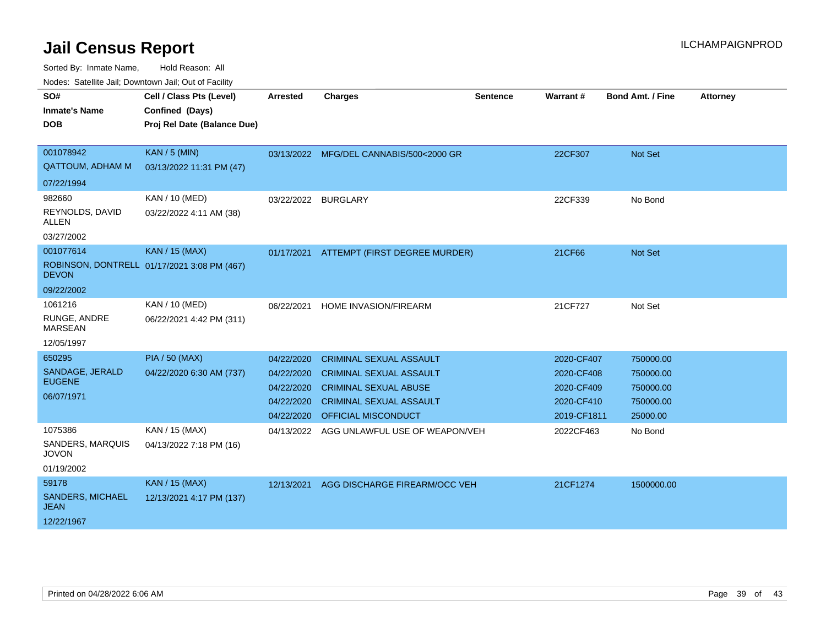| SO#<br><b>Inmate's Name</b><br><b>DOB</b>                      | Cell / Class Pts (Level)<br>Confined (Days)<br>Proj Rel Date (Balance Due) | <b>Arrested</b>                                                    | <b>Charges</b>                                                                                                                                            | <b>Sentence</b> | Warrant#                                                            | <b>Bond Amt. / Fine</b>                                      | <b>Attorney</b> |
|----------------------------------------------------------------|----------------------------------------------------------------------------|--------------------------------------------------------------------|-----------------------------------------------------------------------------------------------------------------------------------------------------------|-----------------|---------------------------------------------------------------------|--------------------------------------------------------------|-----------------|
| 001078942<br><b>QATTOUM, ADHAM M</b>                           | <b>KAN / 5 (MIN)</b><br>03/13/2022 11:31 PM (47)                           |                                                                    | 03/13/2022 MFG/DEL CANNABIS/500<2000 GR                                                                                                                   |                 | 22CF307                                                             | Not Set                                                      |                 |
| 07/22/1994<br>982660<br>REYNOLDS, DAVID<br>ALLEN<br>03/27/2002 | KAN / 10 (MED)<br>03/22/2022 4:11 AM (38)                                  | 03/22/2022 BURGLARY                                                |                                                                                                                                                           |                 | 22CF339                                                             | No Bond                                                      |                 |
| 001077614<br><b>DEVON</b><br>09/22/2002                        | <b>KAN / 15 (MAX)</b><br>ROBINSON, DONTRELL 01/17/2021 3:08 PM (467)       |                                                                    | 01/17/2021 ATTEMPT (FIRST DEGREE MURDER)                                                                                                                  |                 | 21CF66                                                              | Not Set                                                      |                 |
| 1061216<br>RUNGE, ANDRE<br><b>MARSEAN</b><br>12/05/1997        | KAN / 10 (MED)<br>06/22/2021 4:42 PM (311)                                 | 06/22/2021                                                         | HOME INVASION/FIREARM                                                                                                                                     |                 | 21CF727                                                             | Not Set                                                      |                 |
| 650295<br>SANDAGE, JERALD<br><b>EUGENE</b><br>06/07/1971       | <b>PIA / 50 (MAX)</b><br>04/22/2020 6:30 AM (737)                          | 04/22/2020<br>04/22/2020<br>04/22/2020<br>04/22/2020<br>04/22/2020 | <b>CRIMINAL SEXUAL ASSAULT</b><br><b>CRIMINAL SEXUAL ASSAULT</b><br><b>CRIMINAL SEXUAL ABUSE</b><br><b>CRIMINAL SEXUAL ASSAULT</b><br>OFFICIAL MISCONDUCT |                 | 2020-CF407<br>2020-CF408<br>2020-CF409<br>2020-CF410<br>2019-CF1811 | 750000.00<br>750000.00<br>750000.00<br>750000.00<br>25000.00 |                 |
| 1075386<br>SANDERS, MARQUIS<br><b>JOVON</b><br>01/19/2002      | KAN / 15 (MAX)<br>04/13/2022 7:18 PM (16)                                  | 04/13/2022                                                         | AGG UNLAWFUL USE OF WEAPON/VEH                                                                                                                            |                 | 2022CF463                                                           | No Bond                                                      |                 |
| 59178<br>SANDERS, MICHAEL<br><b>JEAN</b><br>12/22/1967         | <b>KAN / 15 (MAX)</b><br>12/13/2021 4:17 PM (137)                          | 12/13/2021                                                         | AGG DISCHARGE FIREARM/OCC VEH                                                                                                                             |                 | 21CF1274                                                            | 1500000.00                                                   |                 |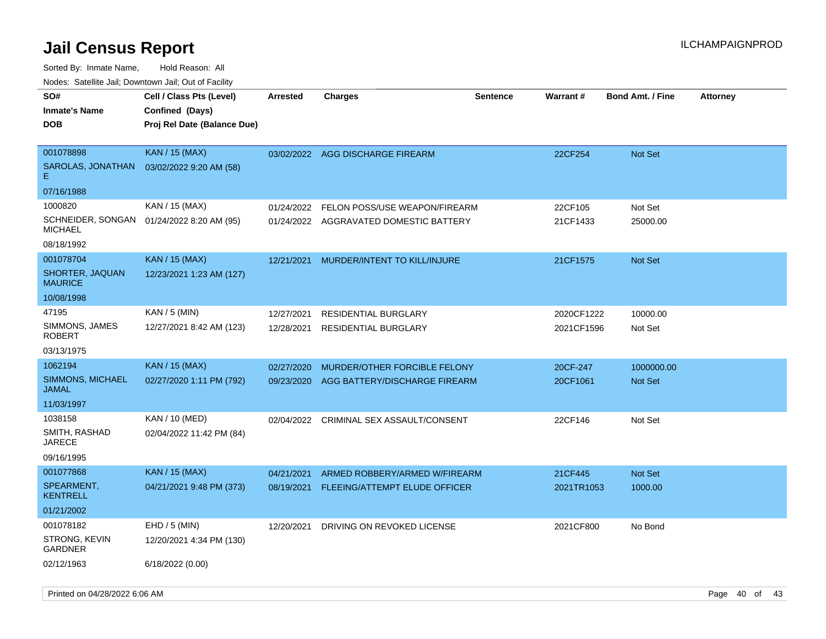| <b>NOULD:</b> Catoline bail, Downtown bail, Out of I dollty |                                                                            |                 |                                        |                 |            |                         |                 |
|-------------------------------------------------------------|----------------------------------------------------------------------------|-----------------|----------------------------------------|-----------------|------------|-------------------------|-----------------|
| SO#<br><b>Inmate's Name</b><br><b>DOB</b>                   | Cell / Class Pts (Level)<br>Confined (Days)<br>Proj Rel Date (Balance Due) | <b>Arrested</b> | <b>Charges</b>                         | <b>Sentence</b> | Warrant#   | <b>Bond Amt. / Fine</b> | <b>Attorney</b> |
| 001078898                                                   | <b>KAN / 15 (MAX)</b>                                                      |                 | 03/02/2022 AGG DISCHARGE FIREARM       |                 | 22CF254    | <b>Not Set</b>          |                 |
| SAROLAS, JONATHAN<br>Е.                                     | 03/02/2022 9:20 AM (58)                                                    |                 |                                        |                 |            |                         |                 |
| 07/16/1988                                                  |                                                                            |                 |                                        |                 |            |                         |                 |
| 1000820                                                     | KAN / 15 (MAX)                                                             | 01/24/2022      | FELON POSS/USE WEAPON/FIREARM          |                 | 22CF105    | Not Set                 |                 |
| SCHNEIDER, SONGAN<br><b>MICHAEL</b>                         | 01/24/2022 8:20 AM (95)                                                    |                 | 01/24/2022 AGGRAVATED DOMESTIC BATTERY |                 | 21CF1433   | 25000.00                |                 |
| 08/18/1992                                                  |                                                                            |                 |                                        |                 |            |                         |                 |
| 001078704                                                   | <b>KAN / 15 (MAX)</b>                                                      | 12/21/2021      | MURDER/INTENT TO KILL/INJURE           |                 | 21CF1575   | Not Set                 |                 |
| SHORTER, JAQUAN<br><b>MAURICE</b>                           | 12/23/2021 1:23 AM (127)                                                   |                 |                                        |                 |            |                         |                 |
| 10/08/1998                                                  |                                                                            |                 |                                        |                 |            |                         |                 |
| 47195                                                       | KAN / 5 (MIN)                                                              | 12/27/2021      | <b>RESIDENTIAL BURGLARY</b>            |                 | 2020CF1222 | 10000.00                |                 |
| SIMMONS, JAMES<br>ROBERT                                    | 12/27/2021 8:42 AM (123)                                                   | 12/28/2021      | <b>RESIDENTIAL BURGLARY</b>            |                 | 2021CF1596 | Not Set                 |                 |
| 03/13/1975                                                  |                                                                            |                 |                                        |                 |            |                         |                 |
| 1062194                                                     | <b>KAN / 15 (MAX)</b>                                                      | 02/27/2020      | MURDER/OTHER FORCIBLE FELONY           |                 | 20CF-247   | 1000000.00              |                 |
| SIMMONS, MICHAEL<br>JAMAL                                   | 02/27/2020 1:11 PM (792)                                                   | 09/23/2020      | AGG BATTERY/DISCHARGE FIREARM          |                 | 20CF1061   | <b>Not Set</b>          |                 |
| 11/03/1997                                                  |                                                                            |                 |                                        |                 |            |                         |                 |
| 1038158                                                     | KAN / 10 (MED)                                                             | 02/04/2022      | CRIMINAL SEX ASSAULT/CONSENT           |                 | 22CF146    | Not Set                 |                 |
| SMITH, RASHAD<br><b>JARECE</b>                              | 02/04/2022 11:42 PM (84)                                                   |                 |                                        |                 |            |                         |                 |
| 09/16/1995                                                  |                                                                            |                 |                                        |                 |            |                         |                 |
| 001077868                                                   | KAN / 15 (MAX)                                                             | 04/21/2021      | ARMED ROBBERY/ARMED W/FIREARM          |                 | 21CF445    | Not Set                 |                 |
| SPEARMENT,<br><b>KENTRELL</b>                               | 04/21/2021 9:48 PM (373)                                                   | 08/19/2021      | FLEEING/ATTEMPT ELUDE OFFICER          |                 | 2021TR1053 | 1000.00                 |                 |
| 01/21/2002                                                  |                                                                            |                 |                                        |                 |            |                         |                 |
| 001078182                                                   | $EHD / 5$ (MIN)                                                            | 12/20/2021      | DRIVING ON REVOKED LICENSE             |                 | 2021CF800  | No Bond                 |                 |
| STRONG, KEVIN<br><b>GARDNER</b>                             | 12/20/2021 4:34 PM (130)                                                   |                 |                                        |                 |            |                         |                 |
| 02/12/1963                                                  | 6/18/2022 (0.00)                                                           |                 |                                        |                 |            |                         |                 |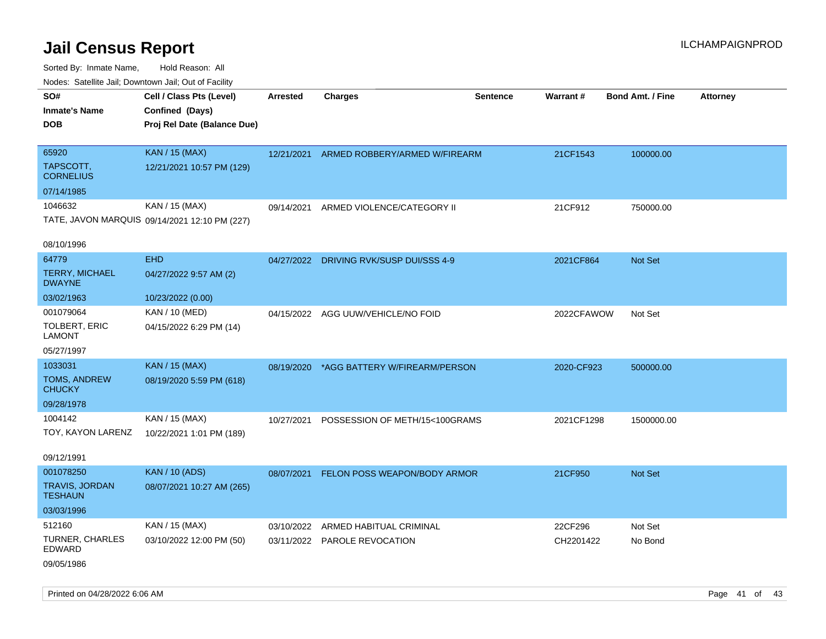Sorted By: Inmate Name, Hold Reason: All Nodes: Satellite Jail; Downtown Jail; Out of Facility

| roaco. Calcinio dan, Downtown dan, Cal or Fability |                                               |                 |                                          |                 |            |                         |                 |
|----------------------------------------------------|-----------------------------------------------|-----------------|------------------------------------------|-----------------|------------|-------------------------|-----------------|
| SO#                                                | Cell / Class Pts (Level)                      | <b>Arrested</b> | <b>Charges</b>                           | <b>Sentence</b> | Warrant#   | <b>Bond Amt. / Fine</b> | <b>Attorney</b> |
| <b>Inmate's Name</b>                               | Confined (Days)                               |                 |                                          |                 |            |                         |                 |
| <b>DOB</b>                                         | Proj Rel Date (Balance Due)                   |                 |                                          |                 |            |                         |                 |
|                                                    |                                               |                 |                                          |                 |            |                         |                 |
| 65920                                              | <b>KAN / 15 (MAX)</b>                         |                 | 12/21/2021 ARMED ROBBERY/ARMED W/FIREARM |                 | 21CF1543   | 100000.00               |                 |
| TAPSCOTT,<br><b>CORNELIUS</b>                      | 12/21/2021 10:57 PM (129)                     |                 |                                          |                 |            |                         |                 |
| 07/14/1985                                         |                                               |                 |                                          |                 |            |                         |                 |
| 1046632                                            | KAN / 15 (MAX)                                | 09/14/2021      | ARMED VIOLENCE/CATEGORY II               |                 | 21CF912    | 750000.00               |                 |
|                                                    | TATE, JAVON MARQUIS 09/14/2021 12:10 PM (227) |                 |                                          |                 |            |                         |                 |
| 08/10/1996                                         |                                               |                 |                                          |                 |            |                         |                 |
| 64779                                              | <b>EHD</b>                                    |                 | 04/27/2022 DRIVING RVK/SUSP DUI/SSS 4-9  |                 | 2021CF864  | Not Set                 |                 |
| <b>TERRY, MICHAEL</b><br><b>DWAYNE</b>             | 04/27/2022 9:57 AM (2)                        |                 |                                          |                 |            |                         |                 |
| 03/02/1963                                         | 10/23/2022 (0.00)                             |                 |                                          |                 |            |                         |                 |
| 001079064                                          | KAN / 10 (MED)                                |                 | 04/15/2022 AGG UUW/VEHICLE/NO FOID       |                 | 2022CFAWOW | Not Set                 |                 |
| <b>TOLBERT, ERIC</b><br><b>LAMONT</b>              | 04/15/2022 6:29 PM (14)                       |                 |                                          |                 |            |                         |                 |
| 05/27/1997                                         |                                               |                 |                                          |                 |            |                         |                 |
| 1033031                                            | <b>KAN / 15 (MAX)</b>                         | 08/19/2020      | *AGG BATTERY W/FIREARM/PERSON            |                 | 2020-CF923 | 500000.00               |                 |
| TOMS, ANDREW<br><b>CHUCKY</b>                      | 08/19/2020 5:59 PM (618)                      |                 |                                          |                 |            |                         |                 |
| 09/28/1978                                         |                                               |                 |                                          |                 |            |                         |                 |
| 1004142                                            | KAN / 15 (MAX)                                | 10/27/2021      | POSSESSION OF METH/15<100GRAMS           |                 | 2021CF1298 | 1500000.00              |                 |
| TOY, KAYON LARENZ                                  | 10/22/2021 1:01 PM (189)                      |                 |                                          |                 |            |                         |                 |
| 09/12/1991                                         |                                               |                 |                                          |                 |            |                         |                 |
| 001078250                                          | <b>KAN / 10 (ADS)</b>                         |                 | 08/07/2021 FELON POSS WEAPON/BODY ARMOR  |                 | 21CF950    | Not Set                 |                 |
| TRAVIS, JORDAN<br><b>TESHAUN</b>                   | 08/07/2021 10:27 AM (265)                     |                 |                                          |                 |            |                         |                 |
| 03/03/1996                                         |                                               |                 |                                          |                 |            |                         |                 |
| 512160                                             | KAN / 15 (MAX)                                | 03/10/2022      | ARMED HABITUAL CRIMINAL                  |                 | 22CF296    | Not Set                 |                 |
| TURNER, CHARLES<br><b>EDWARD</b>                   | 03/10/2022 12:00 PM (50)                      |                 | 03/11/2022 PAROLE REVOCATION             |                 | CH2201422  | No Bond                 |                 |
| 09/05/1986                                         |                                               |                 |                                          |                 |            |                         |                 |

Printed on 04/28/2022 6:06 AM Page 41 of 43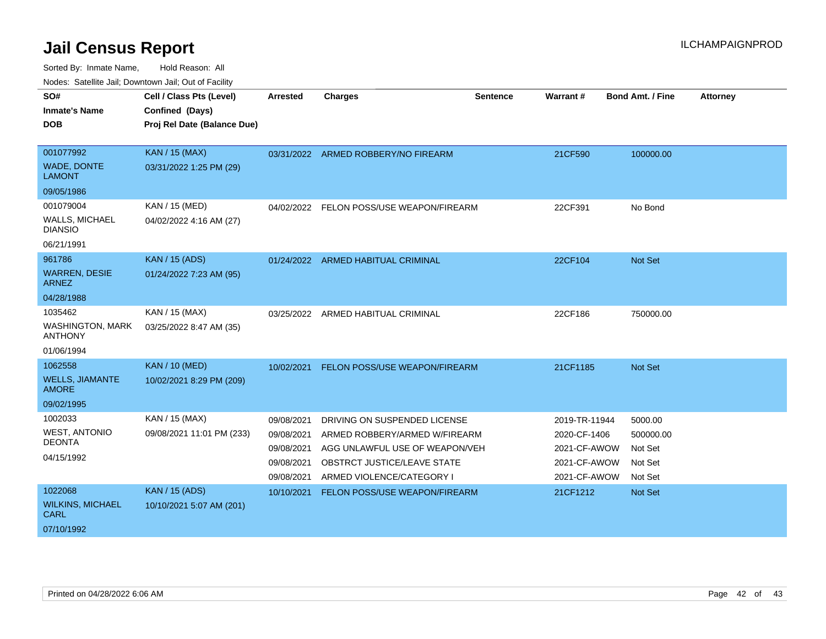| SO#                                       | Cell / Class Pts (Level)                       | Arrested                 | <b>Charges</b>                                                  | <b>Sentence</b> | Warrant#                     | <b>Bond Amt. / Fine</b> | <b>Attorney</b> |
|-------------------------------------------|------------------------------------------------|--------------------------|-----------------------------------------------------------------|-----------------|------------------------------|-------------------------|-----------------|
| <b>Inmate's Name</b><br><b>DOB</b>        | Confined (Days)<br>Proj Rel Date (Balance Due) |                          |                                                                 |                 |                              |                         |                 |
| 001077992                                 | KAN / 15 (MAX)                                 |                          | 03/31/2022 ARMED ROBBERY/NO FIREARM                             |                 | 21CF590                      | 100000.00               |                 |
| WADE, DONTE<br><b>LAMONT</b>              | 03/31/2022 1:25 PM (29)                        |                          |                                                                 |                 |                              |                         |                 |
| 09/05/1986                                |                                                |                          |                                                                 |                 |                              |                         |                 |
| 001079004                                 | KAN / 15 (MED)                                 |                          | 04/02/2022 FELON POSS/USE WEAPON/FIREARM                        |                 | 22CF391                      | No Bond                 |                 |
| <b>WALLS, MICHAEL</b><br><b>DIANSIO</b>   | 04/02/2022 4:16 AM (27)                        |                          |                                                                 |                 |                              |                         |                 |
| 06/21/1991                                |                                                |                          |                                                                 |                 |                              |                         |                 |
| 961786                                    | <b>KAN / 15 (ADS)</b>                          |                          | 01/24/2022 ARMED HABITUAL CRIMINAL                              |                 | 22CF104                      | <b>Not Set</b>          |                 |
| <b>WARREN, DESIE</b><br><b>ARNEZ</b>      | 01/24/2022 7:23 AM (95)                        |                          |                                                                 |                 |                              |                         |                 |
| 04/28/1988                                |                                                |                          |                                                                 |                 |                              |                         |                 |
| 1035462                                   | KAN / 15 (MAX)                                 | 03/25/2022               | ARMED HABITUAL CRIMINAL                                         |                 | 22CF186                      | 750000.00               |                 |
| <b>WASHINGTON, MARK</b><br><b>ANTHONY</b> | 03/25/2022 8:47 AM (35)                        |                          |                                                                 |                 |                              |                         |                 |
| 01/06/1994                                |                                                |                          |                                                                 |                 |                              |                         |                 |
| 1062558                                   | <b>KAN / 10 (MED)</b>                          | 10/02/2021               | FELON POSS/USE WEAPON/FIREARM                                   |                 | 21CF1185                     | Not Set                 |                 |
| <b>WELLS, JIAMANTE</b><br><b>AMORE</b>    | 10/02/2021 8:29 PM (209)                       |                          |                                                                 |                 |                              |                         |                 |
| 09/02/1995                                |                                                |                          |                                                                 |                 |                              |                         |                 |
| 1002033                                   | KAN / 15 (MAX)                                 | 09/08/2021               | DRIVING ON SUSPENDED LICENSE                                    |                 | 2019-TR-11944                | 5000.00                 |                 |
| <b>WEST, ANTONIO</b><br><b>DEONTA</b>     | 09/08/2021 11:01 PM (233)                      | 09/08/2021<br>09/08/2021 | ARMED ROBBERY/ARMED W/FIREARM<br>AGG UNLAWFUL USE OF WEAPON/VEH |                 | 2020-CF-1406<br>2021-CF-AWOW | 500000.00<br>Not Set    |                 |
| 04/15/1992                                |                                                | 09/08/2021               | OBSTRCT JUSTICE/LEAVE STATE                                     |                 | 2021-CF-AWOW                 | Not Set                 |                 |
|                                           |                                                | 09/08/2021               | ARMED VIOLENCE/CATEGORY I                                       |                 | 2021-CF-AWOW                 | Not Set                 |                 |
| 1022068                                   | <b>KAN / 15 (ADS)</b>                          | 10/10/2021               | FELON POSS/USE WEAPON/FIREARM                                   |                 | 21CF1212                     | <b>Not Set</b>          |                 |
| <b>WILKINS, MICHAEL</b><br><b>CARL</b>    | 10/10/2021 5:07 AM (201)                       |                          |                                                                 |                 |                              |                         |                 |
| 07/10/1992                                |                                                |                          |                                                                 |                 |                              |                         |                 |